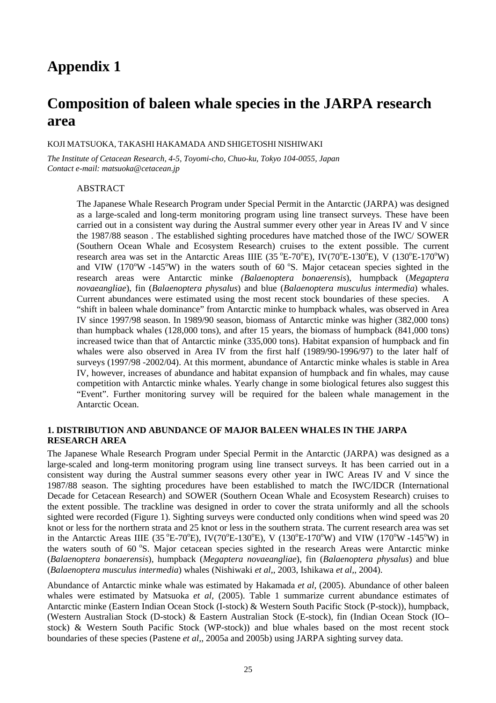# **Composition of baleen whale species in the JARPA research area**

### KOJI MATSUOKA, TAKASHI HAKAMADA AND SHIGETOSHI NISHIWAKI

*The Institute of Cetacean Research, 4-5, Toyomi-cho, Chuo-ku, Tokyo 104-0055, Japan Contact e-mail: matsuoka@cetacean.jp* 

# ABSTRACT

The Japanese Whale Research Program under Special Permit in the Antarctic (JARPA) was designed as a large-scaled and long-term monitoring program using line transect surveys. These have been carried out in a consistent way during the Austral summer every other year in Areas IV and V since the 1987/88 season . The established sighting procedures have matched those of the IWC/ SOWER (Southern Ocean Whale and Ecosystem Research) cruises to the extent possible. The current research area was set in the Antarctic Areas IIIE (35 °E-70°E), IV(70°E-130°E), V (130°E-170°W) and VIW  $(170^{\circ}W - 145^{\circ}W)$  in the waters south of 60  $^{\circ}S$ . Major cetacean species sighted in the research areas were Antarctic minke *(Balaenoptera bonaerensis*), humpback (*Megaptera novaeangliae*), fin (*Balaenoptera physalus*) and blue (*Balaenoptera musculus intermedia*) whales. Current abundances were estimated using the most recent stock boundaries of these species. A "shift in baleen whale dominance" from Antarctic minke to humpback whales, was observed in Area IV since 1997/98 season. In 1989/90 season, biomass of Antarctic minke was higher (382,000 tons) than humpback whales (128,000 tons), and after 15 years, the biomass of humpback (841,000 tons) increased twice than that of Antarctic minke (335,000 tons). Habitat expansion of humpback and fin whales were also observed in Area IV from the first half (1989/90-1996/97) to the later half of surveys (1997/98 -2002/04). At this morment, abundance of Antarctic minke whales is stable in Area IV, however, increases of abundance and habitat expansion of humpback and fin whales, may cause competition with Antarctic minke whales. Yearly change in some biological fetures also suggest this "Event". Further monitoring survey will be required for the baleen whale management in the Antarctic Ocean.

### **1. DISTRIBUTION AND ABUNDANCE OF MAJOR BALEEN WHALES IN THE JARPA RESEARCH AREA**

The Japanese Whale Research Program under Special Permit in the Antarctic (JARPA) was designed as a large-scaled and long-term monitoring program using line transect surveys. It has been carried out in a consistent way during the Austral summer seasons every other year in IWC Areas IV and V since the 1987/88 season. The sighting procedures have been established to match the IWC/IDCR (International Decade for Cetacean Research) and SOWER (Southern Ocean Whale and Ecosystem Research) cruises to the extent possible. The trackline was designed in order to cover the strata uniformly and all the schools sighted were recorded (Figure 1). Sighting surveys were conducted only conditions when wind speed was 20 knot or less for the northern strata and 25 knot or less in the southern strata. The current research area was set in the Antarctic Areas IIIE (35 °E-70°E), IV(70°E-130°E), V (130°E-170°W) and VIW (170°W-145°W) in the waters south of  $60^\circ$ S. Major cetacean species sighted in the research Areas were Antarctic minke (*Balaenoptera bonaerensis*), humpback (*Megaptera novaeangliae*), fin (*Balaenoptera physalus*) and blue (*Balaenoptera musculus intermedia*) whales (Nishiwaki *et al,*, 2003, Ishikawa *et al,*, 2004).

Abundance of Antarctic minke whale was estimated by Hakamada *et al,* (2005). Abundance of other baleen whales were estimated by Matsuoka *et al,* (2005). Table 1 summarize current abundance estimates of Antarctic minke (Eastern Indian Ocean Stock (I-stock) & Western South Pacific Stock (P-stock)), humpback, (Western Australian Stock (D-stock) & Eastern Australian Stock (E-stock), fin (Indian Ocean Stock (IO– stock) & Western South Pacific Stock (WP-stock)) and blue whales based on the most recent stock boundaries of these species (Pastene *et al,*, 2005a and 2005b) using JARPA sighting survey data.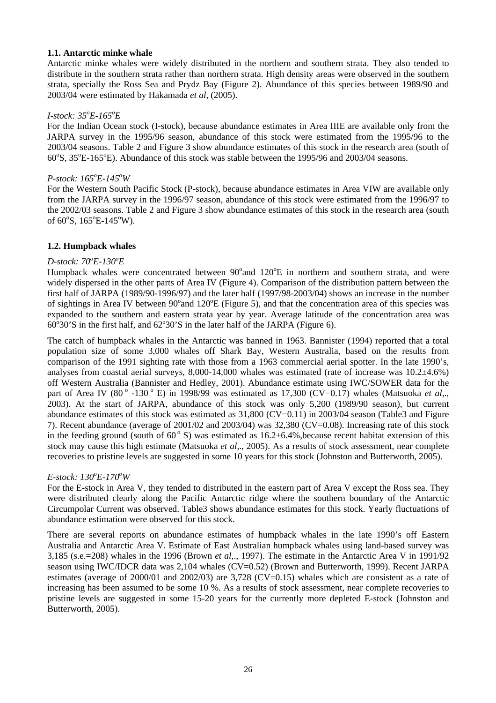### **1.1. Antarctic minke whale**

Antarctic minke whales were widely distributed in the northern and southern strata. They also tended to distribute in the southern strata rather than northern strata. High density areas were observed in the southern strata, specially the Ross Sea and Prydz Bay (Figure 2). Abundance of this species between 1989/90 and 2003/04 were estimated by Hakamada *et al,* (2005).

# *I-stock: 35o E-165o E*

For the Indian Ocean stock (I-stock), because abundance estimates in Area IIIE are available only from the JARPA survey in the 1995/96 season, abundance of this stock were estimated from the 1995/96 to the 2003/04 seasons. Table 2 and Figure 3 show abundance estimates of this stock in the research area (south of 60°S, 35°E-165°E). Abundance of this stock was stable between the 1995/96 and 2003/04 seasons.

# *P-stock: 165<sup>o</sup> E-145o W*

For the Western South Pacific Stock (P-stock), because abundance estimates in Area VIW are available only from the JARPA survey in the 1996/97 season, abundance of this stock were estimated from the 1996/97 to the 2002/03 seasons. Table 2 and Figure 3 show abundance estimates of this stock in the research area (south of  $60^{\circ}$ S,  $165^{\circ}$ E-145°W).

### **1.2. Humpback whales**

# *D-stock:*  $70^{\circ}E$ -130 $^{\circ}E$

Humpback whales were concentrated between 90° and 120°E in northern and southern strata, and were widely dispersed in the other parts of Area IV (Figure 4). Comparison of the distribution pattern between the first half of JARPA (1989/90-1996/97) and the later half (1997/98-2003/04) shows an increase in the number of sightings in Area IV between 90° and 120°E (Figure 5), and that the concentration area of this species was expanded to the southern and eastern strata year by year. Average latitude of the concentration area was  $60^{\circ}30$ 'S in the first half, and  $62^{\circ}30$ 'S in the later half of the JARPA (Figure 6).

The catch of humpback whales in the Antarctic was banned in 1963. Bannister (1994) reported that a total population size of some 3,000 whales off Shark Bay, Western Australia, based on the results from comparison of the 1991 sighting rate with those from a 1963 commercial aerial spotter. In the late 1990's, analyses from coastal aerial surveys,  $8,000-14,000$  whales was estimated (rate of increase was  $10.2\pm4.6\%$ ) off Western Australia (Bannister and Hedley, 2001). Abundance estimate using IWC/SOWER data for the part of Area IV (80 $^{\circ}$  -130 $^{\circ}$  E) in 1998/99 was estimated as 17,300 (CV=0.17) whales (Matsuoka *et al,.*, 2003). At the start of JARPA, abundance of this stock was only 5,200 (1989/90 season), but current abundance estimates of this stock was estimated as 31,800 (CV=0.11) in 2003/04 season (Table3 and Figure 7). Recent abundance (average of 2001/02 and 2003/04) was 32,380 (CV=0.08). Increasing rate of this stock in the feeding ground (south of  $60^{\circ}$  S) was estimated as  $16.2\pm6.4\%$ , because recent habitat extension of this stock may cause this high estimate (Matsuoka *et al,*., 2005). As a results of stock assessment, near complete recoveries to pristine levels are suggested in some 10 years for this stock (Johnston and Butterworth, 2005).

# *E-stock: 130<sup>o</sup> E-170o W*

For the E-stock in Area V, they tended to distributed in the eastern part of Area V except the Ross sea. They were distributed clearly along the Pacific Antarctic ridge where the southern boundary of the Antarctic Circumpolar Current was observed. Table3 shows abundance estimates for this stock. Yearly fluctuations of abundance estimation were observed for this stock.

There are several reports on abundance estimates of humpback whales in the late 1990's off Eastern Australia and Antarctic Area V. Estimate of East Australian humpback whales using land-based survey was 3,185 (s.e.=208) whales in the 1996 (Brown *et al,*., 1997). The estimate in the Antarctic Area V in 1991/92 season using IWC/IDCR data was 2,104 whales (CV=0.52) (Brown and Butterworth, 1999). Recent JARPA estimates (average of 2000/01 and 2002/03) are 3,728 (CV=0.15) whales which are consistent as a rate of increasing has been assumed to be some 10 %. As a results of stock assessment, near complete recoveries to pristine levels are suggested in some 15-20 years for the currently more depleted E-stock (Johnston and Butterworth, 2005).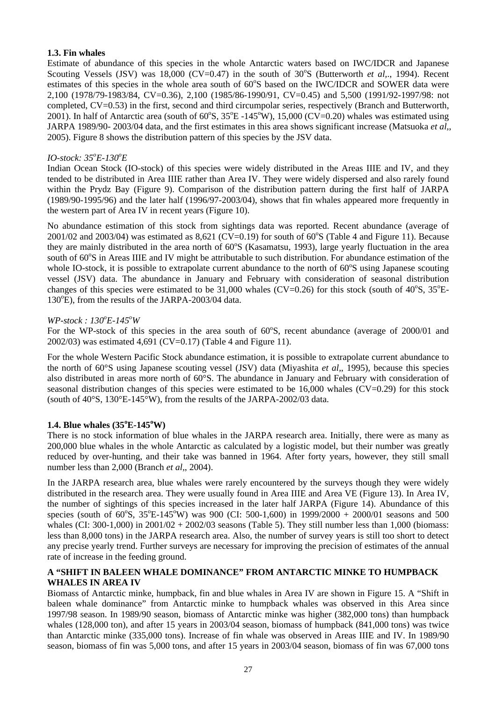# **1.3. Fin whales**

Estimate of abundance of this species in the whole Antarctic waters based on IWC/IDCR and Japanese Scouting Vessels (JSV) was  $18,000$  (CV=0.47) in the south of  $30^{\circ}$ S (Butterworth *et al,.,* 1994). Recent estimates of this species in the whole area south of 60°S based on the IWC/IDCR and SOWER data were 2,100 (1978/79-1983/84, CV=0.36), 2,100 (1985/86-1990/91, CV=0.45) and 5,500 (1991/92-1997/98: not completed, CV=0.53) in the first, second and third circumpolar series, respectively (Branch and Butterworth, 2001). In half of Antarctic area (south of  $60^{\circ}$ S,  $35^{\circ}$ E -145 $^{\circ}$ W), 15,000 (CV=0.20) whales was estimated using JARPA 1989/90- 2003/04 data, and the first estimates in this area shows significant increase (Matsuoka *et al,*, 2005). Figure 8 shows the distribution pattern of this species by the JSV data.

# *IO-stock: 35o E-130o E*

Indian Ocean Stock (IO-stock) of this species were widely distributed in the Areas IIIE and IV, and they tended to be distributed in Area IIIE rather than Area IV. They were widely dispersed and also rarely found within the Prydz Bay (Figure 9). Comparison of the distribution pattern during the first half of JARPA (1989/90-1995/96) and the later half (1996/97-2003/04), shows that fin whales appeared more frequently in the western part of Area IV in recent years (Figure 10).

No abundance estimation of this stock from sightings data was reported. Recent abundance (average of 2001/02 and 2003/04) was estimated as 8,621 (CV=0.19) for south of  $60^{\circ}$ S (Table 4 and Figure 11). Because they are mainly distributed in the area north of 60°S (Kasamatsu, 1993), large yearly fluctuation in the area south of 60°S in Areas IIIE and IV might be attributable to such distribution. For abundance estimation of the whole IO-stock, it is possible to extrapolate current abundance to the north of  $60^{\circ}$ S using Japanese scouting vessel (JSV) data. The abundance in January and February with consideration of seasonal distribution changes of this species were estimated to be  $31,000$  whales (CV=0.26) for this stock (south of  $40^{\circ}$ S,  $35^{\circ}$ E-130°E), from the results of the JARPA-2003/04 data.

# *WP-stock: 130°E-145°W*

For the WP-stock of this species in the area south of 60°S, recent abundance (average of 2000/01 and 2002/03) was estimated 4,691 (CV=0.17) (Table 4 and Figure 11).

For the whole Western Pacific Stock abundance estimation, it is possible to extrapolate current abundance to the north of 60°S using Japanese scouting vessel (JSV) data (Miyashita *et al,*, 1995), because this species also distributed in areas more north of 60°S. The abundance in January and February with consideration of seasonal distribution changes of this species were estimated to be  $16,000$  whales (CV=0.29) for this stock (south of 40°S, 130°E-145°W), from the results of the JARPA-2002/03 data.

# **1.4. Blue whales (35<sup>o</sup> E-145<sup>o</sup> W)**

There is no stock information of blue whales in the JARPA research area. Initially, there were as many as 200,000 blue whales in the whole Antarctic as calculated by a logistic model, but their number was greatly reduced by over-hunting, and their take was banned in 1964. After forty years, however, they still small number less than 2,000 (Branch *et al,*, 2004).

In the JARPA research area, blue whales were rarely encountered by the surveys though they were widely distributed in the research area. They were usually found in Area IIIE and Area VE (Figure 13). In Area IV, the number of sightings of this species increased in the later half JARPA (Figure 14). Abundance of this species (south of 60°S, 35°E-145°W) was 900 (CI: 500-1,600) in 1999/2000 + 2000/01 seasons and 500 whales (CI: 300-1,000) in  $2001/02 + 2002/03$  seasons (Table 5). They still number less than 1,000 (biomass: less than 8,000 tons) in the JARPA research area. Also, the number of survey years is still too short to detect any precise yearly trend. Further surveys are necessary for improving the precision of estimates of the annual rate of increase in the feeding ground.

# **A "SHIFT IN BALEEN WHALE DOMINANCE" FROM ANTARCTIC MINKE TO HUMPBACK WHALES IN AREA IV**

Biomass of Antarctic minke, humpback, fin and blue whales in Area IV are shown in Figure 15. A "Shift in baleen whale dominance" from Antarctic minke to humpback whales was observed in this Area since 1997/98 season. In 1989/90 season, biomass of Antarctic minke was higher (382,000 tons) than humpback whales (128,000 ton), and after 15 years in 2003/04 season, biomass of humpback (841,000 tons) was twice than Antarctic minke (335,000 tons). Increase of fin whale was observed in Areas IIIE and IV. In 1989/90 season, biomass of fin was 5,000 tons, and after 15 years in 2003/04 season, biomass of fin was 67,000 tons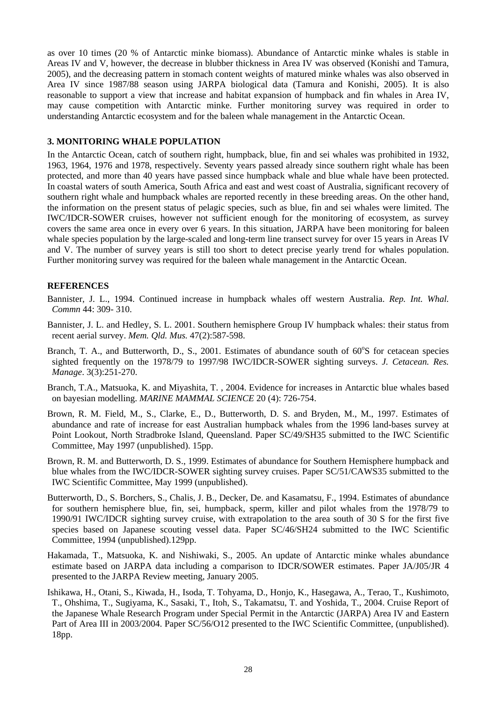as over 10 times (20 % of Antarctic minke biomass). Abundance of Antarctic minke whales is stable in Areas IV and V, however, the decrease in blubber thickness in Area IV was observed (Konishi and Tamura, 2005), and the decreasing pattern in stomach content weights of matured minke whales was also observed in Area IV since 1987/88 season using JARPA biological data (Tamura and Konishi, 2005). It is also reasonable to support a view that increase and habitat expansion of humpback and fin whales in Area IV, may cause competition with Antarctic minke. Further monitoring survey was required in order to understanding Antarctic ecosystem and for the baleen whale management in the Antarctic Ocean.

### **3. MONITORING WHALE POPULATION**

In the Antarctic Ocean, catch of southern right, humpback, blue, fin and sei whales was prohibited in 1932, 1963, 1964, 1976 and 1978, respectively. Seventy years passed already since southern right whale has been protected, and more than 40 years have passed since humpback whale and blue whale have been protected. In coastal waters of south America, South Africa and east and west coast of Australia, significant recovery of southern right whale and humpback whales are reported recently in these breeding areas. On the other hand, the information on the present status of pelagic species, such as blue, fin and sei whales were limited. The IWC/IDCR-SOWER cruises, however not sufficient enough for the monitoring of ecosystem, as survey covers the same area once in every over 6 years. In this situation, JARPA have been monitoring for baleen whale species population by the large-scaled and long-term line transect survey for over 15 years in Areas IV and V. The number of survey years is still too short to detect precise yearly trend for whales population. Further monitoring survey was required for the baleen whale management in the Antarctic Ocean.

# **REFERENCES**

- Bannister, J. L., 1994. Continued increase in humpback whales off western Australia. *Rep. Int. Whal. Commn* 44: 309- 310.
- Bannister, J. L. and Hedley, S. L. 2001. Southern hemisphere Group IV humpback whales: their status from recent aerial survey. *Mem. Qld. Mus.* 47(2):587-598.
- Branch, T. A., and Butterworth, D., S., 2001. Estimates of abundance south of 60°S for cetacean species sighted frequently on the 1978/79 to 1997/98 IWC/IDCR-SOWER sighting surveys. *J. Cetacean. Res. Manage*. 3(3):251-270.
- Branch, T.A., Matsuoka, K. and Miyashita, T. , 2004. Evidence for increases in Antarctic blue whales based on bayesian modelling. *MARINE MAMMAL SCIENCE* 20 (4): 726-754.
- Brown, R. M. Field, M., S., Clarke, E., D., Butterworth, D. S. and Bryden, M., M., 1997. Estimates of abundance and rate of increase for east Australian humpback whales from the 1996 land-bases survey at Point Lookout, North Stradbroke Island, Queensland. Paper SC/49/SH35 submitted to the IWC Scientific Committee, May 1997 (unpublished). 15pp.
- Brown, R. M. and Butterworth, D. S., 1999. Estimates of abundance for Southern Hemisphere humpback and blue whales from the IWC/IDCR-SOWER sighting survey cruises. Paper SC/51/CAWS35 submitted to the IWC Scientific Committee, May 1999 (unpublished).
- Butterworth, D., S. Borchers, S., Chalis, J. B., Decker, De. and Kasamatsu, F., 1994. Estimates of abundance for southern hemisphere blue, fin, sei, humpback, sperm, killer and pilot whales from the 1978/79 to 1990/91 IWC/IDCR sighting survey cruise, with extrapolation to the area south of 30 S for the first five species based on Japanese scouting vessel data. Paper SC/46/SH24 submitted to the IWC Scientific Committee, 1994 (unpublished).129pp.
- Hakamada, T., Matsuoka, K. and Nishiwaki, S., 2005. An update of Antarctic minke whales abundance estimate based on JARPA data including a comparison to IDCR/SOWER estimates. Paper JA/J05/JR 4 presented to the JARPA Review meeting, January 2005.
- Ishikawa, H., Otani, S., Kiwada, H., Isoda, T. Tohyama, D., Honjo, K., Hasegawa, A., Terao, T., Kushimoto, T., Ohshima, T., Sugiyama, K., Sasaki, T., Itoh, S., Takamatsu, T. and Yoshida, T., 2004. Cruise Report of the Japanese Whale Research Program under Special Permit in the Antarctic (JARPA) Area IV and Eastern Part of Area III in 2003/2004. Paper SC/56/O12 presented to the IWC Scientific Committee, (unpublished). 18pp.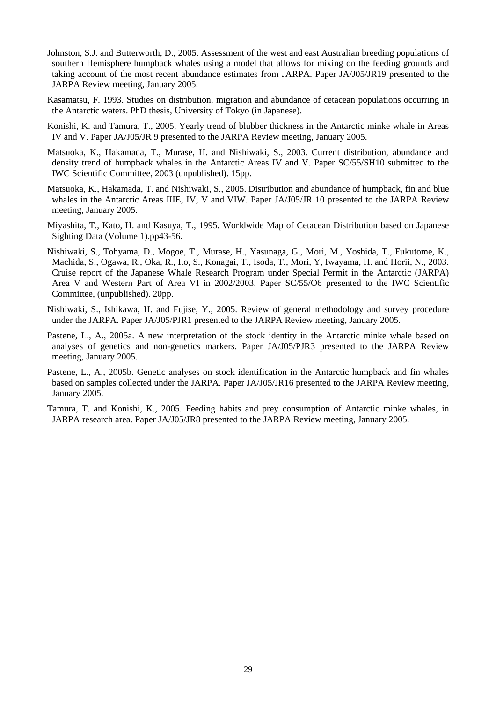- Johnston, S.J. and Butterworth, D., 2005. Assessment of the west and east Australian breeding populations of southern Hemisphere humpback whales using a model that allows for mixing on the feeding grounds and taking account of the most recent abundance estimates from JARPA. Paper JA/J05/JR19 presented to the JARPA Review meeting, January 2005.
- Kasamatsu, F. 1993. Studies on distribution, migration and abundance of cetacean populations occurring in the Antarctic waters. PhD thesis, University of Tokyo (in Japanese).
- Konishi, K. and Tamura, T., 2005. Yearly trend of blubber thickness in the Antarctic minke whale in Areas IV and V. Paper JA/J05/JR 9 presented to the JARPA Review meeting, January 2005.
- Matsuoka, K., Hakamada, T., Murase, H. and Nishiwaki, S., 2003. Current distribution, abundance and density trend of humpback whales in the Antarctic Areas IV and V. Paper SC/55/SH10 submitted to the IWC Scientific Committee, 2003 (unpublished). 15pp.
- Matsuoka, K., Hakamada, T. and Nishiwaki, S., 2005. Distribution and abundance of humpback, fin and blue whales in the Antarctic Areas IIIE, IV, V and VIW. Paper JA/J05/JR 10 presented to the JARPA Review meeting, January 2005.
- Miyashita, T., Kato, H. and Kasuya, T., 1995. Worldwide Map of Cetacean Distribution based on Japanese Sighting Data (Volume 1).pp43-56.
- Nishiwaki, S., Tohyama, D., Mogoe, T., Murase, H., Yasunaga, G., Mori, M., Yoshida, T., Fukutome, K., Machida, S., Ogawa, R., Oka, R., Ito, S., Konagai, T., Isoda, T., Mori, Y, Iwayama, H. and Horii, N., 2003. Cruise report of the Japanese Whale Research Program under Special Permit in the Antarctic (JARPA) Area V and Western Part of Area VI in 2002/2003. Paper SC/55/O6 presented to the IWC Scientific Committee, (unpublished). 20pp.
- Nishiwaki, S., Ishikawa, H. and Fujise, Y., 2005. Review of general methodology and survey procedure under the JARPA. Paper JA/J05/PJR1 presented to the JARPA Review meeting, January 2005.
- Pastene, L., A., 2005a. A new interpretation of the stock identity in the Antarctic minke whale based on analyses of genetics and non-genetics markers. Paper JA/J05/PJR3 presented to the JARPA Review meeting, January 2005.
- Pastene, L., A., 2005b. Genetic analyses on stock identification in the Antarctic humpback and fin whales based on samples collected under the JARPA. Paper JA/J05/JR16 presented to the JARPA Review meeting, January 2005.
- Tamura, T. and Konishi, K., 2005. Feeding habits and prey consumption of Antarctic minke whales, in JARPA research area. Paper JA/J05/JR8 presented to the JARPA Review meeting, January 2005.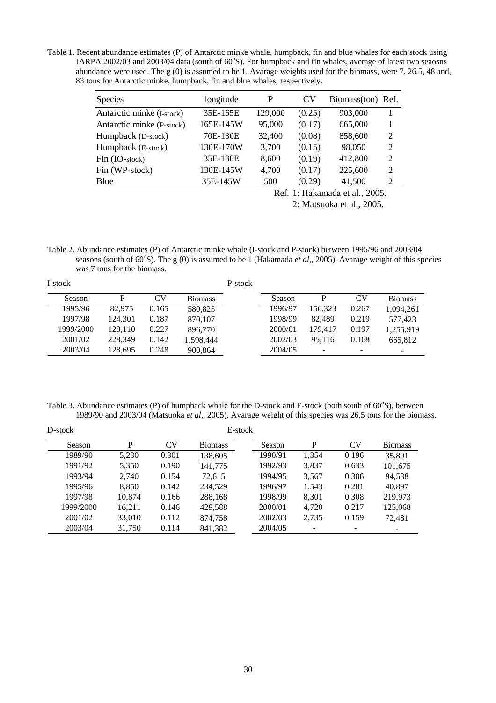Table 1. Recent abundance estimates (P) of Antarctic minke whale, humpback, fin and blue whales for each stock using JARPA 2002/03 and 2003/04 data (south of 60°S). For humpback and fin whales, average of latest two seaosns abundance were used. The g (0) is assumed to be 1. Avarage weights used for the biomass, were 7, 26.5, 48 and, 83 tons for Antarctic minke, humpback, fin and blue whales, respectively.

| <b>Species</b>            | longitude                      | P       | CV <sub></sub> | Biomass(ton) | Ref. |  |  |
|---------------------------|--------------------------------|---------|----------------|--------------|------|--|--|
| Antarctic minke (I-stock) | 35E-165E                       | 129,000 | (0.25)         | 903,000      |      |  |  |
| Antarctic minke (P-stock) | 165E-145W                      | 95,000  | (0.17)         | 665,000      | 1    |  |  |
| Humpback (D-stock)        | 70E-130E                       | 32,400  | (0.08)         | 858,600      | 2    |  |  |
| Humpback (E-stock)        | 130E-170W                      | 3,700   | (0.15)         | 98,050       | 2    |  |  |
| Fin (IO-stock)            | 35E-130E                       | 8,600   | (0.19)         | 412,800      | 2    |  |  |
| Fin (WP-stock)            | 130E-145W                      | 4,700   | (0.17)         | 225,600      | 2    |  |  |
| Blue                      | 35E-145W                       | 500     | (0.29)         | 41,500       | 2    |  |  |
|                           | Ref. 1: Hakamada et al., 2005. |         |                |              |      |  |  |

2: Matsuoka et al., 2005.

Table 2. Abundance estimates (P) of Antarctic minke whale (I-stock and P-stock) between 1995/96 and 2003/04 seasons (south of 60°S). The g (0) is assumed to be 1 (Hakamada *et al.*, 2005). Avarage weight of this species was 7 tons for the biomass.

| I-stock   |         |       |                | P-stock |         |                          |           |                |
|-----------|---------|-------|----------------|---------|---------|--------------------------|-----------|----------------|
| Season    | D       | CV    | <b>Biomass</b> |         | Season  | D                        | <b>CV</b> | <b>Biomass</b> |
| 1995/96   | 82,975  | 0.165 | 580,825        |         | 1996/97 | 156.323                  | 0.267     | 1,094,261      |
| 1997/98   | 124.301 | 0.187 | 870,107        |         | 1998/99 | 82,489                   | 0.219     | 577.423        |
| 1999/2000 | 128.110 | 0.227 | 896,770        |         | 2000/01 | 179.417                  | 0.197     | 1,255,919      |
| 2001/02   | 228,349 | 0.142 | 1.598.444      |         | 2002/03 | 95.116                   | 0.168     | 665,812        |
| 2003/04   | 128.695 | 0.248 | 900,864        |         | 2004/05 | $\overline{\phantom{0}}$ | -         |                |

Table 3. Abundance estimates (P) of humpback whale for the D-stock and E-stock (both south of 60°S), between 1989/90 and 2003/04 (Matsuoka *et al,*, 2005). Avarage weight of this species was 26.5 tons for the biomass.

| D-stock   |        |           | E-stock        |         |       |           |                |
|-----------|--------|-----------|----------------|---------|-------|-----------|----------------|
| Season    | P      | <b>CV</b> | <b>Biomass</b> | Season  | P     | <b>CV</b> | <b>Biomass</b> |
| 1989/90   | 5,230  | 0.301     | 138,605        | 1990/91 | 1,354 | 0.196     | 35,891         |
| 1991/92   | 5,350  | 0.190     | 141,775        | 1992/93 | 3,837 | 0.633     | 101,675        |
| 1993/94   | 2.740  | 0.154     | 72.615         | 1994/95 | 3,567 | 0.306     | 94,538         |
| 1995/96   | 8,850  | 0.142     | 234,529        | 1996/97 | 1,543 | 0.281     | 40,897         |
| 1997/98   | 10.874 | 0.166     | 288,168        | 1998/99 | 8,301 | 0.308     | 219,973        |
| 1999/2000 | 16,211 | 0.146     | 429.588        | 2000/01 | 4,720 | 0.217     | 125,068        |
| 2001/02   | 33,010 | 0.112     | 874,758        | 2002/03 | 2,735 | 0.159     | 72,481         |
| 2003/04   | 31,750 | 0.114     | 841,382        | 2004/05 |       | ۰         | -              |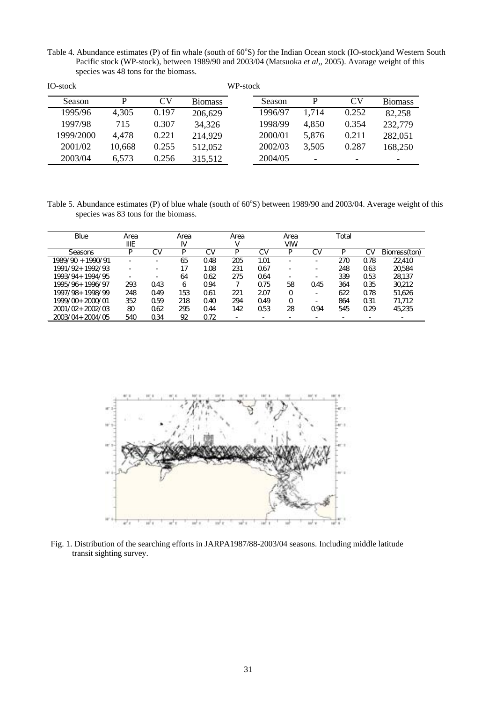Table 4. Abundance estimates (P) of fin whale (south of 60°S) for the Indian Ocean stock (IO-stock)and Western South Pacific stock (WP-stock), between 1989/90 and 2003/04 (Matsuoka *et al,*, 2005). Avarage weight of this species was 48 tons for the biomass.

| IO-stock  |        |       |                | WP-stock |         |       |           |                          |
|-----------|--------|-------|----------------|----------|---------|-------|-----------|--------------------------|
| Season    | P      | CV    | <b>Biomass</b> |          | Season  | P     | <b>CV</b> | <b>Biomass</b>           |
| 1995/96   | 4,305  | 0.197 | 206,629        |          | 1996/97 | 1,714 | 0.252     | 82,258                   |
| 1997/98   | 715    | 0.307 | 34,326         |          | 1998/99 | 4,850 | 0.354     | 232,779                  |
| 1999/2000 | 4,478  | 0.221 | 214,929        |          | 2000/01 | 5,876 | 0.211     | 282,051                  |
| 2001/02   | 10,668 | 0.255 | 512,052        |          | 2002/03 | 3,505 | 0.287     | 168,250                  |
| 2003/04   | 6,573  | 0.256 | 315,512        |          | 2004/05 |       |           | $\overline{\phantom{0}}$ |

Table 5. Abundance estimates (P) of blue whale (south of 60°S) between 1989/90 and 2003/04. Average weight of this species was 83 tons for the biomass.

| Blue                | Area        |                 | Area |                 | Area |      | Area       |     | Total |                 |                          |
|---------------------|-------------|-----------------|------|-----------------|------|------|------------|-----|-------|-----------------|--------------------------|
|                     | <b>IIIE</b> |                 | I٧   |                 |      |      | <b>VIW</b> |     |       |                 |                          |
| Seasons             | P           | C٧              |      | C٧              | P    | C٧   | P          | C٧  |       | C٧              | Biomass(ton)             |
| 1989/90 + 1990/91   | ۰           |                 | 65   | 048             | 205  | 1.01 | -          | -   | 270   | Q78             | 22410                    |
| 1991/92+ 1992/93    | ۰           |                 | 17   | 1.08            | 231  | Q67  | -          | -   | 248   | Q <sub>63</sub> | 20584                    |
| 1993/94+1994/95     | ۰           |                 | 64   | Q <sub>62</sub> | 275  | Q64  | ۰          | -   | 339   | Q <sub>53</sub> | 28137                    |
| 1995/96+1996/97     | 293         | Q43             | 6    | Q94             |      | Q75  | 58         | 045 | 364   | 0.35            | 30,212                   |
| 1997/98+1998/99     | 248         | 049             | 153  | Q61             | 221  | 207  | O          | -   | 622   | Q78             | 51,626                   |
| 1999/00+2000/01     | 352         | Q <sub>59</sub> | 218  | 040             | 294  | 049  | O          | -   | 864   | Q <sub>31</sub> | 71,712                   |
| $2001/02 + 2002/03$ | 80          | 062             | 295  | Q44             | 142  | 053  | 28         | Q94 | 545   | 029             | 45,235                   |
| 2003/04+2004/05     | 540         | Q34             | 92   | Q72             |      |      |            |     |       |                 | $\overline{\phantom{0}}$ |



Fig. 1. Distribution of the searching efforts in JARPA1987/88-2003/04 seasons. Including middle latitude transit sighting survey.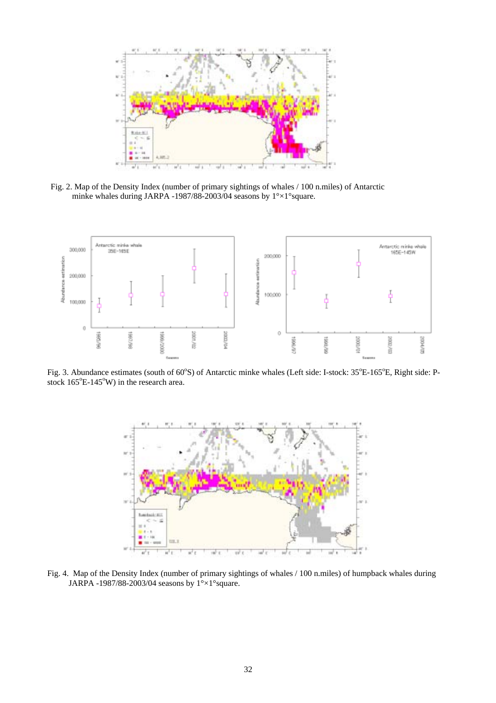

Fig. 2. Map of the Density Index (number of primary sightings of whales / 100 n.miles) of Antarctic minke whales during JARPA -1987/88-2003/04 seasons by 1°×1°square.



Fig. 3. Abundance estimates (south of 60°S) of Antarctic minke whales (Left side: I-stock: 35°E-165°E, Right side: Pstock  $165^{\circ}$ E-145°W) in the research area.



Fig. 4. Map of the Density Index (number of primary sightings of whales / 100 n.miles) of humpback whales during JARPA -1987/88-2003/04 seasons by 1°×1°square.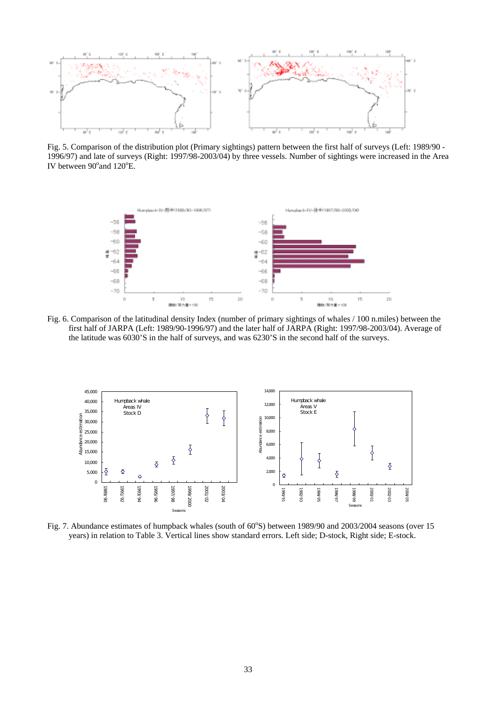

Fig. 5. Comparison of the distribution plot (Primary sightings) pattern between the first half of surveys (Left: 1989/90 - 1996/97) and late of surveys (Right: 1997/98-2003/04) by three vessels. Number of sightings were increased in the Area IV between  $90^{\circ}$  and  $120^{\circ}$ E.



Fig. 6. Comparison of the latitudinal density Index (number of primary sightings of whales / 100 n.miles) between the first half of JARPA (Left: 1989/90-1996/97) and the later half of JARPA (Right: 1997/98-2003/04). Average of the latitude was 6030'S in the half of surveys, and was 6230'S in the second half of the surveys.



Fig. 7. Abundance estimates of humpback whales (south of 60°S) between 1989/90 and 2003/2004 seasons (over 15 years) in relation to Table 3. Vertical lines show standard errors. Left side; D-stock, Right side; E-stock.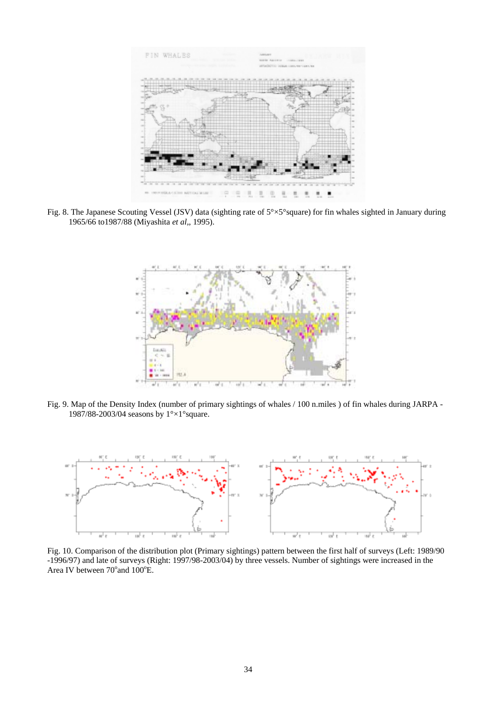

Fig. 8. The Japanese Scouting Vessel (JSV) data (sighting rate of 5°×5°square) for fin whales sighted in January during 1965/66 to1987/88 (Miyashita *et al,*, 1995).



Fig. 9. Map of the Density Index (number of primary sightings of whales / 100 n.miles ) of fin whales during JARPA - 1987/88-2003/04 seasons by 1°×1°square.



Fig. 10. Comparison of the distribution plot (Primary sightings) pattern between the first half of surveys (Left: 1989/90 -1996/97) and late of surveys (Right: 1997/98-2003/04) by three vessels. Number of sightings were increased in the Area IV between 70° and 100°E.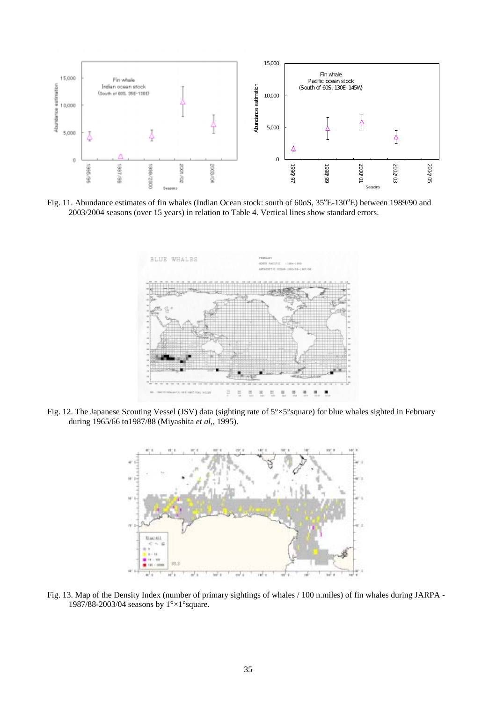

Fig. 11. Abundance estimates of fin whales (Indian Ocean stock: south of 60oS, 35°E-130°E) between 1989/90 and 2003/2004 seasons (over 15 years) in relation to Table 4. Vertical lines show standard errors.



Fig. 12. The Japanese Scouting Vessel (JSV) data (sighting rate of 5°×5°square) for blue whales sighted in February during 1965/66 to1987/88 (Miyashita *et al,*, 1995).



Fig. 13. Map of the Density Index (number of primary sightings of whales / 100 n.miles) of fin whales during JARPA - 1987/88-2003/04 seasons by 1°×1°square.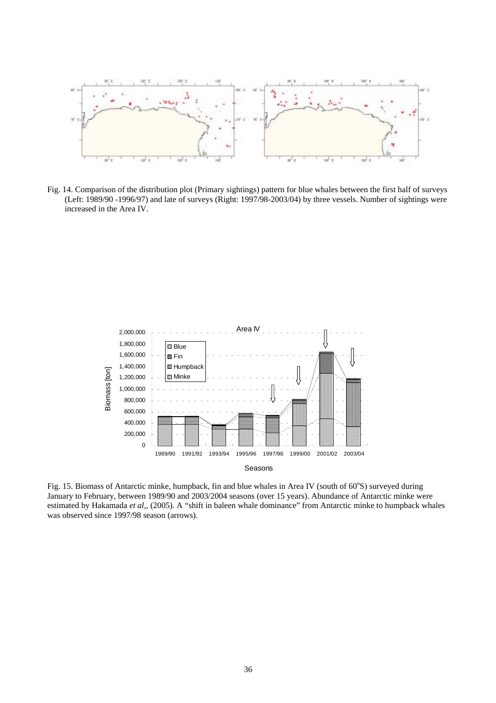

Fig. 14. Comparison of the distribution plot (Primary sightings) pattern for blue whales between the first half of surveys (Left: 1989/90 -1996/97) and late of surveys (Right: 1997/98-2003/04) by three vessels. Number of sightings were increased in the Area IV.



Fig. 15. Biomass of Antarctic minke, humpback, fin and blue whales in Area IV (south of 60°S) surveyed during January to February, between 1989/90 and 2003/2004 seasons (over 15 years). Abundance of Antarctic minke were estimated by Hakamada *et al,*, (2005). A "shift in baleen whale dominance" from Antarctic minke to humpback whales was observed since 1997/98 season (arrows).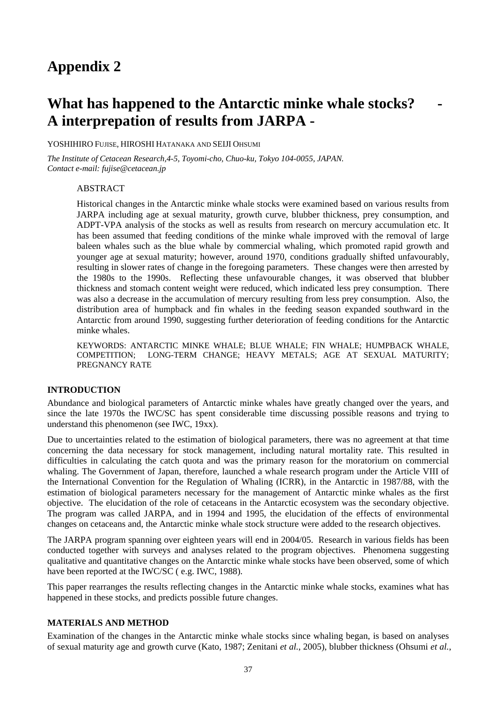# What has happened to the Antarctic minke whale stocks? **A interprepation of results from JARPA -**

YOSHIHIRO FUJISE, HIROSHI HATANAKA AND SEIJI OHSUMI

*The Institute of Cetacean Research,4-5, Toyomi-cho, Chuo-ku, Tokyo 104-0055, JAPAN. Contact e-mail: fujise@cetacean.jp* 

ABSTRACT

Historical changes in the Antarctic minke whale stocks were examined based on various results from JARPA including age at sexual maturity, growth curve, blubber thickness, prey consumption, and ADPT-VPA analysis of the stocks as well as results from research on mercury accumulation etc. It has been assumed that feeding conditions of the minke whale improved with the removal of large baleen whales such as the blue whale by commercial whaling, which promoted rapid growth and younger age at sexual maturity; however, around 1970, conditions gradually shifted unfavourably, resulting in slower rates of change in the foregoing parameters. These changes were then arrested by the 1980s to the 1990s. Reflecting these unfavourable changes, it was observed that blubber thickness and stomach content weight were reduced, which indicated less prey consumption. There was also a decrease in the accumulation of mercury resulting from less prey consumption. Also, the distribution area of humpback and fin whales in the feeding season expanded southward in the Antarctic from around 1990, suggesting further deterioration of feeding conditions for the Antarctic minke whales.

KEYWORDS: ANTARCTIC MINKE WHALE; BLUE WHALE; FIN WHALE; HUMPBACK WHALE, COMPETITION; LONG-TERM CHANGE; HEAVY METALS; AGE AT SEXUAL MATURITY; PREGNANCY RATE

### **INTRODUCTION**

Abundance and biological parameters of Antarctic minke whales have greatly changed over the years, and since the late 1970s the IWC/SC has spent considerable time discussing possible reasons and trying to understand this phenomenon (see IWC, 19xx).

Due to uncertainties related to the estimation of biological parameters, there was no agreement at that time concerning the data necessary for stock management, including natural mortality rate. This resulted in difficulties in calculating the catch quota and was the primary reason for the moratorium on commercial whaling. The Government of Japan, therefore, launched a whale research program under the Article VIII of the International Convention for the Regulation of Whaling (ICRR), in the Antarctic in 1987/88, with the estimation of biological parameters necessary for the management of Antarctic minke whales as the first objective. The elucidation of the role of cetaceans in the Antarctic ecosystem was the secondary objective. The program was called JARPA, and in 1994 and 1995, the elucidation of the effects of environmental changes on cetaceans and, the Antarctic minke whale stock structure were added to the research objectives.

The JARPA program spanning over eighteen years will end in 2004/05. Research in various fields has been conducted together with surveys and analyses related to the program objectives. Phenomena suggesting qualitative and quantitative changes on the Antarctic minke whale stocks have been observed, some of which have been reported at the IWC/SC ( e.g. IWC, 1988).

This paper rearranges the results reflecting changes in the Antarctic minke whale stocks, examines what has happened in these stocks, and predicts possible future changes.

### **MATERIALS AND METHOD**

Examination of the changes in the Antarctic minke whale stocks since whaling began, is based on analyses of sexual maturity age and growth curve (Kato, 1987; Zenitani *et al.*, 2005), blubber thickness (Ohsumi *et al.*,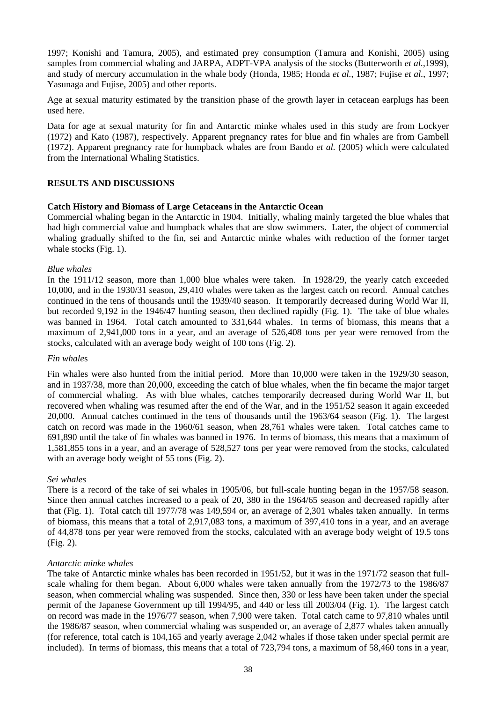1997; Konishi and Tamura*,* 2005), and estimated prey consumption (Tamura and Konishi, 2005) using samples from commercial whaling and JARPA, ADPT-VPA analysis of the stocks (Butterworth *et al.*,1999), and study of mercury accumulation in the whale body (Honda, 1985; Honda *et al.*, 1987; Fujise *et al.*, 1997; Yasunaga and Fujise, 2005) and other reports.

Age at sexual maturity estimated by the transition phase of the growth layer in cetacean earplugs has been used here.

Data for age at sexual maturity for fin and Antarctic minke whales used in this study are from Lockyer (1972) and Kato (1987), respectively. Apparent pregnancy rates for blue and fin whales are from Gambell (1972). Apparent pregnancy rate for humpback whales are from Bando *et al.* (2005) which were calculated from the International Whaling Statistics.

# **RESULTS AND DISCUSSIONS**

### **Catch History and Biomass of Large Cetaceans in the Antarctic Ocean**

Commercial whaling began in the Antarctic in 1904. Initially, whaling mainly targeted the blue whales that had high commercial value and humpback whales that are slow swimmers. Later, the object of commercial whaling gradually shifted to the fin, sei and Antarctic minke whales with reduction of the former target whale stocks (Fig. 1).

### *Blue whales*

In the 1911/12 season, more than 1,000 blue whales were taken. In 1928/29, the yearly catch exceeded 10,000, and in the 1930/31 season, 29,410 whales were taken as the largest catch on record. Annual catches continued in the tens of thousands until the 1939/40 season. It temporarily decreased during World War II, but recorded 9,192 in the 1946/47 hunting season, then declined rapidly (Fig. 1). The take of blue whales was banned in 1964. Total catch amounted to 331,644 whales. In terms of biomass, this means that a maximum of 2,941,000 tons in a year, and an average of 526,408 tons per year were removed from the stocks, calculated with an average body weight of 100 tons (Fig. 2).

### *Fin whale*s

Fin whales were also hunted from the initial period. More than 10,000 were taken in the 1929/30 season, and in 1937/38, more than 20,000, exceeding the catch of blue whales, when the fin became the major target of commercial whaling. As with blue whales, catches temporarily decreased during World War II, but recovered when whaling was resumed after the end of the War, and in the 1951/52 season it again exceeded 20,000. Annual catches continued in the tens of thousands until the 1963/64 season (Fig. 1). The largest catch on record was made in the 1960/61 season, when 28,761 whales were taken. Total catches came to 691,890 until the take of fin whales was banned in 1976. In terms of biomass, this means that a maximum of 1,581,855 tons in a year, and an average of 528,527 tons per year were removed from the stocks, calculated with an average body weight of 55 tons (Fig. 2).

### *Sei whales*

There is a record of the take of sei whales in 1905/06, but full-scale hunting began in the 1957/58 season. Since then annual catches increased to a peak of 20, 380 in the 1964/65 season and decreased rapidly after that (Fig. 1). Total catch till 1977/78 was 149,594 or, an average of 2,301 whales taken annually. In terms of biomass, this means that a total of 2,917,083 tons, a maximum of 397,410 tons in a year, and an average of 44,878 tons per year were removed from the stocks, calculated with an average body weight of 19.5 tons (Fig. 2).

### *Antarctic minke whales*

The take of Antarctic minke whales has been recorded in 1951/52, but it was in the 1971/72 season that fullscale whaling for them began. About 6,000 whales were taken annually from the 1972/73 to the 1986/87 season, when commercial whaling was suspended. Since then, 330 or less have been taken under the special permit of the Japanese Government up till 1994/95, and 440 or less till 2003/04 (Fig. 1). The largest catch on record was made in the 1976/77 season, when 7,900 were taken. Total catch came to 97,810 whales until the 1986/87 season, when commercial whaling was suspended or, an average of 2,877 whales taken annually (for reference, total catch is 104,165 and yearly average 2,042 whales if those taken under special permit are included). In terms of biomass, this means that a total of 723,794 tons, a maximum of 58,460 tons in a year,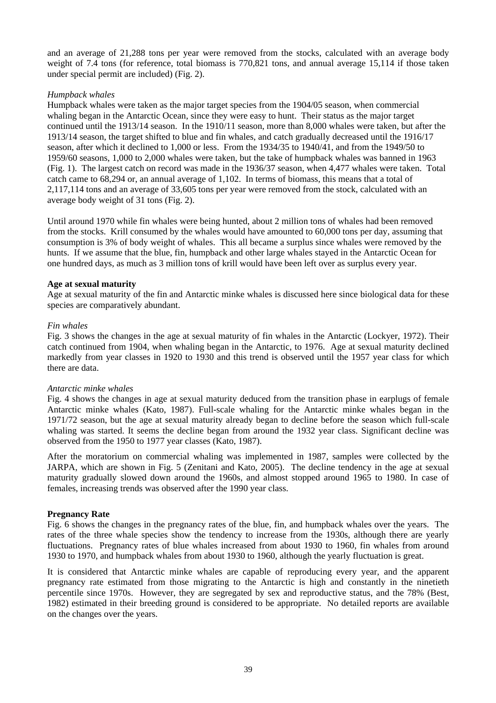and an average of 21,288 tons per year were removed from the stocks, calculated with an average body weight of 7.4 tons (for reference, total biomass is 770,821 tons, and annual average 15,114 if those taken under special permit are included) (Fig. 2).

### *Humpback whales*

Humpback whales were taken as the major target species from the 1904/05 season, when commercial whaling began in the Antarctic Ocean, since they were easy to hunt. Their status as the major target continued until the 1913/14 season. In the 1910/11 season, more than 8,000 whales were taken, but after the 1913/14 season, the target shifted to blue and fin whales, and catch gradually decreased until the 1916/17 season, after which it declined to 1,000 or less. From the 1934/35 to 1940/41, and from the 1949/50 to 1959/60 seasons, 1,000 to 2,000 whales were taken, but the take of humpback whales was banned in 1963 (Fig. 1). The largest catch on record was made in the 1936/37 season, when 4,477 whales were taken. Total catch came to 68,294 or, an annual average of 1,102. In terms of biomass, this means that a total of 2,117,114 tons and an average of 33,605 tons per year were removed from the stock, calculated with an average body weight of 31 tons (Fig. 2).

Until around 1970 while fin whales were being hunted, about 2 million tons of whales had been removed from the stocks. Krill consumed by the whales would have amounted to 60,000 tons per day, assuming that consumption is 3% of body weight of whales. This all became a surplus since whales were removed by the hunts. If we assume that the blue, fin, humpback and other large whales stayed in the Antarctic Ocean for one hundred days, as much as 3 million tons of krill would have been left over as surplus every year.

### **Age at sexual maturity**

Age at sexual maturity of the fin and Antarctic minke whales is discussed here since biological data for these species are comparatively abundant.

### *Fin whales*

Fig. 3 shows the changes in the age at sexual maturity of fin whales in the Antarctic (Lockyer, 1972). Their catch continued from 1904, when whaling began in the Antarctic, to 1976. Age at sexual maturity declined markedly from year classes in 1920 to 1930 and this trend is observed until the 1957 year class for which there are data.

### *Antarctic minke whales*

Fig. 4 shows the changes in age at sexual maturity deduced from the transition phase in earplugs of female Antarctic minke whales (Kato, 1987). Full-scale whaling for the Antarctic minke whales began in the 1971/72 season, but the age at sexual maturity already began to decline before the season which full-scale whaling was started. It seems the decline began from around the 1932 year class. Significant decline was observed from the 1950 to 1977 year classes (Kato, 1987).

After the moratorium on commercial whaling was implemented in 1987, samples were collected by the JARPA, which are shown in Fig. 5 (Zenitani and Kato, 2005). The decline tendency in the age at sexual maturity gradually slowed down around the 1960s, and almost stopped around 1965 to 1980. In case of females, increasing trends was observed after the 1990 year class.

# **Pregnancy Rate**

Fig. 6 shows the changes in the pregnancy rates of the blue, fin, and humpback whales over the years. The rates of the three whale species show the tendency to increase from the 1930s, although there are yearly fluctuations. Pregnancy rates of blue whales increased from about 1930 to 1960, fin whales from around 1930 to 1970, and humpback whales from about 1930 to 1960, although the yearly fluctuation is great.

It is considered that Antarctic minke whales are capable of reproducing every year, and the apparent pregnancy rate estimated from those migrating to the Antarctic is high and constantly in the ninetieth percentile since 1970s. However, they are segregated by sex and reproductive status, and the 78% (Best, 1982) estimated in their breeding ground is considered to be appropriate. No detailed reports are available on the changes over the years.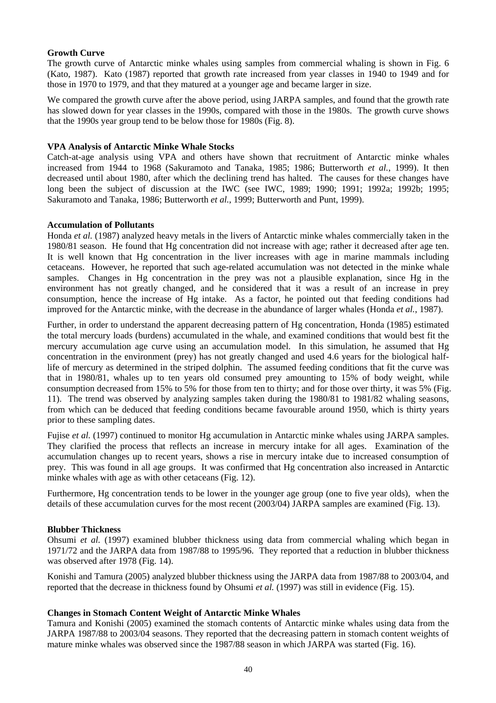### **Growth Curve**

The growth curve of Antarctic minke whales using samples from commercial whaling is shown in Fig. 6 (Kato, 1987). Kato (1987) reported that growth rate increased from year classes in 1940 to 1949 and for those in 1970 to 1979, and that they matured at a younger age and became larger in size.

We compared the growth curve after the above period, using JARPA samples, and found that the growth rate has slowed down for year classes in the 1990s, compared with those in the 1980s. The growth curve shows that the 1990s year group tend to be below those for 1980s (Fig. 8).

### **VPA Analysis of Antarctic Minke Whale Stocks**

Catch-at-age analysis using VPA and others have shown that recruitment of Antarctic minke whales increased from 1944 to 1968 (Sakuramoto and Tanaka, 1985; 1986; Butterworth *et al.*, 1999). It then decreased until about 1980, after which the declining trend has halted. The causes for these changes have long been the subject of discussion at the IWC (see IWC, 1989; 1990; 1991; 1992a; 1992b; 1995; Sakuramoto and Tanaka, 1986; Butterworth *et al.*, 1999; Butterworth and Punt, 1999).

### **Accumulation of Pollutants**

Honda *et al.* (1987) analyzed heavy metals in the livers of Antarctic minke whales commercially taken in the 1980/81 season. He found that Hg concentration did not increase with age; rather it decreased after age ten. It is well known that Hg concentration in the liver increases with age in marine mammals including cetaceans. However, he reported that such age-related accumulation was not detected in the minke whale samples. Changes in Hg concentration in the prey was not a plausible explanation, since Hg in the environment has not greatly changed, and he considered that it was a result of an increase in prey consumption, hence the increase of Hg intake. As a factor, he pointed out that feeding conditions had improved for the Antarctic minke, with the decrease in the abundance of larger whales (Honda *et al.*, 1987).

Further, in order to understand the apparent decreasing pattern of Hg concentration, Honda (1985) estimated the total mercury loads (burdens) accumulated in the whale, and examined conditions that would best fit the mercury accumulation age curve using an accumulation model. In this simulation, he assumed that Hg concentration in the environment (prey) has not greatly changed and used 4.6 years for the biological halflife of mercury as determined in the striped dolphin. The assumed feeding conditions that fit the curve was that in 1980/81, whales up to ten years old consumed prey amounting to 15% of body weight, while consumption decreased from 15% to 5% for those from ten to thirty; and for those over thirty, it was 5% (Fig. 11). The trend was observed by analyzing samples taken during the 1980/81 to 1981/82 whaling seasons, from which can be deduced that feeding conditions became favourable around 1950, which is thirty years prior to these sampling dates.

Fujise *et al.* (1997) continued to monitor Hg accumulation in Antarctic minke whales using JARPA samples. They clarified the process that reflects an increase in mercury intake for all ages. Examination of the accumulation changes up to recent years, shows a rise in mercury intake due to increased consumption of prey. This was found in all age groups. It was confirmed that Hg concentration also increased in Antarctic minke whales with age as with other cetaceans (Fig. 12).

Furthermore, Hg concentration tends to be lower in the younger age group (one to five year olds), when the details of these accumulation curves for the most recent (2003/04) JARPA samples are examined (Fig. 13).

### **Blubber Thickness**

Ohsumi *et al.* (1997) examined blubber thickness using data from commercial whaling which began in 1971/72 and the JARPA data from 1987/88 to 1995/96. They reported that a reduction in blubber thickness was observed after 1978 (Fig. 14).

Konishi and Tamura (2005) analyzed blubber thickness using the JARPA data from 1987/88 to 2003/04, and reported that the decrease in thickness found by Ohsumi *et al.* (1997) was still in evidence (Fig. 15).

### **Changes in Stomach Content Weight of Antarctic Minke Whales**

Tamura and Konishi (2005) examined the stomach contents of Antarctic minke whales using data from the JARPA 1987/88 to 2003/04 seasons. They reported that the decreasing pattern in stomach content weights of mature minke whales was observed since the 1987/88 season in which JARPA was started (Fig. 16).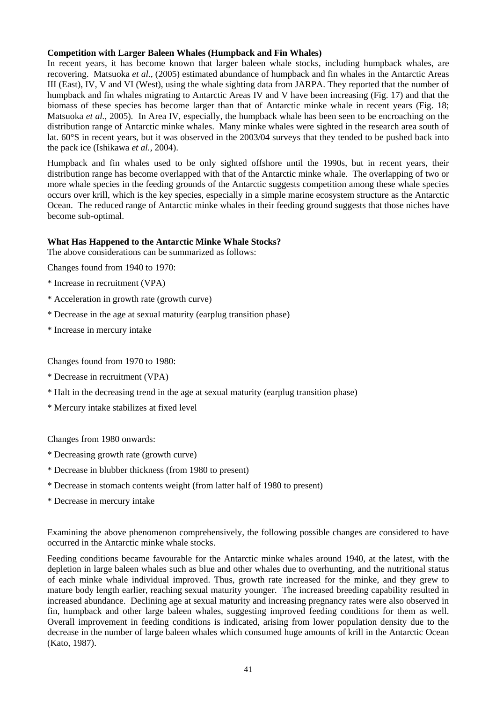## **Competition with Larger Baleen Whales (Humpback and Fin Whales)**

In recent years, it has become known that larger baleen whale stocks, including humpback whales, are recovering. Matsuoka *et al.*, (2005) estimated abundance of humpback and fin whales in the Antarctic Areas III (East), IV, V and VI (West), using the whale sighting data from JARPA. They reported that the number of humpback and fin whales migrating to Antarctic Areas IV and V have been increasing (Fig. 17) and that the biomass of these species has become larger than that of Antarctic minke whale in recent years (Fig. 18; Matsuoka *et al.*, 2005). In Area IV, especially, the humpback whale has been seen to be encroaching on the distribution range of Antarctic minke whales. Many minke whales were sighted in the research area south of lat. 60°S in recent years, but it was observed in the 2003/04 surveys that they tended to be pushed back into the pack ice (Ishikawa *et al.*, 2004).

Humpback and fin whales used to be only sighted offshore until the 1990s, but in recent years, their distribution range has become overlapped with that of the Antarctic minke whale. The overlapping of two or more whale species in the feeding grounds of the Antarctic suggests competition among these whale species occurs over krill, which is the key species, especially in a simple marine ecosystem structure as the Antarctic Ocean. The reduced range of Antarctic minke whales in their feeding ground suggests that those niches have become sub-optimal.

# **What Has Happened to the Antarctic Minke Whale Stocks?**

The above considerations can be summarized as follows:

Changes found from 1940 to 1970:

- \* Increase in recruitment (VPA)
- \* Acceleration in growth rate (growth curve)
- \* Decrease in the age at sexual maturity (earplug transition phase)
- \* Increase in mercury intake

Changes found from 1970 to 1980:

- \* Decrease in recruitment (VPA)
- \* Halt in the decreasing trend in the age at sexual maturity (earplug transition phase)
- \* Mercury intake stabilizes at fixed level

Changes from 1980 onwards:

- \* Decreasing growth rate (growth curve)
- \* Decrease in blubber thickness (from 1980 to present)
- \* Decrease in stomach contents weight (from latter half of 1980 to present)
- \* Decrease in mercury intake

Examining the above phenomenon comprehensively, the following possible changes are considered to have occurred in the Antarctic minke whale stocks.

Feeding conditions became favourable for the Antarctic minke whales around 1940, at the latest, with the depletion in large baleen whales such as blue and other whales due to overhunting, and the nutritional status of each minke whale individual improved. Thus, growth rate increased for the minke, and they grew to mature body length earlier, reaching sexual maturity younger. The increased breeding capability resulted in increased abundance. Declining age at sexual maturity and increasing pregnancy rates were also observed in fin, humpback and other large baleen whales, suggesting improved feeding conditions for them as well. Overall improvement in feeding conditions is indicated, arising from lower population density due to the decrease in the number of large baleen whales which consumed huge amounts of krill in the Antarctic Ocean (Kato, 1987).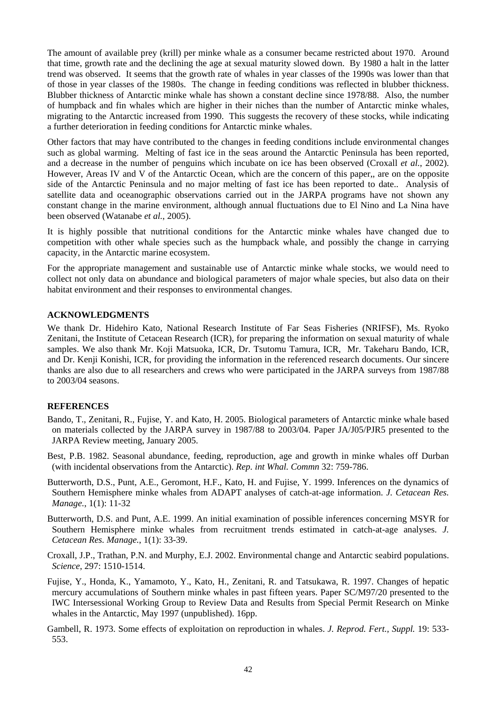The amount of available prey (krill) per minke whale as a consumer became restricted about 1970. Around that time, growth rate and the declining the age at sexual maturity slowed down. By 1980 a halt in the latter trend was observed. It seems that the growth rate of whales in year classes of the 1990s was lower than that of those in year classes of the 1980s. The change in feeding conditions was reflected in blubber thickness. Blubber thickness of Antarctic minke whale has shown a constant decline since 1978/88. Also, the number of humpback and fin whales which are higher in their niches than the number of Antarctic minke whales, migrating to the Antarctic increased from 1990. This suggests the recovery of these stocks, while indicating a further deterioration in feeding conditions for Antarctic minke whales.

Other factors that may have contributed to the changes in feeding conditions include environmental changes such as global warming. Melting of fast ice in the seas around the Antarctic Peninsula has been reported, and a decrease in the number of penguins which incubate on ice has been observed (Croxall *et al.*, 2002). However, Areas IV and V of the Antarctic Ocean, which are the concern of this paper,, are on the opposite side of the Antarctic Peninsula and no major melting of fast ice has been reported to date.. Analysis of satellite data and oceanographic observations carried out in the JARPA programs have not shown any constant change in the marine environment, although annual fluctuations due to El Nino and La Nina have been observed (Watanabe *et al.*, 2005).

It is highly possible that nutritional conditions for the Antarctic minke whales have changed due to competition with other whale species such as the humpback whale, and possibly the change in carrying capacity, in the Antarctic marine ecosystem.

For the appropriate management and sustainable use of Antarctic minke whale stocks, we would need to collect not only data on abundance and biological parameters of major whale species, but also data on their habitat environment and their responses to environmental changes.

### **ACKNOWLEDGMENTS**

We thank Dr. Hidehiro Kato, National Research Institute of Far Seas Fisheries (NRIFSF), Ms. Ryoko Zenitani, the Institute of Cetacean Research (ICR), for preparing the information on sexual maturity of whale samples. We also thank Mr. Koji Matsuoka, ICR, Dr. Tsutomu Tamura, ICR, Mr. Takeharu Bando, ICR, and Dr. Kenji Konishi, ICR, for providing the information in the referenced research documents. Our sincere thanks are also due to all researchers and crews who were participated in the JARPA surveys from 1987/88 to 2003/04 seasons.

### **REFERENCES**

- Bando, T., Zenitani, R., Fujise, Y. and Kato, H. 2005. Biological parameters of Antarctic minke whale based on materials collected by the JARPA survey in 1987/88 to 2003/04. Paper JA/J05/PJR5 presented to the JARPA Review meeting, January 2005.
- Best, P.B. 1982. Seasonal abundance, feeding, reproduction, age and growth in minke whales off Durban (with incidental observations from the Antarctic). *Rep. int Whal. Commn* 32: 759-786.
- Butterworth, D.S., Punt, A.E., Geromont, H.F., Kato, H. and Fujise, Y. 1999. Inferences on the dynamics of Southern Hemisphere minke whales from ADAPT analyses of catch-at-age information. *J. Cetacean Res. Manage.*, 1(1): 11-32
- Butterworth, D.S. and Punt, A.E. 1999. An initial examination of possible inferences concerning MSYR for Southern Hemisphere minke whales from recruitment trends estimated in catch-at-age analyses. *J. Cetacean Res. Manage.*, 1(1): 33-39.
- Croxall, J.P., Trathan, P.N. and Murphy, E.J. 2002. Environmental change and Antarctic seabird populations. *Science*, 297: 1510-1514.
- Fujise, Y., Honda, K., Yamamoto, Y., Kato, H., Zenitani, R. and Tatsukawa, R. 1997. Changes of hepatic mercury accumulations of Southern minke whales in past fifteen years. Paper SC/M97/20 presented to the IWC Intersessional Working Group to Review Data and Results from Special Permit Research on Minke whales in the Antarctic, May 1997 (unpublished). 16pp.
- Gambell, R. 1973. Some effects of exploitation on reproduction in whales. *J. Reprod. Fert., Suppl.* 19: 533- 553.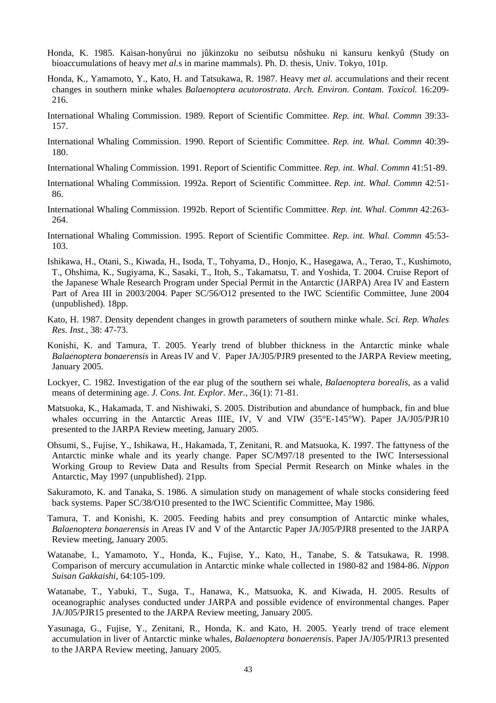- Honda, K. 1985. Kaisan-honyûrui no jûkinzoku no seibutsu nôshuku ni kansuru kenkyû (Study on bioaccumulations of heavy m*et al.*s in marine mammals). Ph. D. thesis, Univ. Tokyo, 101p.
- Honda, K., Yamamoto, Y., Kato, H. and Tatsukawa, R. 1987. Heavy m*et al.* accumulations and their recent changes in southern minke whales *Balaenoptera acutorostrata*. *Arch. Environ. Contam. Toxicol.* 16:209- 216.
- International Whaling Commission. 1989. Report of Scientific Committee. *Rep. int. Whal. Commn* 39:33- 157.
- International Whaling Commission. 1990. Report of Scientific Committee. *Rep. int. Whal. Commn* 40:39- 180.
- International Whaling Commission. 1991. Report of Scientific Committee. *Rep. int. Whal. Commn* 41:51-89.
- International Whaling Commission. 1992a. Report of Scientific Committee. *Rep. int. Whal. Commn* 42:51- 86.
- International Whaling Commission. 1992b. Report of Scientific Committee. *Rep. int. Whal. Commn* 42:263- 264.
- International Whaling Commission. 1995. Report of Scientific Committee. *Rep. int. Whal. Commn* 45:53- 103.
- Ishikawa, H., Otani, S., Kiwada, H., Isoda, T., Tohyama, D., Honjo, K., Hasegawa, A., Terao, T., Kushimoto, T., Ohshima, K., Sugiyama, K., Sasaki, T., Itoh, S., Takamatsu, T. and Yoshida, T. 2004. Cruise Report of the Japanese Whale Research Program under Special Permit in the Antarctic (JARPA) Area IV and Eastern Part of Area III in 2003/2004. Paper SC/56/O12 presented to the IWC Scientific Committee, June 2004 (unpublished). 18pp.
- Kato, H. 1987. Density dependent changes in growth parameters of southern minke whale. *Sci. Rep. Whales Res. Inst.*, 38: 47-73.
- Konishi, K. and Tamura, T. 2005. Yearly trend of blubber thickness in the Antarctic minke whale *Balaenoptera bonaerensis* in Areas IV and V. Paper JA/J05/PJR9 presented to the JARPA Review meeting, January 2005.
- Lockyer, C. 1982. Investigation of the ear plug of the southern sei whale, *Balaenoptera borealis*, as a valid means of determining age. *J. Cons. Int. Explor. Mer.*, 36(1): 71-81.
- Matsuoka, K., Hakamada, T. and Nishiwaki, S. 2005. Distribution and abundance of humpback, fin and blue whales occurring in the Antarctic Areas IIIE, IV, V and VIW (35°E-145°W). Paper JA/J05/PJR10 presented to the JARPA Review meeting, January 2005.
- Ohsumi, S., Fujise, Y., Ishikawa, H., Hakamada, T, Zenitani, R. and Matsuoka, K. 1997. The fattyness of the Antarctic minke whale and its yearly change. Paper SC/M97/18 presented to the IWC Intersessional Working Group to Review Data and Results from Special Permit Research on Minke whales in the Antarctic, May 1997 (unpublished). 21pp.
- Sakuramoto, K. and Tanaka, S. 1986. A simulation study on management of whale stocks considering feed back systems. Paper SC/38/O10 presented to the IWC Scientific Committee, May 1986.
- Tamura, T. and Konishi, K. 2005. Feeding habits and prey consumption of Antarctic minke whales, *Balaenoptera bonaerensis* in Areas IV and V of the Antarctic Paper JA/J05/PJR8 presented to the JARPA Review meeting, January 2005.
- Watanabe, I., Yamamoto, Y., Honda, K., Fujise, Y., Kato, H., Tanabe, S. & Tatsukawa, R. 1998. Comparison of mercury accumulation in Antarctic minke whale collected in 1980-82 and 1984-86. *Nippon Suisan Gakkaishi*, 64:105-109.
- Watanabe, T., Yabuki, T., Suga, T., Hanawa, K., Matsuoka, K. and Kiwada, H. 2005. Results of oceanographic analyses conducted under JARPA and possible evidence of environmental changes. Paper JA/J05/PJR15 presented to the JARPA Review meeting, January 2005.
- Yasunaga, G., Fujise, Y., Zenitani, R., Honda, K. and Kato, H. 2005. Yearly trend of trace element accumulation in liver of Antarctic minke whales, *Balaenoptera bonaerensis*. Paper JA/J05/PJR13 presented to the JARPA Review meeting, January 2005.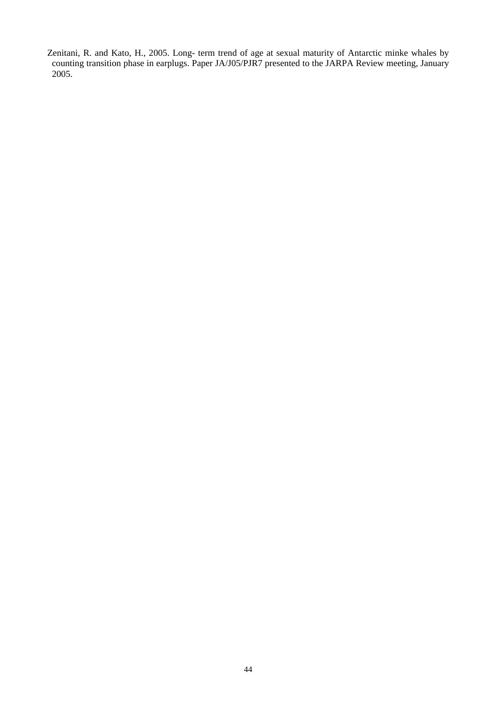Zenitani, R. and Kato, H., 2005. Long- term trend of age at sexual maturity of Antarctic minke whales by counting transition phase in earplugs. Paper JA/J05/PJR7 presented to the JARPA Review meeting, January 2005.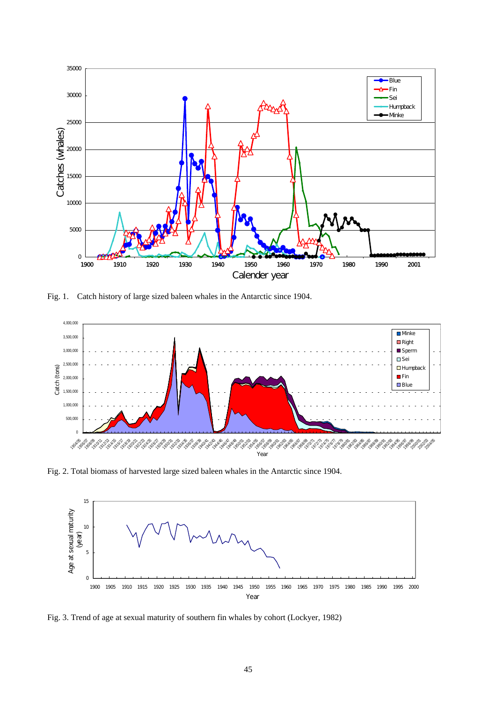

Fig. 1. Catch history of large sized baleen whales in the Antarctic since 1904.



Fig. 2. Total biomass of harvested large sized baleen whales in the Antarctic since 1904.



Fig. 3. Trend of age at sexual maturity of southern fin whales by cohort (Lockyer, 1982)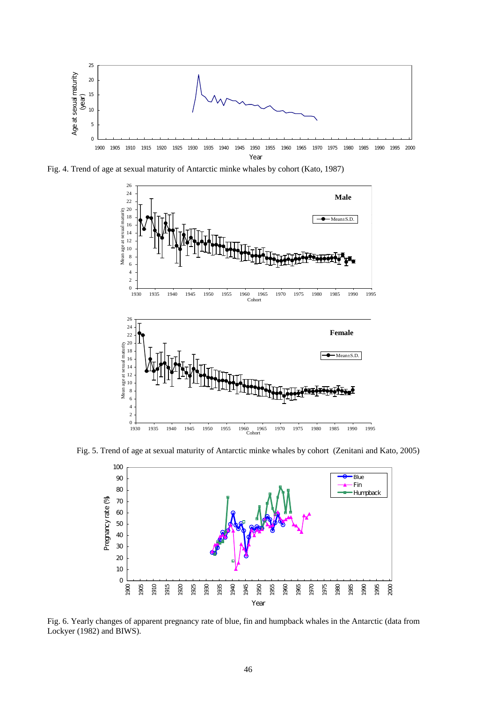

Fig. 4. Trend of age at sexual maturity of Antarctic minke whales by cohort (Kato, 1987)



Fig. 5. Trend of age at sexual maturity of Antarctic minke whales by cohort (Zenitani and Kato, 2005)



Fig. 6. Yearly changes of apparent pregnancy rate of blue, fin and humpback whales in the Antarctic (data from Lockyer (1982) and BIWS).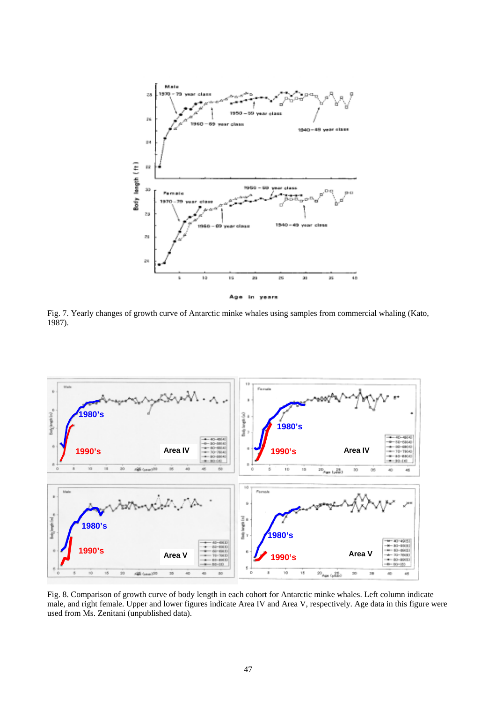

Fig. 7. Yearly changes of growth curve of Antarctic minke whales using samples from commercial whaling (Kato, 1987).



Fig. 8. Comparison of growth curve of body length in each cohort for Antarctic minke whales. Left column indicate male, and right female. Upper and lower figures indicate Area IV and Area V, respectively. Age data in this figure were used from Ms. Zenitani (unpublished data).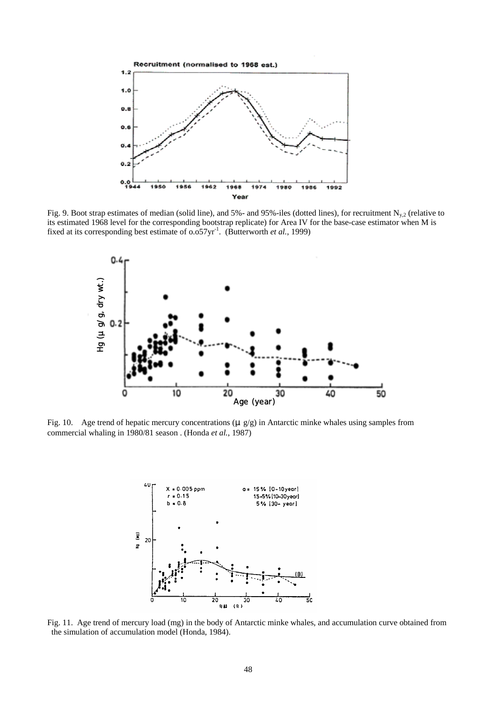

Fig. 9. Boot strap estimates of median (solid line), and 5%- and 95%-iles (dotted lines), for recruitment  $N_{y,2}$  (relative to its estimated 1968 level for the corresponding bootstrap replicate) for Area IV for the base-case estimator when M is fixed at its corresponding best estimate of 0.057yr<sup>-1</sup>. (Butterworth *et al.*, 1999)



Fig. 10. Age trend of hepatic mercury concentrations ( $\mu$  g/g) in Antarctic minke whales using samples from commercial whaling in 1980/81 season . (Honda *et al.*, 1987)



Fig. 11. Age trend of mercury load (mg) in the body of Antarctic minke whales, and accumulation curve obtained from the simulation of accumulation model (Honda, 1984).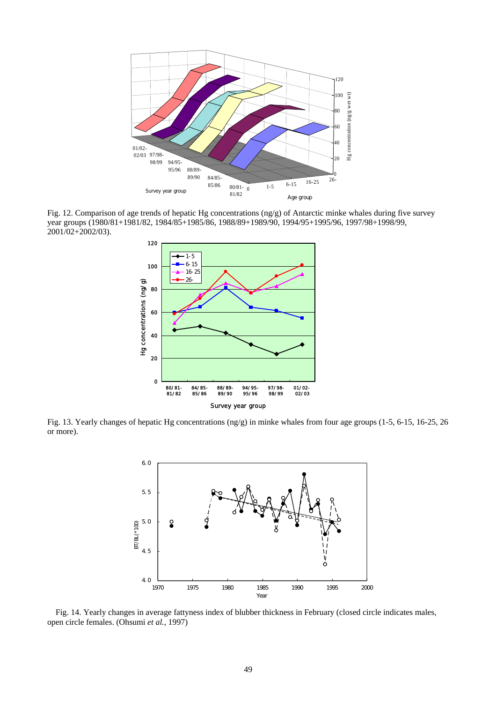

Fig. 12. Comparison of age trends of hepatic Hg concentrations (ng/g) of Antarctic minke whales during five survey year groups (1980/81+1981/82, 1984/85+1985/86, 1988/89+1989/90, 1994/95+1995/96, 1997/98+1998/99, 2001/02+2002/03).



Fig. 13. Yearly changes of hepatic Hg concentrations (ng/g) in minke whales from four age groups (1-5, 6-15, 16-25, 26 or more).



Fig. 14. Yearly changes in average fattyness index of blubber thickness in February (closed circle indicates males, open circle females. (Ohsumi *et al.*, 1997)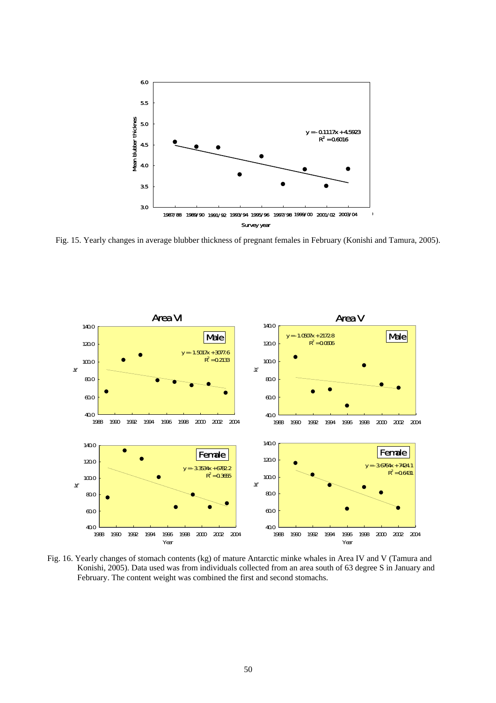

Fig. 15. Yearly changes in average blubber thickness of pregnant females in February (Konishi and Tamura, 2005).



Fig. 16. Yearly changes of stomach contents (kg) of mature Antarctic minke whales in Area IV and V (Tamura and Konishi, 2005). Data used was from individuals collected from an area south of 63 degree S in January and February. The content weight was combined the first and second stomachs.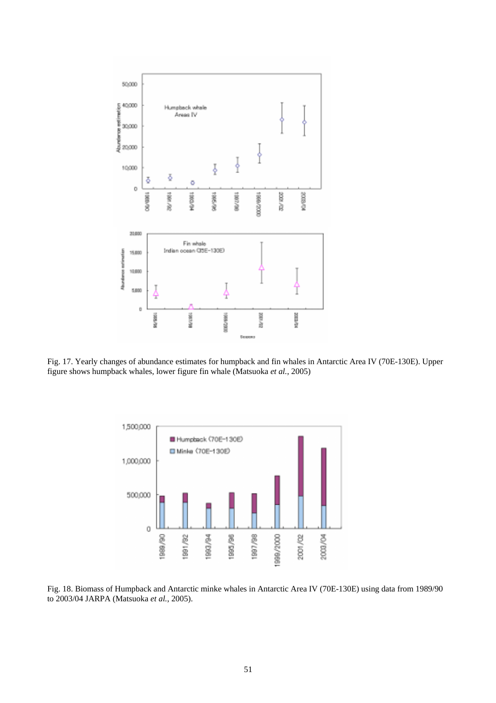

Fig. 17. Yearly changes of abundance estimates for humpback and fin whales in Antarctic Area IV (70E-130E). Upper figure shows humpback whales, lower figure fin whale (Matsuoka *et al.*, 2005)



Fig. 18. Biomass of Humpback and Antarctic minke whales in Antarctic Area IV (70E-130E) using data from 1989/90 to 2003/04 JARPA (Matsuoka *et al.*, 2005).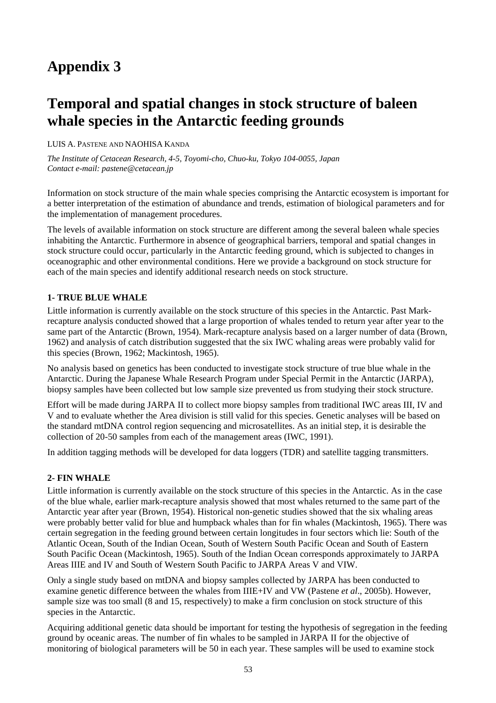# **Temporal and spatial changes in stock structure of baleen whale species in the Antarctic feeding grounds**

### LUIS A. PASTENE AND NAOHISA KANDA

*The Institute of Cetacean Research, 4-5, Toyomi-cho, Chuo-ku, Tokyo 104-0055, Japan Contact e-mail: pastene@cetacean.jp* 

Information on stock structure of the main whale species comprising the Antarctic ecosystem is important for a better interpretation of the estimation of abundance and trends, estimation of biological parameters and for the implementation of management procedures.

The levels of available information on stock structure are different among the several baleen whale species inhabiting the Antarctic. Furthermore in absence of geographical barriers, temporal and spatial changes in stock structure could occur, particularly in the Antarctic feeding ground, which is subjected to changes in oceanographic and other environmental conditions. Here we provide a background on stock structure for each of the main species and identify additional research needs on stock structure.

### **1- TRUE BLUE WHALE**

Little information is currently available on the stock structure of this species in the Antarctic. Past Markrecapture analysis conducted showed that a large proportion of whales tended to return year after year to the same part of the Antarctic (Brown, 1954). Mark-recapture analysis based on a larger number of data (Brown, 1962) and analysis of catch distribution suggested that the six IWC whaling areas were probably valid for this species (Brown, 1962; Mackintosh, 1965).

No analysis based on genetics has been conducted to investigate stock structure of true blue whale in the Antarctic. During the Japanese Whale Research Program under Special Permit in the Antarctic (JARPA), biopsy samples have been collected but low sample size prevented us from studying their stock structure.

Effort will be made during JARPA II to collect more biopsy samples from traditional IWC areas III, IV and V and to evaluate whether the Area division is still valid for this species. Genetic analyses will be based on the standard mtDNA control region sequencing and microsatellites. As an initial step, it is desirable the collection of 20-50 samples from each of the management areas (IWC, 1991).

In addition tagging methods will be developed for data loggers (TDR) and satellite tagging transmitters.

### **2- FIN WHALE**

Little information is currently available on the stock structure of this species in the Antarctic. As in the case of the blue whale, earlier mark-recapture analysis showed that most whales returned to the same part of the Antarctic year after year (Brown, 1954). Historical non-genetic studies showed that the six whaling areas were probably better valid for blue and humpback whales than for fin whales (Mackintosh, 1965). There was certain segregation in the feeding ground between certain longitudes in four sectors which lie: South of the Atlantic Ocean, South of the Indian Ocean, South of Western South Pacific Ocean and South of Eastern South Pacific Ocean (Mackintosh, 1965). South of the Indian Ocean corresponds approximately to JARPA Areas IIIE and IV and South of Western South Pacific to JARPA Areas V and VIW.

Only a single study based on mtDNA and biopsy samples collected by JARPA has been conducted to examine genetic difference between the whales from IIIE+IV and VW (Pastene *et al*., 2005b). However, sample size was too small (8 and 15, respectively) to make a firm conclusion on stock structure of this species in the Antarctic.

Acquiring additional genetic data should be important for testing the hypothesis of segregation in the feeding ground by oceanic areas. The number of fin whales to be sampled in JARPA II for the objective of monitoring of biological parameters will be 50 in each year. These samples will be used to examine stock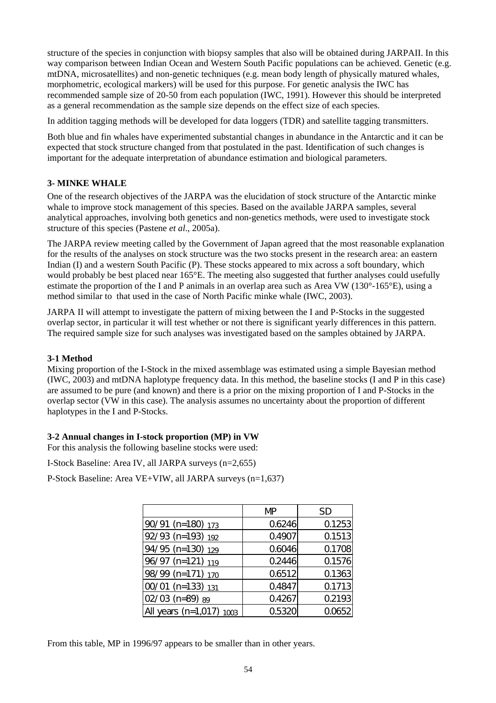structure of the species in conjunction with biopsy samples that also will be obtained during JARPAII. In this way comparison between Indian Ocean and Western South Pacific populations can be achieved. Genetic (e.g. mtDNA, microsatellites) and non-genetic techniques (e.g. mean body length of physically matured whales, morphometric, ecological markers) will be used for this purpose. For genetic analysis the IWC has recommended sample size of 20-50 from each population (IWC, 1991). However this should be interpreted as a general recommendation as the sample size depends on the effect size of each species.

In addition tagging methods will be developed for data loggers (TDR) and satellite tagging transmitters.

Both blue and fin whales have experimented substantial changes in abundance in the Antarctic and it can be expected that stock structure changed from that postulated in the past. Identification of such changes is important for the adequate interpretation of abundance estimation and biological parameters.

# **3- MINKE WHALE**

One of the research objectives of the JARPA was the elucidation of stock structure of the Antarctic minke whale to improve stock management of this species. Based on the available JARPA samples, several analytical approaches, involving both genetics and non-genetics methods, were used to investigate stock structure of this species (Pastene *et al*., 2005a).

The JARPA review meeting called by the Government of Japan agreed that the most reasonable explanation for the results of the analyses on stock structure was the two stocks present in the research area: an eastern Indian (I) and a western South Pacific (P). These stocks appeared to mix across a soft boundary, which would probably be best placed near 165°E. The meeting also suggested that further analyses could usefully estimate the proportion of the I and P animals in an overlap area such as Area VW (130°-165°E), using a method similar to that used in the case of North Pacific minke whale (IWC, 2003).

JARPA II will attempt to investigate the pattern of mixing between the I and P-Stocks in the suggested overlap sector, in particular it will test whether or not there is significant yearly differences in this pattern. The required sample size for such analyses was investigated based on the samples obtained by JARPA.

# **3-1 Method**

Mixing proportion of the I-Stock in the mixed assemblage was estimated using a simple Bayesian method (IWC, 2003) and mtDNA haplotype frequency data. In this method, the baseline stocks (I and P in this case) are assumed to be pure (and known) and there is a prior on the mixing proportion of I and P-Stocks in the overlap sector (VW in this case). The analysis assumes no uncertainty about the proportion of different haplotypes in the I and P-Stocks.

### **3-2 Annual changes in I-stock proportion (MP) in VW**

For this analysis the following baseline stocks were used:

I-Stock Baseline: Area IV, all JARPA surveys (n=2,655)

P-Stock Baseline: Area VE+VIW, all JARPA surveys (n=1,637)

|                            | MP     | SD     |
|----------------------------|--------|--------|
| 90/91 (n=180) 173          | 0.6246 | 0.1253 |
| 92/93 (n=193) 192          | 0.4907 | 0.1513 |
| 94/95 (n=130) 129          | 0.6046 | 0.1708 |
| 96/97 (n=121) 119          | 0.2446 | 0.1576 |
| 98/99 (n=171) 170          | 0.6512 | 0.1363 |
| 00/01 (n=133) 131          | 0.4847 | 0.1713 |
| 02/03 (n=89) 89            | 0.4267 | 0.2193 |
| All years (n=1,017) $1003$ | 0.5320 | 0.0652 |

From this table, MP in 1996/97 appears to be smaller than in other years.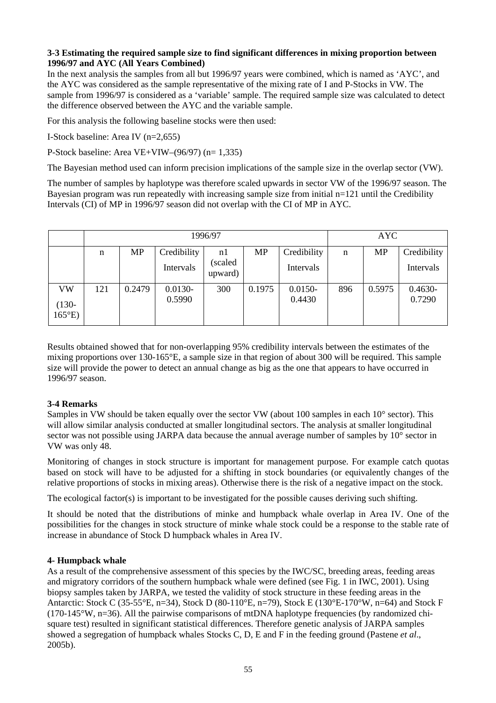## **3-3 Estimating the required sample size to find significant differences in mixing proportion between 1996/97 and AYC (All Years Combined)**

In the next analysis the samples from all but 1996/97 years were combined, which is named as 'AYC', and the AYC was considered as the sample representative of the mixing rate of I and P-Stocks in VW. The sample from 1996/97 is considered as a 'variable' sample. The required sample size was calculated to detect the difference observed between the AYC and the variable sample.

For this analysis the following baseline stocks were then used:

I-Stock baseline: Area IV (n=2,655)

P-Stock baseline: Area VE+VIW– $(96/97)$  (n= 1,335)

The Bayesian method used can inform precision implications of the sample size in the overlap sector (VW).

The number of samples by haplotype was therefore scaled upwards in sector VW of the 1996/97 season. The Bayesian program was run repeatedly with increasing sample size from initial n=121 until the Credibility Intervals (CI) of MP in 1996/97 season did not overlap with the CI of MP in AYC.

|                            |     |           | <b>AYC</b>  |                    |        |             |     |        |             |
|----------------------------|-----|-----------|-------------|--------------------|--------|-------------|-----|--------|-------------|
|                            | n   | <b>MP</b> | Credibility | nl                 | MP     | Credibility | n   | MP     | Credibility |
|                            |     |           | Intervals   | (scaled<br>upward) |        | Intervals   |     |        | Intervals   |
| <b>VW</b>                  | 121 | 0.2479    | $0.0130 -$  | 300                | 0.1975 | $0.0150 -$  | 896 | 0.5975 | $0.4630 -$  |
| $(130 -$<br>$165^{\circ}E$ |     |           | 0.5990      |                    |        | 0.4430      |     |        | 0.7290      |

Results obtained showed that for non-overlapping 95% credibility intervals between the estimates of the mixing proportions over 130-165°E, a sample size in that region of about 300 will be required. This sample size will provide the power to detect an annual change as big as the one that appears to have occurred in 1996/97 season.

# **3-4 Remarks**

Samples in VW should be taken equally over the sector VW (about 100 samples in each 10° sector). This will allow similar analysis conducted at smaller longitudinal sectors. The analysis at smaller longitudinal sector was not possible using JARPA data because the annual average number of samples by 10° sector in VW was only 48.

Monitoring of changes in stock structure is important for management purpose. For example catch quotas based on stock will have to be adjusted for a shifting in stock boundaries (or equivalently changes of the relative proportions of stocks in mixing areas). Otherwise there is the risk of a negative impact on the stock.

The ecological factor(s) is important to be investigated for the possible causes deriving such shifting.

It should be noted that the distributions of minke and humpback whale overlap in Area IV. One of the possibilities for the changes in stock structure of minke whale stock could be a response to the stable rate of increase in abundance of Stock D humpback whales in Area IV.

### **4- Humpback whale**

As a result of the comprehensive assessment of this species by the IWC/SC, breeding areas, feeding areas and migratory corridors of the southern humpback whale were defined (see Fig. 1 in IWC, 2001). Using biopsy samples taken by JARPA, we tested the validity of stock structure in these feeding areas in the Antarctic: Stock C (35-55°E, n=34), Stock D (80-110°E, n=79), Stock E (130°E-170°W, n=64) and Stock F  $(170-145\text{°W}, n=36)$ . All the pairwise comparisons of mtDNA haplotype frequencies (by randomized chisquare test) resulted in significant statistical differences. Therefore genetic analysis of JARPA samples showed a segregation of humpback whales Stocks C, D, E and F in the feeding ground (Pastene *et al*., 2005b).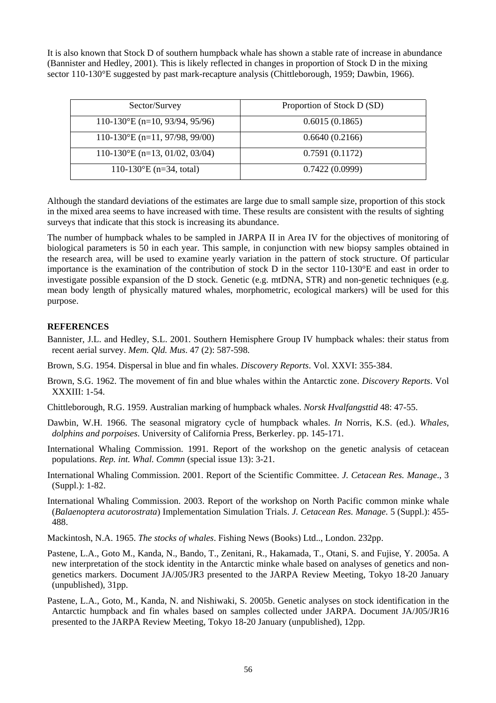It is also known that Stock D of southern humpback whale has shown a stable rate of increase in abundance (Bannister and Hedley, 2001). This is likely reflected in changes in proportion of Stock D in the mixing sector 110-130°E suggested by past mark-recapture analysis (Chittleborough, 1959; Dawbin, 1966).

| Sector/Survey                      | Proportion of Stock D (SD) |  |  |  |  |
|------------------------------------|----------------------------|--|--|--|--|
| $110-130$ °E (n=10, 93/94, 95/96)  | 0.6015(0.1865)             |  |  |  |  |
| $110-130$ °E (n=11, 97/98, 99/00)  | 0.6640(0.2166)             |  |  |  |  |
| $110-130$ °E (n=13, 01/02, 03/04)  | 0.7591(0.1172)             |  |  |  |  |
| 110-130 $\mathrm{E}$ (n=34, total) | 0.7422(0.0999)             |  |  |  |  |

Although the standard deviations of the estimates are large due to small sample size, proportion of this stock in the mixed area seems to have increased with time. These results are consistent with the results of sighting surveys that indicate that this stock is increasing its abundance.

The number of humpback whales to be sampled in JARPA II in Area IV for the objectives of monitoring of biological parameters is 50 in each year. This sample, in conjunction with new biopsy samples obtained in the research area, will be used to examine yearly variation in the pattern of stock structure. Of particular importance is the examination of the contribution of stock D in the sector 110-130°E and east in order to investigate possible expansion of the D stock. Genetic (e.g. mtDNA, STR) and non-genetic techniques (e.g. mean body length of physically matured whales, morphometric, ecological markers) will be used for this purpose.

# **REFERENCES**

- Bannister, J.L. and Hedley, S.L. 2001. Southern Hemisphere Group IV humpback whales: their status from recent aerial survey. *Mem. Qld. Mus*. 47 (2): 587-598.
- Brown, S.G. 1954. Dispersal in blue and fin whales. *Discovery Reports*. Vol. XXVI: 355-384.
- Brown, S.G. 1962. The movement of fin and blue whales within the Antarctic zone. *Discovery Reports*. Vol XXXIII: 1-54.
- Chittleborough, R.G. 1959. Australian marking of humpback whales. *Norsk Hvalfangsttid* 48: 47-55.
- Dawbin, W.H. 1966. The seasonal migratory cycle of humpback whales. *In* Norris, K.S. (ed.). *Whales, dolphins and porpoises*. University of California Press, Berkerley. pp. 145-171.
- International Whaling Commission. 1991. Report of the workshop on the genetic analysis of cetacean populations. *Rep. int. Whal. Commn* (special issue 13): 3-21.
- International Whaling Commission. 2001. Report of the Scientific Committee. *J. Cetacean Res. Manage*., 3 (Suppl.): 1-82.
- International Whaling Commission. 2003. Report of the workshop on North Pacific common minke whale (*Balaenoptera acutorostrata*) Implementation Simulation Trials. *J. Cetacean Res. Manage*. 5 (Suppl.): 455- 488.
- Mackintosh, N.A. 1965. *The stocks of whales*. Fishing News (Books) Ltd.., London. 232pp.
- Pastene, L.A., Goto M., Kanda, N., Bando, T., Zenitani, R., Hakamada, T., Otani, S. and Fujise, Y. 2005a. A new interpretation of the stock identity in the Antarctic minke whale based on analyses of genetics and nongenetics markers. Document JA/J05/JR3 presented to the JARPA Review Meeting, Tokyo 18-20 January (unpublished), 31pp.
- Pastene, L.A., Goto, M., Kanda, N. and Nishiwaki, S. 2005b. Genetic analyses on stock identification in the Antarctic humpback and fin whales based on samples collected under JARPA. Document JA/J05/JR16 presented to the JARPA Review Meeting, Tokyo 18-20 January (unpublished), 12pp.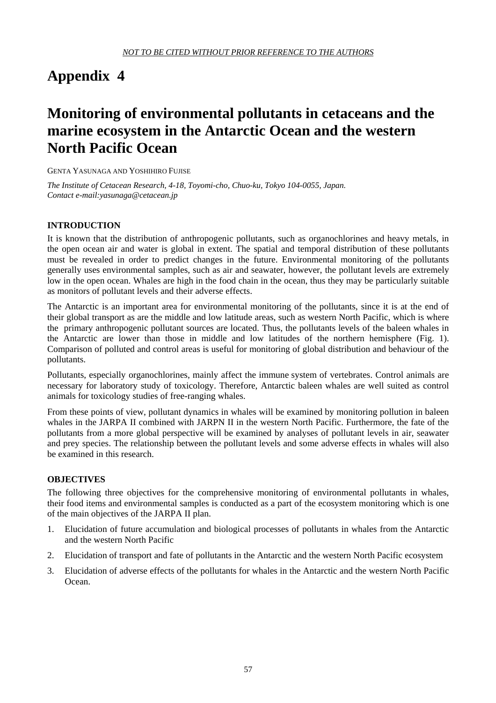# **Monitoring of environmental pollutants in cetaceans and the marine ecosystem in the Antarctic Ocean and the western North Pacific Ocean**

GENTA YASUNAGA AND YOSHIHIRO FUJISE

*The Institute of Cetacean Research, 4-18, Toyomi-cho, Chuo-ku, Tokyo 104-0055, Japan. Contact e-mail:yasunaga@cetacean.jp* 

# **INTRODUCTION**

It is known that the distribution of anthropogenic pollutants, such as organochlorines and heavy metals, in the open ocean air and water is global in extent. The spatial and temporal distribution of these pollutants must be revealed in order to predict changes in the future. Environmental monitoring of the pollutants generally uses environmental samples, such as air and seawater, however, the pollutant levels are extremely low in the open ocean. Whales are high in the food chain in the ocean, thus they may be particularly suitable as monitors of pollutant levels and their adverse effects.

The Antarctic is an important area for environmental monitoring of the pollutants, since it is at the end of their global transport as are the middle and low latitude areas, such as western North Pacific, which is where the primary anthropogenic pollutant sources are located. Thus, the pollutants levels of the baleen whales in the Antarctic are lower than those in middle and low latitudes of the northern hemisphere (Fig. 1). Comparison of polluted and control areas is useful for monitoring of global distribution and behaviour of the pollutants.

Pollutants, especially organochlorines, mainly affect the immune system of vertebrates. Control animals are necessary for laboratory study of toxicology. Therefore, Antarctic baleen whales are well suited as control animals for toxicology studies of free-ranging whales.

From these points of view, pollutant dynamics in whales will be examined by monitoring pollution in baleen whales in the JARPA II combined with JARPN II in the western North Pacific. Furthermore, the fate of the pollutants from a more global perspective will be examined by analyses of pollutant levels in air, seawater and prey species. The relationship between the pollutant levels and some adverse effects in whales will also be examined in this research.

### **OBJECTIVES**

The following three objectives for the comprehensive monitoring of environmental pollutants in whales, their food items and environmental samples is conducted as a part of the ecosystem monitoring which is one of the main objectives of the JARPA II plan.

- 1. Elucidation of future accumulation and biological processes of pollutants in whales from the Antarctic and the western North Pacific
- 2. Elucidation of transport and fate of pollutants in the Antarctic and the western North Pacific ecosystem
- 3. Elucidation of adverse effects of the pollutants for whales in the Antarctic and the western North Pacific Ocean.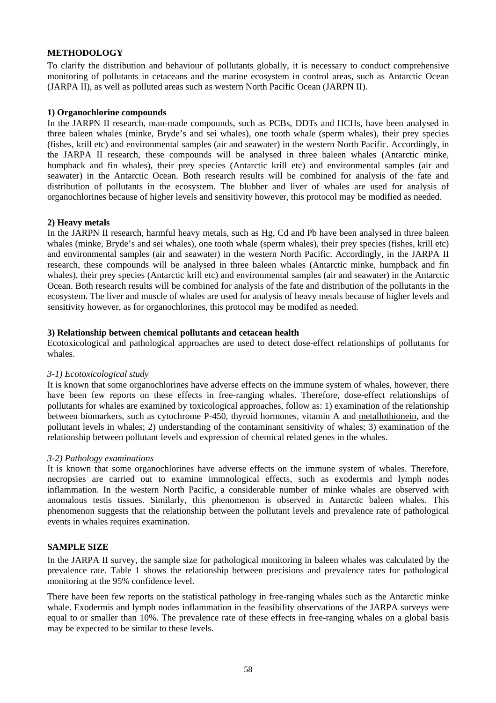### **METHODOLOGY**

To clarify the distribution and behaviour of pollutants globally, it is necessary to conduct comprehensive monitoring of pollutants in cetaceans and the marine ecosystem in control areas, such as Antarctic Ocean (JARPA II), as well as polluted areas such as western North Pacific Ocean (JARPN II).

### **1) Organochlorine compounds**

In the JARPN II research, man-made compounds, such as PCBs, DDTs and HCHs, have been analysed in three baleen whales (minke, Bryde's and sei whales), one tooth whale (sperm whales), their prey species (fishes, krill etc) and environmental samples (air and seawater) in the western North Pacific. Accordingly, in the JARPA II research, these compounds will be analysed in three baleen whales (Antarctic minke, humpback and fin whales), their prey species (Antarctic krill etc) and environmental samples (air and seawater) in the Antarctic Ocean. Both research results will be combined for analysis of the fate and distribution of pollutants in the ecosystem. The blubber and liver of whales are used for analysis of organochlorines because of higher levels and sensitivity however, this protocol may be modified as needed.

### **2) Heavy metals**

In the JARPN II research, harmful heavy metals, such as Hg, Cd and Pb have been analysed in three baleen whales (minke, Bryde's and sei whales), one tooth whale (sperm whales), their prey species (fishes, krill etc) and environmental samples (air and seawater) in the western North Pacific. Accordingly, in the JARPA II research, these compounds will be analysed in three baleen whales (Antarctic minke, humpback and fin whales), their prey species (Antarctic krill etc) and environmental samples (air and seawater) in the Antarctic Ocean. Both research results will be combined for analysis of the fate and distribution of the pollutants in the ecosystem. The liver and muscle of whales are used for analysis of heavy metals because of higher levels and sensitivity however, as for organochlorines, this protocol may be modifed as needed.

### **3) Relationship between chemical pollutants and cetacean health**

Ecotoxicological and pathological approaches are used to detect dose-effect relationships of pollutants for whales.

### *3-1) Ecotoxicological study*

It is known that some organochlorines have adverse effects on the immune system of whales, however, there have been few reports on these effects in free-ranging whales. Therefore, dose-effect relationships of pollutants for whales are examined by toxicological approaches, follow as: 1) examination of the relationship between biomarkers, such as cytochrome P-450, thyroid hormones, vitamin A and metallothionein, and the pollutant levels in whales; 2) understanding of the contaminant sensitivity of whales; 3) examination of the relationship between pollutant levels and expression of chemical related genes in the whales.

### *3-2) Pathology examinations*

It is known that some organochlorines have adverse effects on the immune system of whales. Therefore, necropsies are carried out to examine immnological effects, such as exodermis and lymph nodes inflammation. In the western North Pacific, a considerable number of minke whales are observed with anomalous testis tissues. Similarly, this phenomenon is observed in Antarctic baleen whales. This phenomenon suggests that the relationship between the pollutant levels and prevalence rate of pathological events in whales requires examination.

### **SAMPLE SIZE**

In the JARPA II survey, the sample size for pathological monitoring in baleen whales was calculated by the prevalence rate. Table 1 shows the relationship between precisions and prevalence rates for pathological monitoring at the 95% confidence level.

There have been few reports on the statistical pathology in free-ranging whales such as the Antarctic minke whale. Exodermis and lymph nodes inflammation in the feasibility observations of the JARPA surveys were equal to or smaller than 10%. The prevalence rate of these effects in free-ranging whales on a global basis may be expected to be similar to these levels.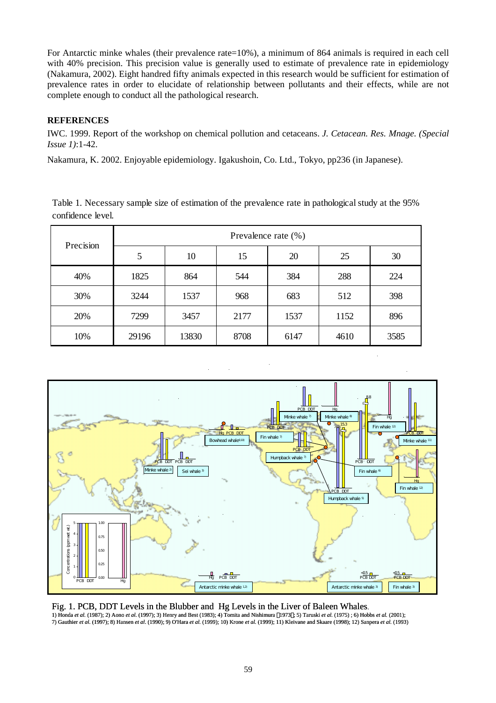For Antarctic minke whales (their prevalence rate=10%), a minimum of 864 animals is required in each cell with 40% precision. This precision value is generally used to estimate of prevalence rate in epidemiology (Nakamura, 2002). Eight handred fifty animals expected in this research would be sufficient for estimation of prevalence rates in order to elucidate of relationship between pollutants and their effects, while are not complete enough to conduct all the pathological research.

# **REFERENCES**

IWC. 1999. Report of the workshop on chemical pollution and cetaceans. *J. Cetacean. Res. Mnage. (Special Issue 1)*:1-42.

Nakamura, K. 2002. Enjoyable epidemiology. Igakushoin, Co. Ltd., Tokyo, pp236 (in Japanese).

Table 1. Necessary sample size of estimation of the prevalence rate in pathological study at the 95% confidence level.

| Precision | Prevalence rate (%) |       |      |      |      |      |  |  |  |
|-----------|---------------------|-------|------|------|------|------|--|--|--|
|           | 5                   | 10    | 15   | 20   | 25   | 30   |  |  |  |
| 40%       | 1825                | 864   | 544  | 384  | 288  | 224  |  |  |  |
| 30%       | 3244                | 1537  | 968  | 683  | 512  | 398  |  |  |  |
| 20%       | 7299                | 3457  | 2177 | 1537 | 1152 | 896  |  |  |  |
| 10%       | 29196               | 13830 | 8708 | 6147 | 4610 | 3585 |  |  |  |



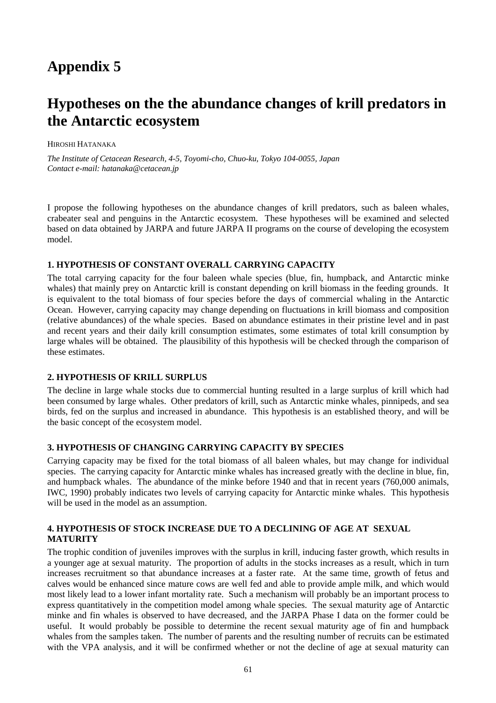# **Hypotheses on the the abundance changes of krill predators in the Antarctic ecosystem**

### HIROSHI HATANAKA

*The Institute of Cetacean Research, 4-5, Toyomi-cho, Chuo-ku, Tokyo 104-0055, Japan Contact e-mail: hatanaka@cetacean.jp* 

I propose the following hypotheses on the abundance changes of krill predators, such as baleen whales, crabeater seal and penguins in the Antarctic ecosystem. These hypotheses will be examined and selected based on data obtained by JARPA and future JARPA II programs on the course of developing the ecosystem model.

### **1. HYPOTHESIS OF CONSTANT OVERALL CARRYING CAPACITY**

The total carrying capacity for the four baleen whale species (blue, fin, humpback, and Antarctic minke whales) that mainly prey on Antarctic krill is constant depending on krill biomass in the feeding grounds. It is equivalent to the total biomass of four species before the days of commercial whaling in the Antarctic Ocean. However, carrying capacity may change depending on fluctuations in krill biomass and composition (relative abundances) of the whale species. Based on abundance estimates in their pristine level and in past and recent years and their daily krill consumption estimates, some estimates of total krill consumption by large whales will be obtained. The plausibility of this hypothesis will be checked through the comparison of these estimates.

### **2. HYPOTHESIS OF KRILL SURPLUS**

The decline in large whale stocks due to commercial hunting resulted in a large surplus of krill which had been consumed by large whales. Other predators of krill, such as Antarctic minke whales, pinnipeds, and sea birds, fed on the surplus and increased in abundance. This hypothesis is an established theory, and will be the basic concept of the ecosystem model.

### **3. HYPOTHESIS OF CHANGING CARRYING CAPACITY BY SPECIES**

Carrying capacity may be fixed for the total biomass of all baleen whales, but may change for individual species. The carrying capacity for Antarctic minke whales has increased greatly with the decline in blue, fin, and humpback whales. The abundance of the minke before 1940 and that in recent years (760,000 animals, IWC, 1990) probably indicates two levels of carrying capacity for Antarctic minke whales. This hypothesis will be used in the model as an assumption.

# **4. HYPOTHESIS OF STOCK INCREASE DUE TO A DECLINING OF AGE AT SEXUAL MATURITY**

The trophic condition of juveniles improves with the surplus in krill, inducing faster growth, which results in a younger age at sexual maturity. The proportion of adults in the stocks increases as a result, which in turn increases recruitment so that abundance increases at a faster rate. At the same time, growth of fetus and calves would be enhanced since mature cows are well fed and able to provide ample milk, and which would most likely lead to a lower infant mortality rate. Such a mechanism will probably be an important process to express quantitatively in the competition model among whale species. The sexual maturity age of Antarctic minke and fin whales is observed to have decreased, and the JARPA Phase I data on the former could be useful. It would probably be possible to determine the recent sexual maturity age of fin and humpback whales from the samples taken. The number of parents and the resulting number of recruits can be estimated with the VPA analysis, and it will be confirmed whether or not the decline of age at sexual maturity can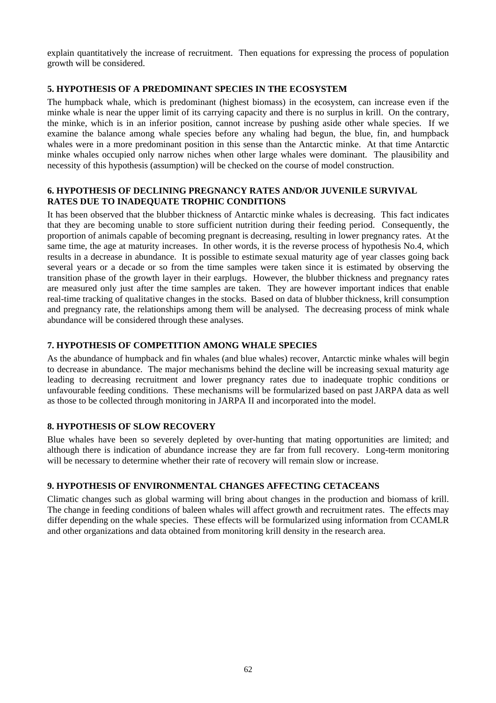explain quantitatively the increase of recruitment. Then equations for expressing the process of population growth will be considered.

# **5. HYPOTHESIS OF A PREDOMINANT SPECIES IN THE ECOSYSTEM**

The humpback whale, which is predominant (highest biomass) in the ecosystem, can increase even if the minke whale is near the upper limit of its carrying capacity and there is no surplus in krill. On the contrary, the minke, which is in an inferior position, cannot increase by pushing aside other whale species. If we examine the balance among whale species before any whaling had begun, the blue, fin, and humpback whales were in a more predominant position in this sense than the Antarctic minke. At that time Antarctic minke whales occupied only narrow niches when other large whales were dominant. The plausibility and necessity of this hypothesis (assumption) will be checked on the course of model construction.

# **6. HYPOTHESIS OF DECLINING PREGNANCY RATES AND/OR JUVENILE SURVIVAL RATES DUE TO INADEQUATE TROPHIC CONDITIONS**

It has been observed that the blubber thickness of Antarctic minke whales is decreasing. This fact indicates that they are becoming unable to store sufficient nutrition during their feeding period. Consequently, the proportion of animals capable of becoming pregnant is decreasing, resulting in lower pregnancy rates. At the same time, the age at maturity increases. In other words, it is the reverse process of hypothesis No.4, which results in a decrease in abundance. It is possible to estimate sexual maturity age of year classes going back several years or a decade or so from the time samples were taken since it is estimated by observing the transition phase of the growth layer in their earplugs. However, the blubber thickness and pregnancy rates are measured only just after the time samples are taken. They are however important indices that enable real-time tracking of qualitative changes in the stocks. Based on data of blubber thickness, krill consumption and pregnancy rate, the relationships among them will be analysed. The decreasing process of mink whale abundance will be considered through these analyses.

# **7. HYPOTHESIS OF COMPETITION AMONG WHALE SPECIES**

As the abundance of humpback and fin whales (and blue whales) recover, Antarctic minke whales will begin to decrease in abundance. The major mechanisms behind the decline will be increasing sexual maturity age leading to decreasing recruitment and lower pregnancy rates due to inadequate trophic conditions or unfavourable feeding conditions. These mechanisms will be formularized based on past JARPA data as well as those to be collected through monitoring in JARPA II and incorporated into the model.

# **8. HYPOTHESIS OF SLOW RECOVERY**

Blue whales have been so severely depleted by over-hunting that mating opportunities are limited; and although there is indication of abundance increase they are far from full recovery. Long-term monitoring will be necessary to determine whether their rate of recovery will remain slow or increase.

# **9. HYPOTHESIS OF ENVIRONMENTAL CHANGES AFFECTING CETACEANS**

Climatic changes such as global warming will bring about changes in the production and biomass of krill. The change in feeding conditions of baleen whales will affect growth and recruitment rates. The effects may differ depending on the whale species. These effects will be formularized using information from CCAMLR and other organizations and data obtained from monitoring krill density in the research area.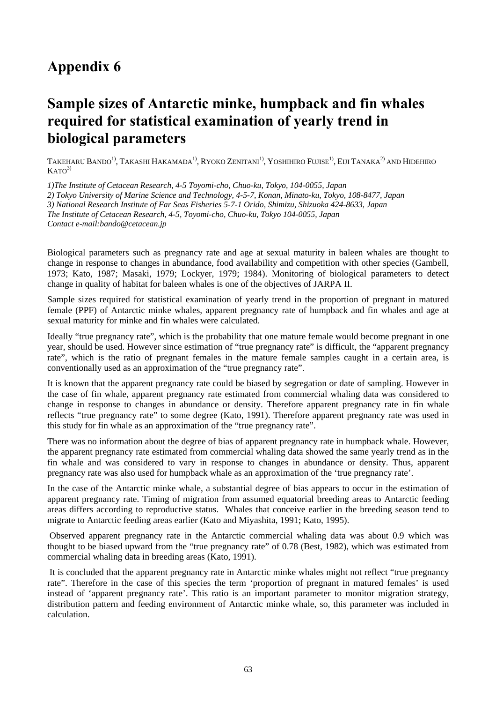# **Appendix 6**

# **Sample sizes of Antarctic minke, humpback and fin whales required for statistical examination of yearly trend in biological parameters**

TAKEHARU BANDO<sup>1)</sup>, TAKASHI HAKAMADA<sup>1)</sup>, RYOKO ZENITANI<sup>1</sup><sup>)</sup>, YOSHIHIRO FUJISE<sup>1</sup><sup>)</sup>, EIJI TANAKA<sup>2)</sup> AND HIDEHIRO  $KATO<sup>3</sup>$ 

*1)The Institute of Cetacean Research, 4-5 Toyomi-cho, Chuo-ku, Tokyo, 104-0055, Japan* 

*2) Tokyo University of Marine Science and Technology, 4-5-7, Konan, Minato-ku, Tokyo, 108-8477, Japan* 

*3) National Research Institute of Far Seas Fisheries 5-7-1 Orido, Shimizu, Shizuoka 424-8633, Japan* 

*The Institute of Cetacean Research, 4-5, Toyomi-cho, Chuo-ku, Tokyo 104-0055, Japan* 

*Contact e-mail:bando@cetacean.jp* 

Biological parameters such as pregnancy rate and age at sexual maturity in baleen whales are thought to change in response to changes in abundance, food availability and competition with other species (Gambell, 1973; Kato, 1987; Masaki, 1979; Lockyer, 1979; 1984). Monitoring of biological parameters to detect change in quality of habitat for baleen whales is one of the objectives of JARPA II.

Sample sizes required for statistical examination of yearly trend in the proportion of pregnant in matured female (PPF) of Antarctic minke whales, apparent pregnancy rate of humpback and fin whales and age at sexual maturity for minke and fin whales were calculated.

Ideally "true pregnancy rate", which is the probability that one mature female would become pregnant in one year, should be used. However since estimation of "true pregnancy rate" is difficult, the "apparent pregnancy rate", which is the ratio of pregnant females in the mature female samples caught in a certain area, is conventionally used as an approximation of the "true pregnancy rate".

It is known that the apparent pregnancy rate could be biased by segregation or date of sampling. However in the case of fin whale, apparent pregnancy rate estimated from commercial whaling data was considered to change in response to changes in abundance or density. Therefore apparent pregnancy rate in fin whale reflects "true pregnancy rate" to some degree (Kato, 1991). Therefore apparent pregnancy rate was used in this study for fin whale as an approximation of the "true pregnancy rate".

There was no information about the degree of bias of apparent pregnancy rate in humpback whale. However, the apparent pregnancy rate estimated from commercial whaling data showed the same yearly trend as in the fin whale and was considered to vary in response to changes in abundance or density. Thus, apparent pregnancy rate was also used for humpback whale as an approximation of the 'true pregnancy rate'.

In the case of the Antarctic minke whale, a substantial degree of bias appears to occur in the estimation of apparent pregnancy rate. Timing of migration from assumed equatorial breeding areas to Antarctic feeding areas differs according to reproductive status. Whales that conceive earlier in the breeding season tend to migrate to Antarctic feeding areas earlier (Kato and Miyashita, 1991; Kato, 1995).

 Observed apparent pregnancy rate in the Antarctic commercial whaling data was about 0.9 which was thought to be biased upward from the "true pregnancy rate" of 0.78 (Best, 1982), which was estimated from commercial whaling data in breeding areas (Kato, 1991).

 It is concluded that the apparent pregnancy rate in Antarctic minke whales might not reflect "true pregnancy rate". Therefore in the case of this species the term 'proportion of pregnant in matured females' is used instead of 'apparent pregnancy rate'. This ratio is an important parameter to monitor migration strategy, distribution pattern and feeding environment of Antarctic minke whale, so, this parameter was included in calculation.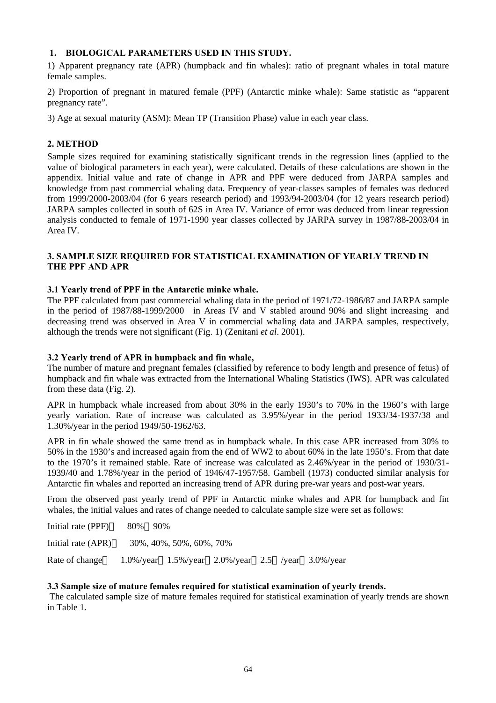## **1. BIOLOGICAL PARAMETERS USED IN THIS STUDY.**

1) Apparent pregnancy rate (APR) (humpback and fin whales): ratio of pregnant whales in total mature female samples.

2) Proportion of pregnant in matured female (PPF) (Antarctic minke whale): Same statistic as "apparent pregnancy rate".

3) Age at sexual maturity (ASM): Mean TP (Transition Phase) value in each year class.

## **2. METHOD**

Sample sizes required for examining statistically significant trends in the regression lines (applied to the value of biological parameters in each year), were calculated. Details of these calculations are shown in the appendix. Initial value and rate of change in APR and PPF were deduced from JARPA samples and knowledge from past commercial whaling data. Frequency of year-classes samples of females was deduced from 1999/2000-2003/04 (for 6 years research period) and 1993/94-2003/04 (for 12 years research period) JARPA samples collected in south of 62S in Area IV. Variance of error was deduced from linear regression analysis conducted to female of 1971-1990 year classes collected by JARPA survey in 1987/88-2003/04 in Area IV.

## **3. SAMPLE SIZE REQUIRED FOR STATISTICAL EXAMINATION OF YEARLY TREND IN THE PPF AND APR**

### **3.1 Yearly trend of PPF in the Antarctic minke whale.**

The PPF calculated from past commercial whaling data in the period of 1971/72-1986/87 and JARPA sample in the period of 1987/88-1999/2000 in Areas IV and V stabled around 90% and slight increasing and decreasing trend was observed in Area V in commercial whaling data and JARPA samples, respectively, although the trends were not significant (Fig. 1) (Zenitani *et al*. 2001).

### **3.2 Yearly trend of APR in humpback and fin whale,**

The number of mature and pregnant females (classified by reference to body length and presence of fetus) of humpback and fin whale was extracted from the International Whaling Statistics (IWS). APR was calculated from these data (Fig. 2).

APR in humpback whale increased from about 30% in the early 1930's to 70% in the 1960's with large yearly variation. Rate of increase was calculated as 3.95%/year in the period 1933/34-1937/38 and 1.30%/year in the period 1949/50-1962/63.

APR in fin whale showed the same trend as in humpback whale. In this case APR increased from 30% to 50% in the 1930's and increased again from the end of WW2 to about 60% in the late 1950's. From that date to the 1970's it remained stable. Rate of increase was calculated as 2.46%/year in the period of 1930/31- 1939/40 and 1.78%/year in the period of 1946/47-1957/58. Gambell (1973) conducted similar analysis for Antarctic fin whales and reported an increasing trend of APR during pre-war years and post-war years.

From the observed past yearly trend of PPF in Antarctic minke whales and APR for humpback and fin whales, the initial values and rates of change needed to calculate sample size were set as follows:

| Initial rate (PPF) | 80% 90% |                                                                     |  |  |
|--------------------|---------|---------------------------------------------------------------------|--|--|
| Initial rate (APR) |         | 30%, 40%, 50%, 60%, 70%                                             |  |  |
| Rate of change     |         | $1.0\%$ /year $1.5\%$ /year $2.0\%$ /year $2.5$ /year $3.0\%$ /year |  |  |

### **3.3 Sample size of mature females required for statistical examination of yearly trends.**

 The calculated sample size of mature females required for statistical examination of yearly trends are shown in Table 1.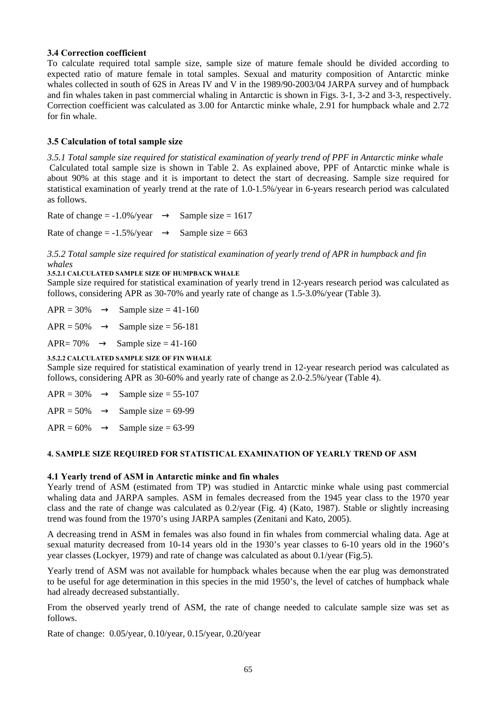### **3.4 Correction coefficient**

To calculate required total sample size, sample size of mature female should be divided according to expected ratio of mature female in total samples. Sexual and maturity composition of Antarctic minke whales collected in south of 62S in Areas IV and V in the 1989/90-2003/04 JARPA survey and of humpback and fin whales taken in past commercial whaling in Antarctic is shown in Figs. 3-1, 3-2 and 3-3, respectively. Correction coefficient was calculated as 3.00 for Antarctic minke whale, 2.91 for humpback whale and 2.72 for fin whale.

## **3.5 Calculation of total sample size**

*3.5.1 Total sample size required for statistical examination of yearly trend of PPF in Antarctic minke whale*  Calculated total sample size is shown in Table 2. As explained above, PPF of Antarctic minke whale is about 90% at this stage and it is important to detect the start of decreasing. Sample size required for statistical examination of yearly trend at the rate of 1.0-1.5%/year in 6-years research period was calculated as follows.

| Rate of change $= -1.0\% / year$ | Sample size = $1617$ |
|----------------------------------|----------------------|
| Rate of change $= -1.5\%$ /year  | Sample size = $663$  |

*3.5.2 Total sample size required for statistical examination of yearly trend of APR in humpback and fin whales* 

### **3.5.2.1 CALCULATED SAMPLE SIZE OF HUMPBACK WHALE**

Sample size required for statistical examination of yearly trend in 12-years research period was calculated as follows, considering APR as 30-70% and yearly rate of change as 1.5-3.0%/year (Table 3).

| $APR = 30%$ |  | Sample size $=$ 41-160 |
|-------------|--|------------------------|
|             |  | -----                  |

 $APR = 50\%$  Sample size = 56-181

APR=  $70\%$  Sample size =  $41-160$ 

### **3.5.2.2 CALCULATED SAMPLE SIZE OF FIN WHALE**

Sample size required for statistical examination of yearly trend in 12-year research period was calculated as follows, considering APR as 30-60% and yearly rate of change as 2.0-2.5%/year (Table 4).

| $APR = 30%$  | Sample size $= 55-107$ |
|--------------|------------------------|
| $APR = 50%$  | Sample size = $69-99$  |
| $APR = 60\%$ | Sample size $= 63-99$  |

### **4. SAMPLE SIZE REQUIRED FOR STATISTICAL EXAMINATION OF YEARLY TREND OF ASM**

### **4.1 Yearly trend of ASM in Antarctic minke and fin whales**

Yearly trend of ASM (estimated from TP) was studied in Antarctic minke whale using past commercial whaling data and JARPA samples. ASM in females decreased from the 1945 year class to the 1970 year class and the rate of change was calculated as 0.2/year (Fig. 4) (Kato, 1987). Stable or slightly increasing trend was found from the 1970's using JARPA samples (Zenitani and Kato, 2005).

A decreasing trend in ASM in females was also found in fin whales from commercial whaling data. Age at sexual maturity decreased from 10-14 years old in the 1930's year classes to 6-10 years old in the 1960's year classes (Lockyer, 1979) and rate of change was calculated as about 0.1/year (Fig.5).

Yearly trend of ASM was not available for humpback whales because when the ear plug was demonstrated to be useful for age determination in this species in the mid 1950's, the level of catches of humpback whale had already decreased substantially.

From the observed yearly trend of ASM, the rate of change needed to calculate sample size was set as follows.

Rate of change: 0.05/year, 0.10/year, 0.15/year, 0.20/year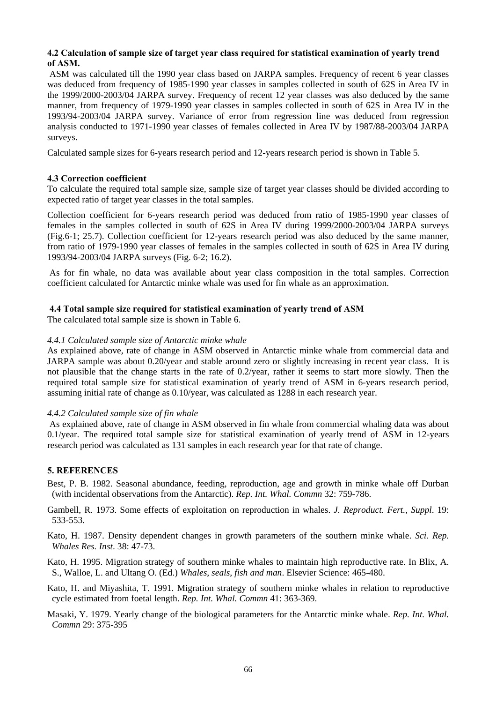### **4.2 Calculation of sample size of target year class required for statistical examination of yearly trend of ASM.**

 ASM was calculated till the 1990 year class based on JARPA samples. Frequency of recent 6 year classes was deduced from frequency of 1985-1990 year classes in samples collected in south of 62S in Area IV in the 1999/2000-2003/04 JARPA survey. Frequency of recent 12 year classes was also deduced by the same manner, from frequency of 1979-1990 year classes in samples collected in south of 62S in Area IV in the 1993/94-2003/04 JARPA survey. Variance of error from regression line was deduced from regression analysis conducted to 1971-1990 year classes of females collected in Area IV by 1987/88-2003/04 JARPA surveys.

Calculated sample sizes for 6-years research period and 12-years research period is shown in Table 5.

### **4.3 Correction coefficient**

To calculate the required total sample size, sample size of target year classes should be divided according to expected ratio of target year classes in the total samples.

Collection coefficient for 6-years research period was deduced from ratio of 1985-1990 year classes of females in the samples collected in south of 62S in Area IV during 1999/2000-2003/04 JARPA surveys (Fig.6-1; 25.7). Collection coefficient for 12-years research period was also deduced by the same manner, from ratio of 1979-1990 year classes of females in the samples collected in south of 62S in Area IV during 1993/94-2003/04 JARPA surveys (Fig. 6-2; 16.2).

 As for fin whale, no data was available about year class composition in the total samples. Correction coefficient calculated for Antarctic minke whale was used for fin whale as an approximation.

### **4.4 Total sample size required for statistical examination of yearly trend of ASM**

The calculated total sample size is shown in Table 6.

### *4.4.1 Calculated sample size of Antarctic minke whale*

As explained above, rate of change in ASM observed in Antarctic minke whale from commercial data and JARPA sample was about 0.20/year and stable around zero or slightly increasing in recent year class. It is not plausible that the change starts in the rate of 0.2/year, rather it seems to start more slowly. Then the required total sample size for statistical examination of yearly trend of ASM in 6-years research period, assuming initial rate of change as 0.10/year, was calculated as 1288 in each research year.

### *4.4.2 Calculated sample size of fin whale*

 As explained above, rate of change in ASM observed in fin whale from commercial whaling data was about 0.1/year. The required total sample size for statistical examination of yearly trend of ASM in 12-years research period was calculated as 131 samples in each research year for that rate of change.

### **5. REFERENCES**

- Best, P. B. 1982. Seasonal abundance, feeding, reproduction, age and growth in minke whale off Durban (with incidental observations from the Antarctic). *Rep. Int. Whal. Commn* 32: 759-786.
- Gambell, R. 1973. Some effects of exploitation on reproduction in whales. *J. Reproduct. Fert., Suppl*. 19: 533-553.

Kato, H. 1987. Density dependent changes in growth parameters of the southern minke whale. *Sci. Rep. Whales Res. Inst*. 38: 47-73.

Kato, H. 1995. Migration strategy of southern minke whales to maintain high reproductive rate. In Blix, A. S., Walloe, L. and Ultang O. (Ed.) *Whales, seals, fish and man*. Elsevier Science: 465-480.

Kato, H. and Miyashita, T. 1991. Migration strategy of southern minke whales in relation to reproductive cycle estimated from foetal length. *Rep. Int. Whal. Commn* 41: 363-369.

Masaki, Y. 1979. Yearly change of the biological parameters for the Antarctic minke whale. *Rep. Int. Whal. Commn* 29: 375-395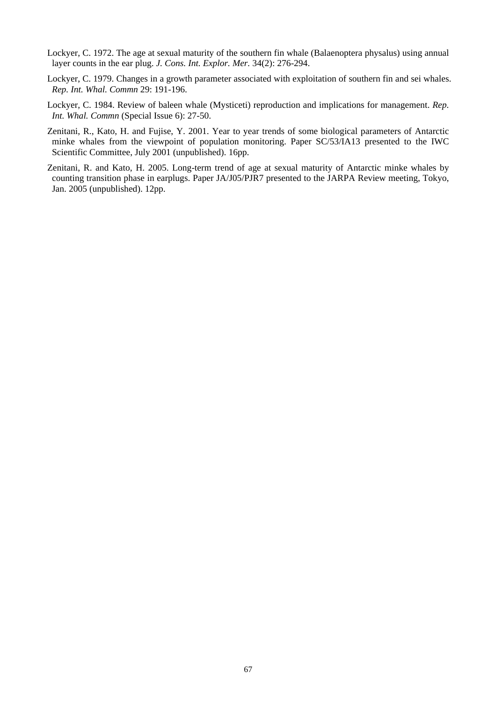- Lockyer, C. 1972. The age at sexual maturity of the southern fin whale (Balaenoptera physalus) using annual layer counts in the ear plug. *J. Cons. Int. Explor. Mer.* 34(2): 276-294.
- Lockyer, C. 1979. Changes in a growth parameter associated with exploitation of southern fin and sei whales. *Rep. Int. Whal. Commn* 29: 191-196.
- Lockyer, C. 1984. Review of baleen whale (Mysticeti) reproduction and implications for management. *Rep. Int. Whal. Commn* (Special Issue 6): 27-50.
- Zenitani, R., Kato, H. and Fujise, Y. 2001. Year to year trends of some biological parameters of Antarctic minke whales from the viewpoint of population monitoring. Paper SC/53/IA13 presented to the IWC Scientific Committee, July 2001 (unpublished). 16pp.
- Zenitani, R. and Kato, H. 2005. Long-term trend of age at sexual maturity of Antarctic minke whales by counting transition phase in earplugs. Paper JA/J05/PJR7 presented to the JARPA Review meeting, Tokyo, Jan. 2005 (unpublished). 12pp.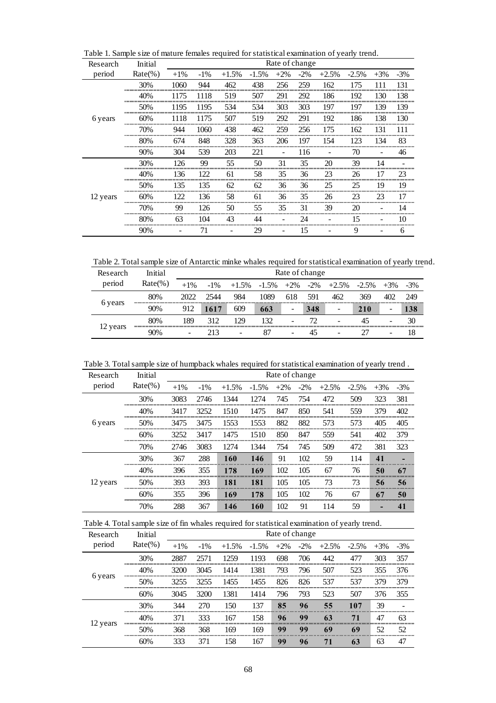| Research | Initial    |        | Rate of change<br>$+2%$<br>$-2\%$<br>$+3%$<br>$-1\%$<br>$+1.5%$<br>$-1.5%$<br>$+2.5%$<br>$-2.5%$ |     |     |     |     |     |     |     |       |  |  |
|----------|------------|--------|--------------------------------------------------------------------------------------------------|-----|-----|-----|-----|-----|-----|-----|-------|--|--|
| period   | $Rate(\%)$ | $+1\%$ |                                                                                                  |     |     |     |     |     |     |     | $-3%$ |  |  |
|          | 30%        | 1060   | 944                                                                                              | 462 | 438 | 256 | 259 | 162 | 175 | 111 | 131   |  |  |
|          | 40%        | 1175   | 1118                                                                                             | 519 | 507 | 291 | 292 | 186 | 192 | 130 | 138   |  |  |
|          | 50%        | 1195   | 1195                                                                                             | 534 | 534 | 303 | 303 | 197 | 197 | 139 | 139   |  |  |
| 6 years  | 60%        | 1118   | 1175                                                                                             | 507 | 519 | 292 | 291 | 192 | 186 | 138 | 130   |  |  |
|          | 70%        | 944    | 1060                                                                                             | 438 | 462 | 259 | 256 | 175 | 162 | 131 | 111   |  |  |
|          | 80%        | 674    | 848                                                                                              | 328 | 363 | 206 | 197 | 154 | 123 | 134 | 83    |  |  |
|          | 90%        | 304    | 539                                                                                              | 203 | 221 | ۰   | 116 |     | 70  | ۰   | 46    |  |  |
|          | 30%        | 126    | 99                                                                                               | 55  | 50  | 31  | 35  | 20  | 39  | 14  |       |  |  |
|          | 40%        | 136    | 122                                                                                              | 61  | 58  | 35  | 36  | 23  | 26  | 17  | 23    |  |  |
|          | 50%        | 135    | 135                                                                                              | 62  | 62  | 36  | 36  | 25  | 25  | 19  | 19    |  |  |
| 12 years | 60%        | 122    | 136                                                                                              | 58  | 61  | 36  | 35  | 26  | 23  | 23  | 17    |  |  |
|          | 70%        | 99     | 126                                                                                              | 50  | 55  | 35  | 31  | 39  | 20  |     | 14    |  |  |
|          | 80%        | 63     | 104                                                                                              | 43  | 44  |     | 24  |     | 15  |     | 10    |  |  |
|          | 90%        |        | 71                                                                                               | ۰   | 29  |     | 15  |     | 9   |     | 6     |  |  |

Table 1. Sample size of mature females required for statistical examination of yearly trend.

Table 2. Total sample size of Antarctic minke whales required for statistical examination of yearly trend.

| Research | Initial    | Rate of change |        |         |         |        |        |         |          |       |       |
|----------|------------|----------------|--------|---------|---------|--------|--------|---------|----------|-------|-------|
| period   | $Rate(\%)$ | $+1\%$         | $-1\%$ | $+1.5%$ | $-1.5%$ | $+2\%$ | $-2\%$ | $+2.5%$ | $-2.5\%$ | $+3%$ | $-3%$ |
|          | 80%        | 2022           | 2544   | 984     | 1089    | 618    | 591    | 462     | 369      | 402   | 249   |
| 6 years  | 90%        | 912            | 1617   | 609     | 663     | -      | 348    | -       | 210      | -     | 138   |
|          | 80%        | 189            | 312    | 29      | 132     |        | 72     | ۰       | 45       | -     | 30    |
| 12 years | 90%        |                | 213    | ۰       | 87      | -      | 47     |         |          |       | 18    |

Table 3. Total sample size of humpback whales required for statistical examination of yearly trend .

| Research | Initial    |        |        |         |         |        |        |         |         |       |        |
|----------|------------|--------|--------|---------|---------|--------|--------|---------|---------|-------|--------|
| period   | $Rate(\%)$ | $+1\%$ | $-1\%$ | $+1.5%$ | $-1.5%$ | $+2\%$ | $-2\%$ | $+2.5%$ | $-2.5%$ | $+3%$ | $-3\%$ |
|          | 30%        | 3083   | 2746   | 1344    | 1274    | 745    | 754    | 472     | 509     | 323   | 381    |
|          | 40%        | 3417   | 3252   | 1510    | 1475    | 847    | 850    | 541     | 559     | 379   | 402    |
| 6 years  | 50%        | 3475   | 3475   | 1553    | 1553    | 882    | 882    | 573     | 573     | 405   | 405    |
|          | 60%        | 3252   | 3417   | 1475    | 1510    | 850    | 847    | 559     | 541     | 402   | 379    |
|          | 70%        | 2746   | 3083   | 1274    | 1344    | 754    | 745    | 509     | 472     | 381   | 323    |
|          | 30%        | 367    | 288    | 160     | 146     | 91     | 102    | 59      | 114     | 41    | -      |
|          | 40%        | 396    | 355    | 178     | 169     | 102    | 105    | 67      | 76      | 50    | 67     |
| 12 years | 50%        | 393    | 393    | 181     | 181     | 105    | 105    | 73      | 73      | 56    | 56     |
|          | 60%        | 355    | 396    | 169     | 178     | 105    | 102    | 76      | 67      | 67    | 50     |
|          | 70%        | 288    | 367    | 146     | 160     | 102    | 91     | 114     | 59      |       | 41     |

Table 4. Total sample size of fin whales required for statistical examination of yearly trend.

| Research | Initial    | Rate of change |        |         |         |        |        |         |         |        |        |  |
|----------|------------|----------------|--------|---------|---------|--------|--------|---------|---------|--------|--------|--|
| period   | $Rate(\%)$ | $+1\%$         | $-1\%$ | $+1.5%$ | $-1.5%$ | $+2\%$ | $-2\%$ | $+2.5%$ | $-2.5%$ | $+3\%$ | $-3\%$ |  |
|          | 30%        | 2887           | 2571   | 1259    | 1193    | 698    | 706    | 442     | 477     | 303    | 357    |  |
|          | 40%        | 3200           | 3045   | 1414    | 1381    | 793    | 796    | 507     | 523     | 355    | 376    |  |
| 6 years  | 50%        | 3255           | 3255   | 1455    | 1455    | 826    | 826    | 537     | 537     | 379    | 379    |  |
|          | 60%        | 3045           | 3200   | 1381    | 1414    | 796    | 793    | 523     | 507     | 376    | 355    |  |
|          | 30%        | 344            | 270    | 150     | 137     | 85     | 96     | 55      | 107     | 39     |        |  |
|          | 40%        | 371            | 333    | 167     | 158     | 96     | 99     | 63      | 71      | 47     | 63     |  |
| 12 years | 50%        | 368            | 368    | 169     | 169     | 99     | 99     | 69      | 69      | 52     | 52     |  |
|          | 60%        | 333            | 371    | 158     | 167     | 99     | 96     | 71      | 63      | 63     | 47     |  |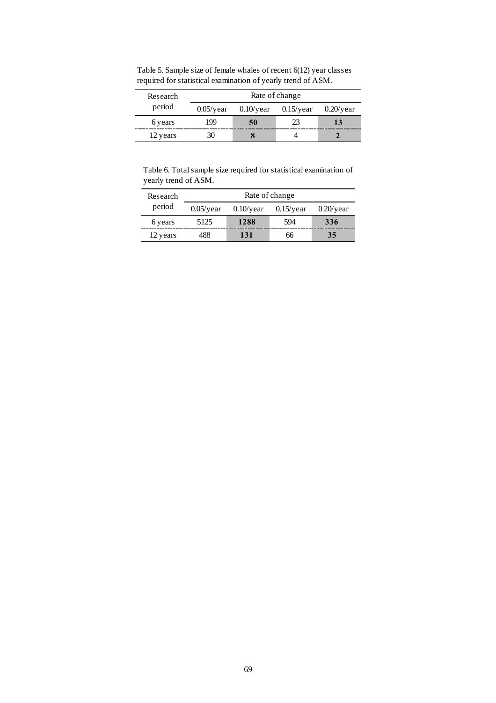| Research | Rate of change |              |              |  |  |  |  |  |  |
|----------|----------------|--------------|--------------|--|--|--|--|--|--|
| period   | $0.05$ /year   | $0.10$ /year | $0.20$ /year |  |  |  |  |  |  |
| 6 years  | 199            | 50           |              |  |  |  |  |  |  |
| 12 years |                |              |              |  |  |  |  |  |  |

Table 5. Sample size of female whales of recent 6(12) year classes required for statistical examination of yearly trend of ASM.

Table 6. Total sample size required for statistical examination of yearly trend of ASM.

| Research | Rate of change |              |              |     |  |  |  |  |  |
|----------|----------------|--------------|--------------|-----|--|--|--|--|--|
| period   | $0.05$ /year   | $0.10$ /year | $0.15$ /year |     |  |  |  |  |  |
| 6 years  | 5125           | 1288         | 594          | 336 |  |  |  |  |  |
| 12 years |                | 131          | hh           | 35  |  |  |  |  |  |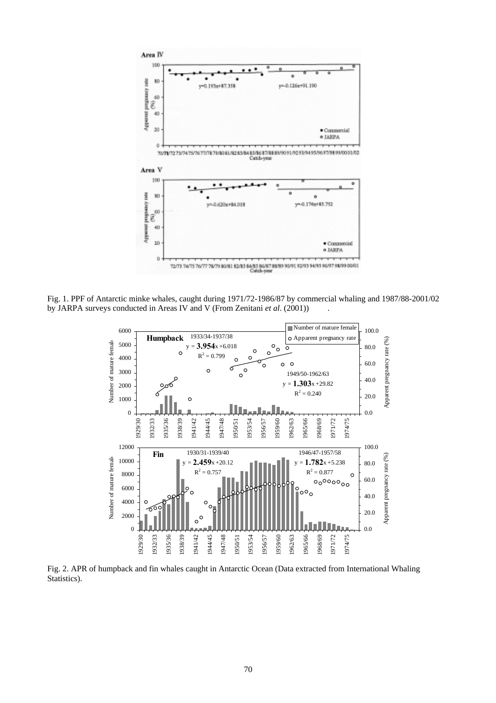

Fig. 1. PPF of Antarctic minke whales, caught during 1971/72-1986/87 by commercial whaling and 1987/88-2001/02 by JARPA surveys conducted in Areas IV and V (From Zenitani *et al*. (2001)) .



Fig. 2. APR of humpback and fin whales caught in Antarctic Ocean (Data extracted from International Whaling Statistics).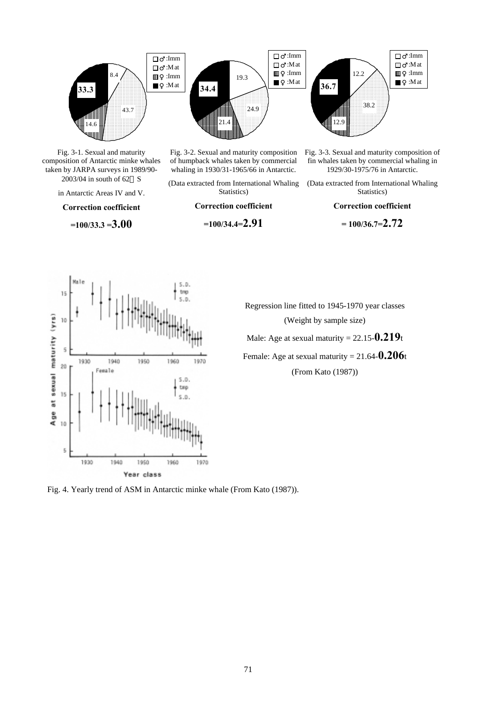

Fig. 3-1. Sexual and maturity composition of Antarctic minke whales taken by JARPA surveys in 1989/90- 2003/04 in south of 62 S

in Antarctic Areas IV and V.

**Correction coefficient** 

**=100/33.3 =3.00**



(Data extracted from International Whaling Statistics)

**Correction coefficient** 

**=100/34.4=2.91**



Fig. 3-3. Sexual and maturity composition of fin whales taken by commercial whaling in 1929/30-1975/76 in Antarctic.

(Data extracted from International Whaling Statistics)

**Correction coefficient** 

**= 100/36.7=2.72**

 $S.D.$ trap  $15$  $5.0$ at sexual maturity (yrs)  $10$ š 1930 1940 1950 1960 1970  $\overline{20}$ Female  $5.0.$ tmp 15  $S.D.$ Age:  $10$ 5 1930 1940 1950 1960 1970 Year class

Regression line fitted to 1945-1970 year classes (Weight by sample size)

Male: Age at sexual maturity = 22.15-**0.219**t

Female: Age at sexual maturity = 21.64-**0.206**t

(From Kato (1987))

Fig. 4. Yearly trend of ASM in Antarctic minke whale (From Kato (1987)).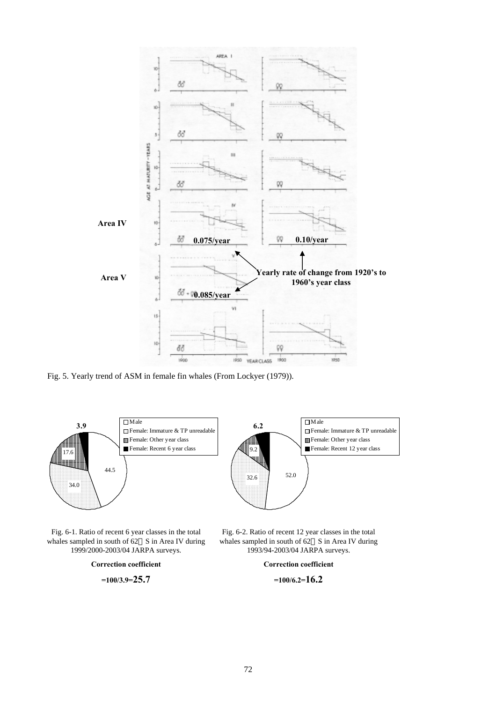

Fig. 5. Yearly trend of ASM in female fin whales (From Lockyer (1979)).



Fig. 6-1. Ratio of recent 6 year classes in the total whales sampled in south of 62 S in Area IV during 1999/2000-2003/04 JARPA surveys.

> **Correction coefficient =100/3.9=25.7**

Fig. 6-2. Ratio of recent 12 year classes in the total whales sampled in south of 62 S in Area IV during 1993/94-2003/04 JARPA surveys.

**Correction coefficient** 

**=100/6.2=16.2**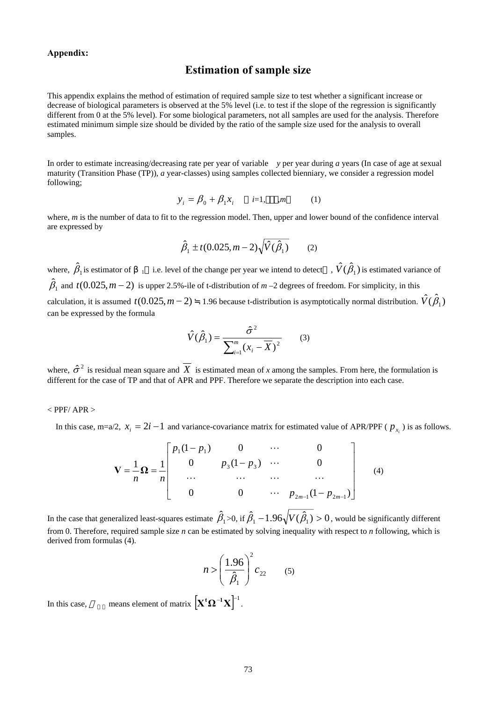### **Appendix:**

### **Estimation of sample size**

This appendix explains the method of estimation of required sample size to test whether a significant increase or decrease of biological parameters is observed at the 5% level (i.e. to test if the slope of the regression is significantly different from 0 at the 5% level). For some biological parameters, not all samples are used for the analysis. Therefore estimated minimum simple size should be divided by the ratio of the sample size used for the analysis to overall samples.

In order to estimate increasing/decreasing rate per year of variable *y* per year during *a* years (In case of age at sexual maturity (Transition Phase (TP)), *a* year-classes) using samples collected bienniary, we consider a regression model following;

$$
y_i = \beta_0 + \beta_1 x_i \qquad i=1, \quad m \tag{1}
$$

where, *m* is the number of data to fit to the regression model. Then, upper and lower bound of the confidence interval are expressed by

$$
\hat{\beta}_1 \pm t (0.025, m - 2) \sqrt{\hat{V}(\hat{\beta}_1)} \qquad (2)
$$

where,  $\hat{\beta}_1$  is estimator of  $\alpha_1$  i.e. level of the change per year we intend to detect ,  $\hat{V}(\hat{\beta}_1)$  is estimated variance of  $\hat{\beta}_1$  and  $t(0.025, m-2)$  is upper 2.5%-ile of t-distribution of  $m-2$  degrees of freedom. For simplicity, in this calculation, it is assumed  $t(0.025, m-2)$  1.96 because t-distribution is asymptotically normal distribution.  $\hat{V}(\hat{B}_1)$ can be expressed by the formula

$$
\hat{V}(\hat{\beta}_1) = \frac{\hat{\sigma}^2}{\sum_{i=1}^m (x_i - \overline{X})^2}
$$
 (3)

where,  $\hat{\sigma}^2$  is residual mean square and  $\overline{X}$  is estimated mean of *x* among the samples. From here, the formulation is different for the case of TP and that of APR and PPF. Therefore we separate the description into each case.

#### $<$  PPF/ APR  $>$

In this case, m=a/2,  $x_i = 2i - 1$  and variance-covariance matrix for estimated value of APR/PPF ( $p_{x_i}$ ) is as follows.

$$
\mathbf{V} = \frac{1}{n} \mathbf{\Omega} = \frac{1}{n} \begin{bmatrix} p_1(1-p_1) & 0 & \cdots & 0 \\ 0 & p_3(1-p_3) & \cdots & 0 \\ \cdots & \cdots & \cdots & \cdots \\ 0 & 0 & \cdots & p_{2m-1}(1-p_{2m-1}) \end{bmatrix}
$$
 (4)

In the case that generalized least-squares estimate  $\hat\beta_1$  >0, if  $\hat\beta_1$  –  $1.96\sqrt{V(\hat\beta_1)} >0$  , would be significantly different from 0. Therefore, required sample size *n* can be estimated by solving inequality with respect to *n* following, which is derived from formulas (4).

$$
n > \left(\frac{1.96}{\hat{\beta}_1}\right)^2 c_{22} \qquad (5)
$$

In this case, means element of matrix  $\left[ \mathbf{X}^{\mathsf{t}} \mathbf{\Omega}^{-1} \mathbf{X} \right]^{-1}$ .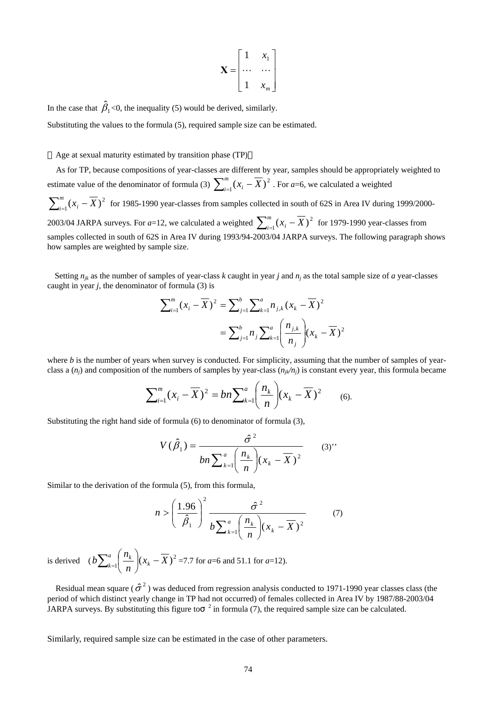$$
\mathbf{X} = \begin{bmatrix} 1 & x_1 \\ \cdots & \cdots \\ 1 & x_m \end{bmatrix}
$$

In the case that  $\hat{\beta}_1$ <0, the inequality (5) would be derived, similarly.

Substituting the values to the formula (5), required sample size can be estimated.

Age at sexual maturity estimated by transition phase (TP)

As for TP, because compositions of year-classes are different by year, samples should be appropriately weighted to estimate value of the denominator of formula (3)  $\sum_{i=1}^{m} (x_i - \overline{X})^2$ . For *a*=6, we calculated a weighted  $\sum_{i=1}^{m} (x_i - \overline{X})^2$  for 1985-1990 year-classes from samples collected in south of 62S in Area IV during 1999/2000-2003/04 JARPA surveys. For *a*=12, we calculated a weighted  $\sum_{i=1}^{m} (x_i - \overline{X})^2$  for 1979-1990 year-classes from samples collected in south of 62S in Area IV during 1993/94-2003/04 JARPA surveys. The following paragraph shows how samples are weighted by sample size.

Setting  $n_{ik}$  as the number of samples of year-class *k* caught in year *j* and  $n_i$  as the total sample size of *a* year-classes caught in year  $j$ , the denominator of formula  $(3)$  is

$$
\sum_{i=1}^{m} (x_i - \overline{X})^2 = \sum_{j=1}^{b} \sum_{k=1}^{a} n_{j,k} (x_k - \overline{X})^2
$$

$$
= \sum_{j=1}^{b} n_j \sum_{k=1}^{a} \left( \frac{n_{j,k}}{n_j} \right) (x_k - \overline{X})^2
$$

where *b* is the number of years when survey is conducted. For simplicity, assuming that the number of samples of yearclass a  $(n_i)$  and composition of the numbers of samples by year-class  $(n_i/n_j)$  is constant every year, this formula became

$$
\sum_{i=1}^{m} (x_i - \overline{X})^2 = bn \sum_{k=1}^{a} \left( \frac{n_k}{n} \right) (x_k - \overline{X})^2 \qquad (6).
$$

Substituting the right hand side of formula (6) to denominator of formula (3),

$$
V(\hat{\beta}_1) = \frac{\hat{\sigma}^2}{bn \sum_{k=1}^a \left(\frac{n_k}{n}\right) (x_k - \overline{X})^2}
$$
 (3)

Similar to the derivation of the formula (5), from this formula,

$$
n > \left(\frac{1.96}{\hat{\beta}_1}\right)^2 \frac{\hat{\sigma}^2}{b \sum_{k=1}^a \left(\frac{n_k}{n}\right) (x_k - \overline{X})^2}
$$
(7)

is derived  $(b\sum_{k=1}^{a} \left(\frac{n_k}{n}\right) (x_k - \overline{X})^2)$  $\binom{a}{k} \left(\frac{n_k}{n}\right) (x_k \sum_{k=1}^{a} \left( \frac{n_k}{n} \right) (x_k - \overline{X})^2 = 7.7$  for *a*=6 and 51.1 for *a*=12).

Residual mean square ( $\hat{\sigma}^2$ ) was deduced from regression analysis conducted to 1971-1990 year classes class (the period of which distinct yearly change in TP had not occurred) of females collected in Area IV by 1987/88-2003/04 JARPA surveys. By substituting this figure to  $^{-2}$  in formula (7), the required sample size can be calculated.

Similarly, required sample size can be estimated in the case of other parameters.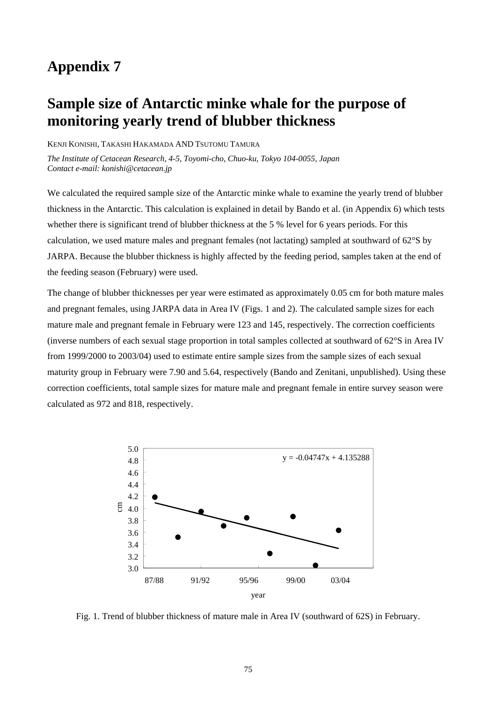## **Appendix 7**

# **Sample size of Antarctic minke whale for the purpose of monitoring yearly trend of blubber thickness**

KENJI KONISHI, TAKASHI HAKAMADA AND TSUTOMU TAMURA

*The Institute of Cetacean Research, 4-5, Toyomi-cho, Chuo-ku, Tokyo 104-0055, Japan Contact e-mail: konishi@cetacean.jp* 

We calculated the required sample size of the Antarctic minke whale to examine the yearly trend of blubber thickness in the Antarctic. This calculation is explained in detail by Bando et al. (in Appendix 6) which tests whether there is significant trend of blubber thickness at the 5 % level for 6 years periods. For this calculation, we used mature males and pregnant females (not lactating) sampled at southward of 62°S by JARPA. Because the blubber thickness is highly affected by the feeding period, samples taken at the end of the feeding season (February) were used.

The change of blubber thicknesses per year were estimated as approximately 0.05 cm for both mature males and pregnant females, using JARPA data in Area IV (Figs. 1 and 2). The calculated sample sizes for each mature male and pregnant female in February were 123 and 145, respectively. The correction coefficients (inverse numbers of each sexual stage proportion in total samples collected at southward of 62°S in Area IV from 1999/2000 to 2003/04) used to estimate entire sample sizes from the sample sizes of each sexual maturity group in February were 7.90 and 5.64, respectively (Bando and Zenitani, unpublished). Using these correction coefficients, total sample sizes for mature male and pregnant female in entire survey season were calculated as 972 and 818, respectively.



Fig. 1. Trend of blubber thickness of mature male in Area IV (southward of 62S) in February.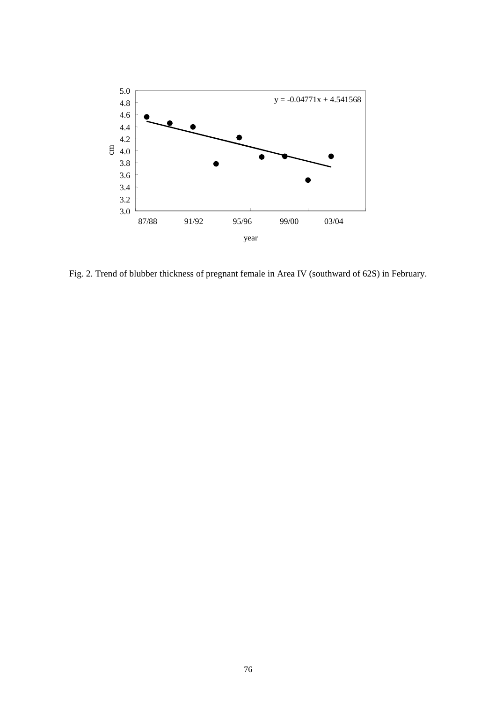

Fig. 2. Trend of blubber thickness of pregnant female in Area IV (southward of 62S) in February.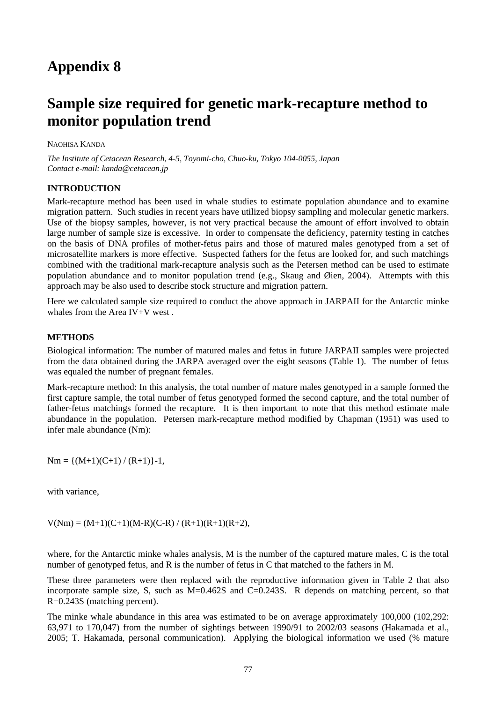# **Appendix 8**

## **Sample size required for genetic mark-recapture method to monitor population trend**

NAOHISA KANDA

*The Institute of Cetacean Research, 4-5, Toyomi-cho, Chuo-ku, Tokyo 104-0055, Japan Contact e-mail: kanda@cetacean.jp* 

### **INTRODUCTION**

Mark-recapture method has been used in whale studies to estimate population abundance and to examine migration pattern. Such studies in recent years have utilized biopsy sampling and molecular genetic markers. Use of the biopsy samples, however, is not very practical because the amount of effort involved to obtain large number of sample size is excessive. In order to compensate the deficiency, paternity testing in catches on the basis of DNA profiles of mother-fetus pairs and those of matured males genotyped from a set of microsatellite markers is more effective. Suspected fathers for the fetus are looked for, and such matchings combined with the traditional mark-recapture analysis such as the Petersen method can be used to estimate population abundance and to monitor population trend (e.g., Skaug and Øien, 2004). Attempts with this approach may be also used to describe stock structure and migration pattern.

Here we calculated sample size required to conduct the above approach in JARPAII for the Antarctic minke whales from the Area IV+V west.

### **METHODS**

Biological information: The number of matured males and fetus in future JARPAII samples were projected from the data obtained during the JARPA averaged over the eight seasons (Table 1). The number of fetus was equaled the number of pregnant females.

Mark-recapture method: In this analysis, the total number of mature males genotyped in a sample formed the first capture sample, the total number of fetus genotyped formed the second capture, and the total number of father-fetus matchings formed the recapture. It is then important to note that this method estimate male abundance in the population. Petersen mark-recapture method modified by Chapman (1951) was used to infer male abundance (Nm):

 $Nm = \{(M+1)(C+1) / (R+1)\} - 1,$ 

with variance,

 $V(Nm) = (M+1)(C+1)(M-R)(C-R)/(R+1)(R+1)(R+2),$ 

where, for the Antarctic minke whales analysis, M is the number of the captured mature males, C is the total number of genotyped fetus, and R is the number of fetus in C that matched to the fathers in M.

These three parameters were then replaced with the reproductive information given in Table 2 that also incorporate sample size, S, such as M=0.462S and C=0.243S. R depends on matching percent, so that R=0.243S (matching percent).

The minke whale abundance in this area was estimated to be on average approximately 100,000 (102,292: 63,971 to 170,047) from the number of sightings between 1990/91 to 2002/03 seasons (Hakamada et al., 2005; T. Hakamada, personal communication). Applying the biological information we used (% mature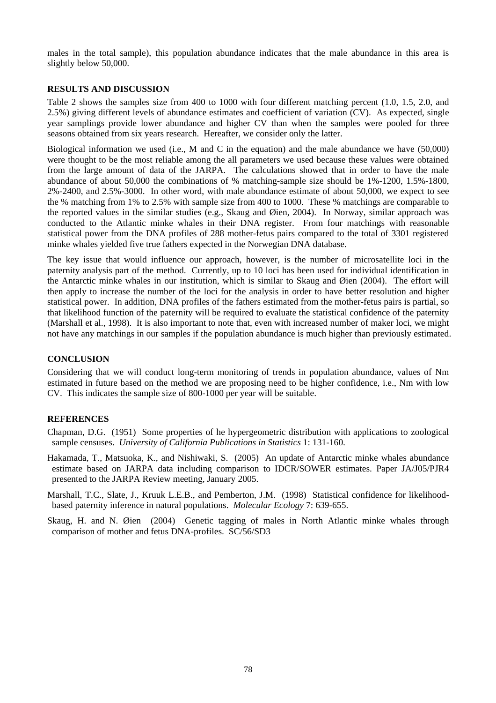males in the total sample), this population abundance indicates that the male abundance in this area is slightly below 50,000.

### **RESULTS AND DISCUSSION**

Table 2 shows the samples size from 400 to 1000 with four different matching percent (1.0, 1.5, 2.0, and 2.5%) giving different levels of abundance estimates and coefficient of variation (CV). As expected, single year samplings provide lower abundance and higher CV than when the samples were pooled for three seasons obtained from six years research. Hereafter, we consider only the latter.

Biological information we used (i.e., M and C in the equation) and the male abundance we have (50,000) were thought to be the most reliable among the all parameters we used because these values were obtained from the large amount of data of the JARPA. The calculations showed that in order to have the male abundance of about 50,000 the combinations of % matching-sample size should be 1%-1200, 1.5%-1800, 2%-2400, and 2.5%-3000. In other word, with male abundance estimate of about 50,000, we expect to see the % matching from 1% to 2.5% with sample size from 400 to 1000. These % matchings are comparable to the reported values in the similar studies (e.g., Skaug and Øien, 2004). In Norway, similar approach was conducted to the Atlantic minke whales in their DNA register. From four matchings with reasonable statistical power from the DNA profiles of 288 mother-fetus pairs compared to the total of 3301 registered minke whales yielded five true fathers expected in the Norwegian DNA database.

The key issue that would influence our approach, however, is the number of microsatellite loci in the paternity analysis part of the method. Currently, up to 10 loci has been used for individual identification in the Antarctic minke whales in our institution, which is similar to Skaug and Øien (2004). The effort will then apply to increase the number of the loci for the analysis in order to have better resolution and higher statistical power. In addition, DNA profiles of the fathers estimated from the mother-fetus pairs is partial, so that likelihood function of the paternity will be required to evaluate the statistical confidence of the paternity (Marshall et al., 1998). It is also important to note that, even with increased number of maker loci, we might not have any matchings in our samples if the population abundance is much higher than previously estimated.

## **CONCLUSION**

Considering that we will conduct long-term monitoring of trends in population abundance, values of Nm estimated in future based on the method we are proposing need to be higher confidence, i.e., Nm with low CV. This indicates the sample size of 800-1000 per year will be suitable.

### **REFERENCES**

Chapman, D.G. (1951) Some properties of he hypergeometric distribution with applications to zoological sample censuses. *University of California Publications in Statistics* 1: 131-160.

Hakamada, T., Matsuoka, K., and Nishiwaki, S. (2005) An update of Antarctic minke whales abundance estimate based on JARPA data including comparison to IDCR/SOWER estimates. Paper JA/J05/PJR4 presented to the JARPA Review meeting, January 2005.

Marshall, T.C., Slate, J., Kruuk L.E.B., and Pemberton, J.M. (1998) Statistical confidence for likelihoodbased paternity inference in natural populations. *Molecular Ecology* 7: 639-655.

Skaug, H. and N. Øien (2004) Genetic tagging of males in North Atlantic minke whales through comparison of mother and fetus DNA-profiles. SC/56/SD3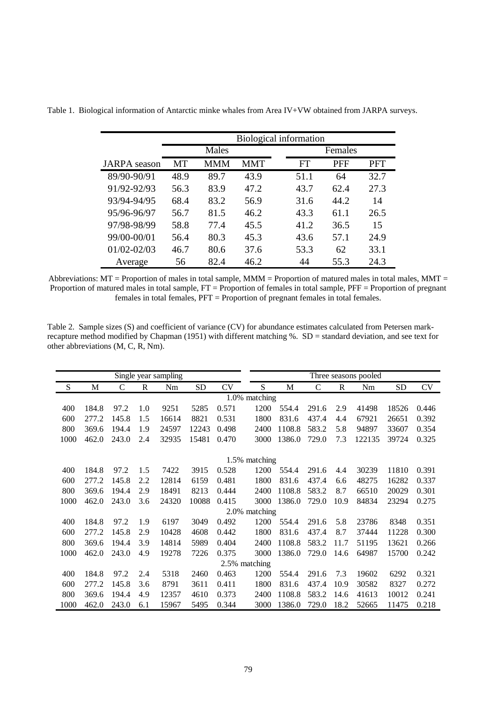|                     |      | <b>Biological information</b> |            |  |      |            |            |  |  |  |  |
|---------------------|------|-------------------------------|------------|--|------|------------|------------|--|--|--|--|
|                     |      | Males                         |            |  |      |            |            |  |  |  |  |
| <b>JARPA</b> season | MT   | <b>MMM</b>                    | <b>MMT</b> |  | FT   | <b>PFF</b> | <b>PFT</b> |  |  |  |  |
| 89/90-90/91         | 48.9 | 89.7                          | 43.9       |  | 51.1 | 64         | 32.7       |  |  |  |  |
| 91/92-92/93         | 56.3 | 83.9                          | 47.2       |  | 43.7 | 62.4       | 27.3       |  |  |  |  |
| 93/94-94/95         | 68.4 | 83.2                          | 56.9       |  | 31.6 | 44.2       | 14         |  |  |  |  |
| 95/96-96/97         | 56.7 | 81.5                          | 46.2       |  | 43.3 | 61.1       | 26.5       |  |  |  |  |
| 97/98-98/99         | 58.8 | 77.4                          | 45.5       |  | 41.2 | 36.5       | 15         |  |  |  |  |
| 99/00-00/01         | 56.4 | 80.3                          | 45.3       |  | 43.6 | 57.1       | 24.9       |  |  |  |  |
| $01/02 - 02/03$     | 46.7 | 80.6                          | 37.6       |  | 53.3 | 62         | 33.1       |  |  |  |  |
| Average             | 56   | 82.4                          | 46.2       |  | 44   | 55.3       | 24.3       |  |  |  |  |

Table 1. Biological information of Antarctic minke whales from Area IV+VW obtained from JARPA surveys.

Abbreviations:  $MT =$  Proportion of males in total sample,  $MMM =$  Proportion of matured males in total males,  $MMT =$ Proportion of matured males in total sample, FT = Proportion of females in total sample, PFF = Proportion of pregnant females in total females, PFT = Proportion of pregnant females in total females.

Table 2. Sample sizes (S) and coefficient of variance (CV) for abundance estimates calculated from Petersen markrecapture method modified by Chapman (1951) with different matching %. SD = standard deviation, and see text for other abbreviations (M, C, R, Nm).

|      |       |       |              | Single year sampling |       |       | Three seasons pooled |        |               |      |        |       |           |
|------|-------|-------|--------------|----------------------|-------|-------|----------------------|--------|---------------|------|--------|-------|-----------|
| S    | M     | C     | $\mathbb{R}$ | Nm                   | SD    | CV    | S                    | M      | $\mathcal{C}$ | R    | Nm     | SD    | <b>CV</b> |
|      |       |       |              |                      |       |       | 1.0% matching        |        |               |      |        |       |           |
| 400  | 184.8 | 97.2  | 1.0          | 9251                 | 5285  | 0.571 | 1200                 | 554.4  | 291.6         | 2.9  | 41498  | 18526 | 0.446     |
| 600  | 277.2 | 145.8 | 1.5          | 16614                | 8821  | 0.531 | 1800                 | 831.6  | 437.4         | 4.4  | 67921  | 26651 | 0.392     |
| 800  | 369.6 | 194.4 | 1.9          | 24597                | 12243 | 0.498 | 2400                 | 1108.8 | 583.2         | 5.8  | 94897  | 33607 | 0.354     |
| 1000 | 462.0 | 243.0 | 2.4          | 32935                | 15481 | 0.470 | 3000                 | 1386.0 | 729.0         | 7.3  | 122135 | 39724 | 0.325     |
|      |       |       |              |                      |       |       |                      |        |               |      |        |       |           |
|      |       |       |              |                      |       |       | 1.5% matching        |        |               |      |        |       |           |
| 400  | 184.8 | 97.2  | 1.5          | 7422                 | 3915  | 0.528 | 1200                 | 554.4  | 291.6         | 4.4  | 30239  | 11810 | 0.391     |
| 600  | 277.2 | 145.8 | 2.2          | 12814                | 6159  | 0.481 | 1800                 | 831.6  | 437.4         | 6.6  | 48275  | 16282 | 0.337     |
| 800  | 369.6 | 194.4 | 2.9          | 18491                | 8213  | 0.444 | 2400                 | 1108.8 | 583.2         | 8.7  | 66510  | 20029 | 0.301     |
| 1000 | 462.0 | 243.0 | 3.6          | 24320                | 10088 | 0.415 | 3000                 | 1386.0 | 729.0         | 10.9 | 84834  | 23294 | 0.275     |
|      |       |       |              |                      |       |       | 2.0% matching        |        |               |      |        |       |           |
| 400  | 184.8 | 97.2  | 1.9          | 6197                 | 3049  | 0.492 | 1200                 | 554.4  | 291.6         | 5.8  | 23786  | 8348  | 0.351     |
| 600  | 277.2 | 145.8 | 2.9          | 10428                | 4608  | 0.442 | 1800                 | 831.6  | 437.4         | 8.7  | 37444  | 11228 | 0.300     |
| 800  | 369.6 | 194.4 | 3.9          | 14814                | 5989  | 0.404 | 2400                 | 1108.8 | 583.2         | 11.7 | 51195  | 13621 | 0.266     |
| 1000 | 462.0 | 243.0 | 4.9          | 19278                | 7226  | 0.375 | 3000                 | 1386.0 | 729.0         | 14.6 | 64987  | 15700 | 0.242     |
|      |       |       |              |                      |       |       | 2.5% matching        |        |               |      |        |       |           |
| 400  | 184.8 | 97.2  | 2.4          | 5318                 | 2460  | 0.463 | 1200                 | 554.4  | 291.6         | 7.3  | 19602  | 6292  | 0.321     |
| 600  | 277.2 | 145.8 | 3.6          | 8791                 | 3611  | 0.411 | 1800                 | 831.6  | 437.4         | 10.9 | 30582  | 8327  | 0.272     |
| 800  | 369.6 | 194.4 | 4.9          | 12357                | 4610  | 0.373 | 2400                 | 1108.8 | 583.2         | 14.6 | 41613  | 10012 | 0.241     |
| 1000 | 462.0 | 243.0 | 6.1          | 15967                | 5495  | 0.344 | 3000                 | 1386.0 | 729.0         | 18.2 | 52665  | 11475 | 0.218     |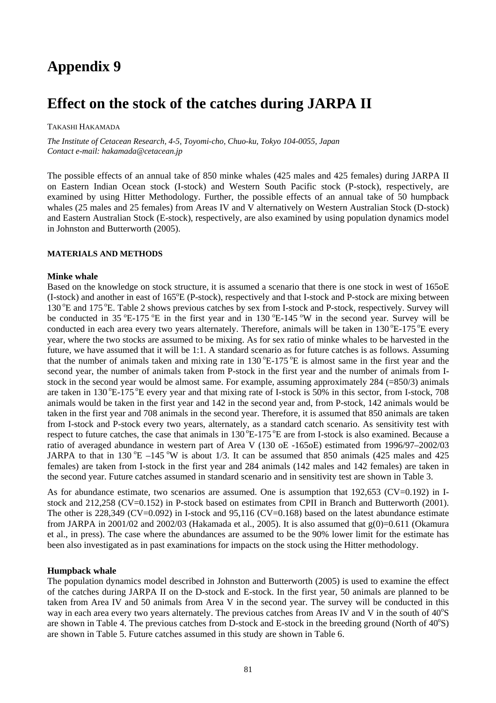# **Appendix 9**

## **Effect on the stock of the catches during JARPA II**

TAKASHI HAKAMADA

*The Institute of Cetacean Research, 4-5, Toyomi-cho, Chuo-ku, Tokyo 104-0055, Japan Contact e-mail: hakamada@cetacean.jp* 

The possible effects of an annual take of 850 minke whales (425 males and 425 females) during JARPA II on Eastern Indian Ocean stock (I-stock) and Western South Pacific stock (P-stock), respectively, are examined by using Hitter Methodology. Further, the possible effects of an annual take of 50 humpback whales (25 males and 25 females) from Areas IV and V alternatively on Western Australian Stock (D-stock) and Eastern Australian Stock (E-stock), respectively, are also examined by using population dynamics model in Johnston and Butterworth (2005).

### **MATERIALS AND METHODS**

### **Minke whale**

Based on the knowledge on stock structure, it is assumed a scenario that there is one stock in west of 165oE  $(I-stock)$  and another in east of 165 $^{\circ}E$  (P-stock), respectively and that I-stock and P-stock are mixing between 130 °E and 175 °E. Table 2 shows previous catches by sex from I-stock and P-stock, respectively. Survey will be conducted in 35  $^{\circ}$ E-175  $^{\circ}$ E in the first year and in 130  $^{\circ}$ E-145  $^{\circ}$ W in the second year. Survey will be conducted in each area every two years alternately. Therefore, animals will be taken in  $130^{\circ}E$ -175  $^{\circ}E$  every year, where the two stocks are assumed to be mixing. As for sex ratio of minke whales to be harvested in the future, we have assumed that it will be 1:1. A standard scenario as for future catches is as follows. Assuming that the number of animals taken and mixing rate in  $130^{\circ}E-175^{\circ}E$  is almost same in the first year and the second year, the number of animals taken from P-stock in the first year and the number of animals from Istock in the second year would be almost same. For example, assuming approximately 284 (=850/3) animals are taken in  $130^{\circ}E-175^{\circ}E$  every year and that mixing rate of I-stock is 50% in this sector, from I-stock, 708 animals would be taken in the first year and 142 in the second year and, from P-stock, 142 animals would be taken in the first year and 708 animals in the second year. Therefore, it is assumed that 850 animals are taken from I-stock and P-stock every two years, alternately, as a standard catch scenario. As sensitivity test with respect to future catches, the case that animals in  $130^{\circ}E-175^{\circ}E$  are from I-stock is also examined. Because a ratio of averaged abundance in western part of Area V (130 oE -165oE) estimated from 1996/97–2002/03 JARPA to that in 130 °E –145 °W is about 1/3. It can be assumed that 850 animals (425 males and 425 females) are taken from I-stock in the first year and 284 animals (142 males and 142 females) are taken in the second year. Future catches assumed in standard scenario and in sensitivity test are shown in Table 3.

As for abundance estimate, two scenarios are assumed. One is assumption that 192,653 (CV=0.192) in Istock and 212,258 (CV=0.152) in P-stock based on estimates from CPII in Branch and Butterworth (2001). The other is 228,349 (CV=0.092) in I-stock and 95,116 (CV=0.168) based on the latest abundance estimate from JARPA in 2001/02 and 2002/03 (Hakamada et al., 2005). It is also assumed that  $g(0)=0.611$  (Okamura et al., in press). The case where the abundances are assumed to be the 90% lower limit for the estimate has been also investigated as in past examinations for impacts on the stock using the Hitter methodology.

### **Humpback whale**

The population dynamics model described in Johnston and Butterworth (2005) is used to examine the effect of the catches during JARPA II on the D-stock and E-stock. In the first year, 50 animals are planned to be taken from Area IV and 50 animals from Area V in the second year. The survey will be conducted in this way in each area every two years alternately. The previous catches from Areas IV and V in the south of  $40^{\circ}$ S are shown in Table 4. The previous catches from  $\overline{D}$ -stock and E-stock in the breeding ground (North of 40°S) are shown in Table 5. Future catches assumed in this study are shown in Table 6.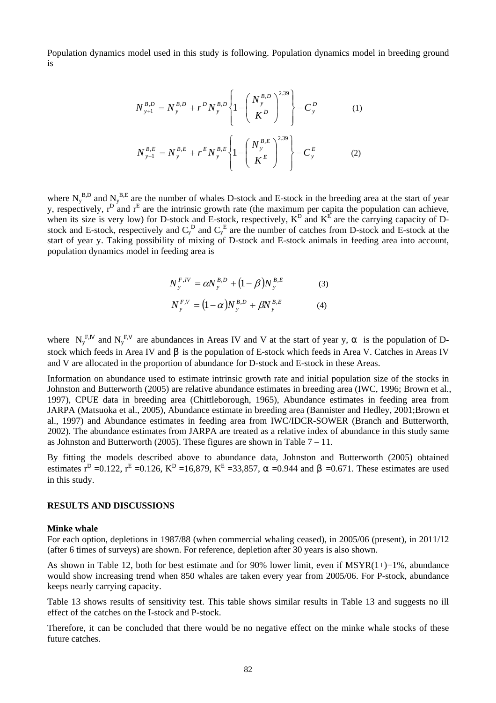Population dynamics model used in this study is following. Population dynamics model in breeding ground is

$$
N_{y+1}^{B,D} = N_y^{B,D} + r^D N_y^{B,D} \left\{ 1 - \left( \frac{N_y^{B,D}}{K^D} \right)^{2.39} \right\} - C_y^D
$$
(1)  

$$
N_{y+1}^{B,E} = N_y^{B,E} + r^E N_y^{B,E} \left\{ 1 - \left( \frac{N_y^{B,E}}{K^E} \right)^{2.39} \right\} - C_y^E
$$
(2)

where  $N_y^{B,D}$  and  $N_y^{B,E}$  are the number of whales D-stock and E-stock in the breeding area at the start of year y, respectively,  $r^D$  and  $r^E$  are the intrinsic growth rate (the maximum per capita the population can achieve, when its size is very low) for D-stock and E-stock, respectively,  $K^D$  and  $K^E$  are the carrying capacity of Dstock and E-stock, respectively and  $C_y^D$  and  $C_y^E$  are the number of catches from D-stock and E-stock at the start of year y. Taking possibility of mixing of D-stock and E-stock animals in feeding area into account, population dynamics model in feeding area is

$$
N_{y}^{F,W} = \alpha N_{y}^{B,D} + (1 - \beta) N_{y}^{B,E}
$$
 (3)

$$
N_{y}^{F,V} = (1 - \alpha) N_{y}^{B,D} + \beta N_{y}^{B,E}
$$
 (4)

where  $N_y^F$ , and  $N_y^F$ , are abundances in Areas IV and V at the start of year y, is the population of Dstock which feeds in Area IV and is the population of E-stock which feeds in Area V. Catches in Areas IV and V are allocated in the proportion of abundance for D-stock and E-stock in these Areas.

Information on abundance used to estimate intrinsic growth rate and initial population size of the stocks in Johnston and Butterworth (2005) are relative abundance estimates in breeding area (IWC, 1996; Brown et al., 1997), CPUE data in breeding area (Chittleborough, 1965), Abundance estimates in feeding area from JARPA (Matsuoka et al., 2005), Abundance estimate in breeding area (Bannister and Hedley, 2001;Brown et al., 1997) and Abundance estimates in feeding area from IWC/IDCR-SOWER (Branch and Butterworth, 2002). The abundance estimates from JARPA are treated as a relative index of abundance in this study same as Johnston and Butterworth (2005). These figures are shown in Table 7 – 11.

By fitting the models described above to abundance data, Johnston and Butterworth (2005) obtained estimates  $r^D = 0.122$ ,  $r^E = 0.126$ ,  $K^D = 16,879$ ,  $K^E = 33,857$ ,  $= 0.944$  and  $= 0.671$ . These estimates are used in this study.

### **RESULTS AND DISCUSSIONS**

### **Minke whale**

For each option, depletions in 1987/88 (when commercial whaling ceased), in 2005/06 (present), in 2011/12 (after 6 times of surveys) are shown. For reference, depletion after 30 years is also shown.

As shown in Table 12, both for best estimate and for 90% lower limit, even if  $MSYR(1+) = 1\%$ , abundance would show increasing trend when 850 whales are taken every year from 2005/06. For P-stock, abundance keeps nearly carrying capacity.

Table 13 shows results of sensitivity test. This table shows similar results in Table 13 and suggests no ill effect of the catches on the I-stock and P-stock.

Therefore, it can be concluded that there would be no negative effect on the minke whale stocks of these future catches.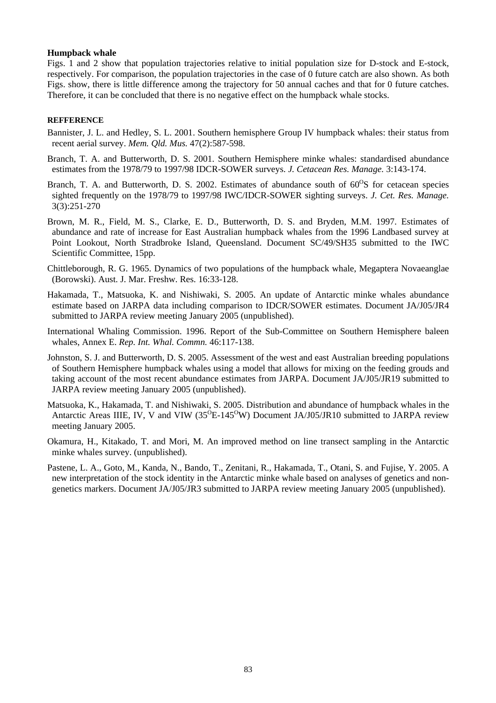### **Humpback whale**

Figs. 1 and 2 show that population trajectories relative to initial population size for D-stock and E-stock, respectively. For comparison, the population trajectories in the case of 0 future catch are also shown. As both Figs. show, there is little difference among the trajectory for 50 annual caches and that for 0 future catches. Therefore, it can be concluded that there is no negative effect on the humpback whale stocks.

### **REFFERENCE**

- Bannister, J. L. and Hedley, S. L. 2001. Southern hemisphere Group IV humpback whales: their status from recent aerial survey. *Mem. Qld. Mus.* 47(2):587-598.
- Branch, T. A. and Butterworth, D. S. 2001. Southern Hemisphere minke whales: standardised abundance estimates from the 1978/79 to 1997/98 IDCR-SOWER surveys. *J. Cetacean Res. Manage.* 3:143-174.
- Branch, T. A. and Butterworth, D. S. 2002. Estimates of abundance south of  $60^{\circ}$ S for cetacean species sighted frequently on the 1978/79 to 1997/98 IWC/IDCR-SOWER sighting surveys. *J. Cet. Res. Manage.*  3(3):251-270
- Brown, M. R., Field, M. S., Clarke, E. D., Butterworth, D. S. and Bryden, M.M. 1997. Estimates of abundance and rate of increase for East Australian humpback whales from the 1996 Landbased survey at Point Lookout, North Stradbroke Island, Queensland. Document SC/49/SH35 submitted to the IWC Scientific Committee, 15pp.
- Chittleborough, R. G. 1965. Dynamics of two populations of the humpback whale, Megaptera Novaeanglae (Borowski). Aust. J. Mar. Freshw. Res. 16:33-128.
- Hakamada, T., Matsuoka, K. and Nishiwaki, S. 2005. An update of Antarctic minke whales abundance estimate based on JARPA data including comparison to IDCR/SOWER estimates. Document JA/J05/JR4 submitted to JARPA review meeting January 2005 (unpublished).
- International Whaling Commission. 1996. Report of the Sub-Committee on Southern Hemisphere baleen whales, Annex E. *Rep. Int. Whal. Commn.* 46:117-138.
- Johnston, S. J. and Butterworth, D. S. 2005. Assessment of the west and east Australian breeding populations of Southern Hemisphere humpback whales using a model that allows for mixing on the feeding grouds and taking account of the most recent abundance estimates from JARPA. Document JA/J05/JR19 submitted to JARPA review meeting January 2005 (unpublished).
- Matsuoka, K., Hakamada, T. and Nishiwaki, S. 2005. Distribution and abundance of humpback whales in the Antarctic Areas IIIE, IV, V and VIW  $(35^{O}E-145^{O}W)$  Document JA/J05/JR10 submitted to JARPA review meeting January 2005.
- Okamura, H., Kitakado, T. and Mori, M. An improved method on line transect sampling in the Antarctic minke whales survey. (unpublished).
- Pastene, L. A., Goto, M., Kanda, N., Bando, T., Zenitani, R., Hakamada, T., Otani, S. and Fujise, Y. 2005. A new interpretation of the stock identity in the Antarctic minke whale based on analyses of genetics and nongenetics markers. Document JA/J05/JR3 submitted to JARPA review meeting January 2005 (unpublished).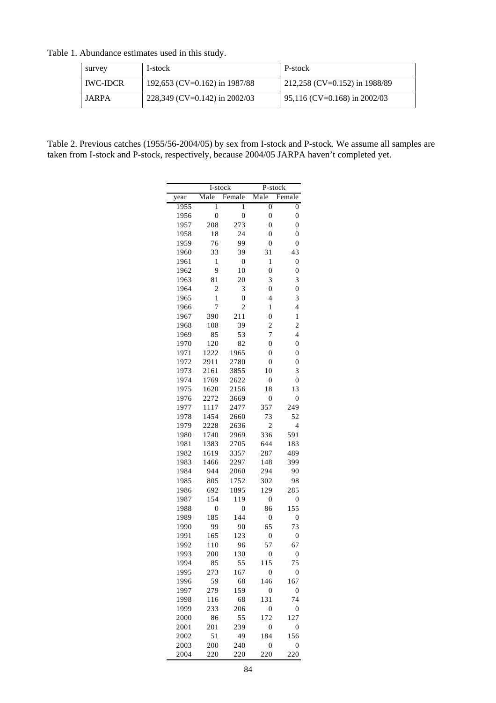|  |  | Table 1. Abundance estimates used in this study. |  |
|--|--|--------------------------------------------------|--|
|--|--|--------------------------------------------------|--|

| survey          | I-stock                       | P-stock                        |
|-----------------|-------------------------------|--------------------------------|
| <b>IWC-IDCR</b> | 192,653 (CV=0.162) in 1987/88 | 212,258 (CV=0.152) in 1988/89  |
| JARPA           | 228,349 (CV=0.142) in 2002/03 | $95,116$ (CV=0.168) in 2002/03 |

Table 2. Previous catches (1955/56-2004/05) by sex from I-stock and P-stock. We assume all samples are taken from I-stock and P-stock, respectively, because 2004/05 JARPA haven't completed yet.

|              | I-stock          |                  | P-stock                 |                         |
|--------------|------------------|------------------|-------------------------|-------------------------|
| year         | Male             | Female           | Male                    | Female                  |
| 1955         | $\overline{1}$   | 1                | $\overline{0}$          | $\boldsymbol{0}$        |
| 1956         | $\overline{0}$   | $\boldsymbol{0}$ | $\mathbf{0}$            | $\boldsymbol{0}$        |
| 1957         | 208              | 273              | $\boldsymbol{0}$        | $\boldsymbol{0}$        |
| 1958         | 18               | 24               | $\mathbf{0}$            | $\overline{0}$          |
| 1959         | 76               | 99               | $\boldsymbol{0}$        | $\boldsymbol{0}$        |
| 1960         | 33               | 39               | 31                      | 43                      |
| 1961         | 1                | $\boldsymbol{0}$ | 1                       | $\boldsymbol{0}$        |
| 1962         | 9                | 10               | $\overline{0}$          | $\boldsymbol{0}$        |
| 1963         | 81               | 20               | 3                       | 3                       |
| 1964         | $\overline{2}$   | 3                | $\boldsymbol{0}$        | $\boldsymbol{0}$        |
| 1965         | $\mathbf{1}$     | $\overline{0}$   | 4                       | 3                       |
| 1966         | 7                | $\overline{c}$   | 1                       | 4                       |
| 1967         | 390              | 211              | $\overline{0}$          | 1                       |
| 1968         | 108              | 39               | $\overline{\mathbf{c}}$ | $\overline{\mathbf{c}}$ |
| 1969         | 85               | 53               | 7                       | $\overline{4}$          |
| 1970         | 120              | 82               | $\overline{0}$          | $\boldsymbol{0}$        |
| 1971         | 1222             | 1965             | $\boldsymbol{0}$        | $\overline{0}$          |
| 1972         | 2911             | 2780             | $\mathbf{0}$            | $\overline{0}$          |
| 1973         | 2161             | 3855             | 10                      | 3                       |
| 1974         | 1769             | 2622             | $\boldsymbol{0}$        | $\overline{0}$          |
| 1975         | 1620             | 2156             | 18                      | 13                      |
| 1976         | 2272             | 3669             | $\boldsymbol{0}$        | $\boldsymbol{0}$        |
| 1977         | 1117             | 2477             | 357                     | 249                     |
| 1978         | 1454             | 2660             | 73                      | 52                      |
| 1979         | 2228             | 2636             | $\overline{2}$          | 4                       |
| 1980         | 1740             | 2969             | 336                     | 591                     |
| 1981         | 1383             | 2705             | 644                     | 183                     |
| 1982         | 1619             | 3357             | 287                     | 489                     |
| 1983         | 1466             | 2297             | 148                     | 399                     |
| 1984         | 944              | 2060             | 294                     | 90                      |
| 1985         | 805              | 1752             | 302                     | 98                      |
| 1986         | 692              | 1895             | 129                     | 285                     |
| 1987         | 154              | 119              | $\boldsymbol{0}$        | $\overline{0}$          |
| 1988         | $\boldsymbol{0}$ | $\boldsymbol{0}$ | 86                      | 155                     |
| 1989         | 185              | 144              | $\mathbf{0}$            | $\overline{0}$          |
| 1990         | 99               | 90               | 65                      | 73                      |
| 1991<br>1992 | 165<br>110       | 123<br>96        | $\mathbf{0}$<br>57      | $\boldsymbol{0}$<br>67  |
| 1993         |                  |                  | $\boldsymbol{0}$        | $\boldsymbol{0}$        |
| 1994         | 200              | 130<br>55        | 115                     | 75                      |
| 1995         | 85<br>273        | 167              | $\boldsymbol{0}$        | 0                       |
|              |                  |                  |                         |                         |
| 1996<br>1997 | 59               | 68<br>159        | 146<br>0                | 167<br>$\boldsymbol{0}$ |
| 1998         | 279<br>116       | 68               | 131                     | 74                      |
| 1999         | 233              | 206              | $\mathbf{0}$            | $\boldsymbol{0}$        |
| 2000         | 86               | 55               | 172                     | 127                     |
| 2001         | 201              | 239              | $\mathbf{0}$            | 0                       |
| 2002         | 51               | 49               | 184                     | 156                     |
| 2003         | 200              | 240              | $\boldsymbol{0}$        | $\boldsymbol{0}$        |
| 2004         | 220              | 220              | 220                     | 220                     |
|              |                  |                  |                         |                         |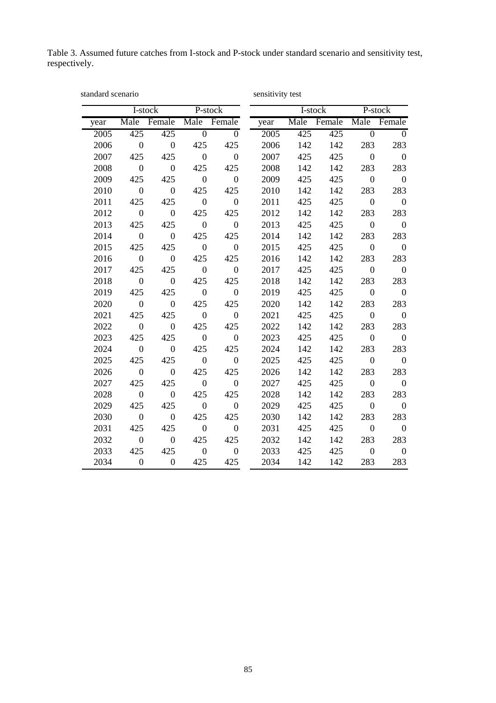Table 3. Assumed future catches from I-stock and P-stock under standard scenario and sensitivity test, respectively.

| standard scenario |                  |                  |                  |                  | sensitivity test |         |             |                  |                  |
|-------------------|------------------|------------------|------------------|------------------|------------------|---------|-------------|------------------|------------------|
|                   |                  | I-stock          |                  | P-stock          |                  | I-stock |             |                  | P-stock          |
| year              | Male             | Female           | Male             | Female           | year             |         | Male Female | Male             | Female           |
| 2005              | 425              | 425              | $\overline{0}$   | $\overline{0}$   | 2005             | 425     | 425         | $\overline{0}$   | $\theta$         |
| 2006              | $\overline{0}$   | $\boldsymbol{0}$ | 425              | 425              | 2006             | 142     | 142         | 283              | 283              |
| 2007              | 425              | 425              | $\overline{0}$   | $\overline{0}$   | 2007             | 425     | 425         | $\overline{0}$   | $\boldsymbol{0}$ |
| 2008              | $\overline{0}$   | $\boldsymbol{0}$ | 425              | 425              | 2008             | 142     | 142         | 283              | 283              |
| 2009              | 425              | 425              | $\mathbf{0}$     | $\overline{0}$   | 2009             | 425     | 425         | $\boldsymbol{0}$ | $\overline{0}$   |
| 2010              | $\boldsymbol{0}$ | $\boldsymbol{0}$ | 425              | 425              | 2010             | 142     | 142         | 283              | 283              |
| 2011              | 425              | 425              | $\boldsymbol{0}$ | $\boldsymbol{0}$ | 2011             | 425     | 425         | $\boldsymbol{0}$ | $\overline{0}$   |
| 2012              | $\overline{0}$   | $\boldsymbol{0}$ | 425              | 425              | 2012             | 142     | 142         | 283              | 283              |
| 2013              | 425              | 425              | $\boldsymbol{0}$ | $\overline{0}$   | 2013             | 425     | 425         | $\boldsymbol{0}$ | $\overline{0}$   |
| 2014              | $\mathbf{0}$     | $\boldsymbol{0}$ | 425              | 425              | 2014             | 142     | 142         | 283              | 283              |
| 2015              | 425              | 425              | $\overline{0}$   | $\overline{0}$   | 2015             | 425     | 425         | $\overline{0}$   | $\boldsymbol{0}$ |
| 2016              | $\boldsymbol{0}$ | $\boldsymbol{0}$ | 425              | 425              | 2016             | 142     | 142         | 283              | 283              |
| 2017              | 425              | 425              | $\mathbf{0}$     | $\overline{0}$   | 2017             | 425     | 425         | $\boldsymbol{0}$ | $\mathbf{0}$     |
| 2018              | $\overline{0}$   | $\overline{0}$   | 425              | 425              | 2018             | 142     | 142         | 283              | 283              |
| 2019              | 425              | 425              | $\boldsymbol{0}$ | $\overline{0}$   | 2019             | 425     | 425         | $\boldsymbol{0}$ | $\overline{0}$   |
| 2020              | $\overline{0}$   | $\boldsymbol{0}$ | 425              | 425              | 2020             | 142     | 142         | 283              | 283              |
| 2021              | 425              | 425              | $\overline{0}$   | $\boldsymbol{0}$ | 2021             | 425     | 425         | $\boldsymbol{0}$ | $\mathbf{0}$     |
| 2022              | $\mathbf{0}$     | $\boldsymbol{0}$ | 425              | 425              | 2022             | 142     | 142         | 283              | 283              |
| 2023              | 425              | 425              | $\mathbf{0}$     | $\boldsymbol{0}$ | 2023             | 425     | 425         | $\boldsymbol{0}$ | $\overline{0}$   |
| 2024              | $\overline{0}$   | $\boldsymbol{0}$ | 425              | 425              | 2024             | 142     | 142         | 283              | 283              |
| 2025              | 425              | 425              | $\mathbf{0}$     | $\overline{0}$   | 2025             | 425     | 425         | $\boldsymbol{0}$ | $\overline{0}$   |
| 2026              | $\boldsymbol{0}$ | $\overline{0}$   | 425              | 425              | 2026             | 142     | 142         | 283              | 283              |
| 2027              | 425              | 425              | $\boldsymbol{0}$ | $\boldsymbol{0}$ | 2027             | 425     | 425         | $\mathbf{0}$     | $\overline{0}$   |
| 2028              | $\mathbf{0}$     | $\boldsymbol{0}$ | 425              | 425              | 2028             | 142     | 142         | 283              | 283              |
| 2029              | 425              | 425              | $\boldsymbol{0}$ | $\boldsymbol{0}$ | 2029             | 425     | 425         | $\boldsymbol{0}$ | $\overline{0}$   |
| 2030              | $\boldsymbol{0}$ | $\boldsymbol{0}$ | 425              | 425              | 2030             | 142     | 142         | 283              | 283              |
| 2031              | 425              | 425              | $\overline{0}$   | $\boldsymbol{0}$ | 2031             | 425     | 425         | $\overline{0}$   | $\overline{0}$   |
| 2032              | $\boldsymbol{0}$ | $\boldsymbol{0}$ | 425              | 425              | 2032             | 142     | 142         | 283              | 283              |
| 2033              | 425              | 425              | $\mathbf{0}$     | $\boldsymbol{0}$ | 2033             | 425     | 425         | $\boldsymbol{0}$ | $\boldsymbol{0}$ |
| 2034              | $\overline{0}$   | $\mathbf{0}$     | 425              | 425              | 2034             | 142     | 142         | 283              | 283              |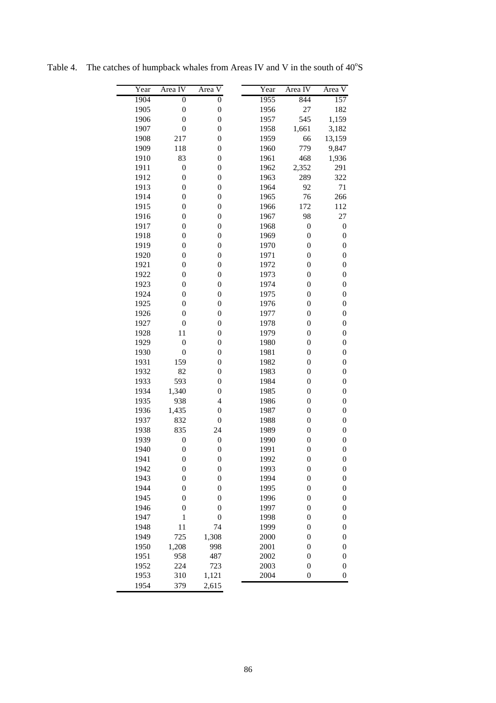| Year | Area IV          | Area V           | Year | Area IV          | Area V           |
|------|------------------|------------------|------|------------------|------------------|
| 1904 | $\overline{0}$   | $\overline{0}$   | 1955 | 844              | 157              |
| 1905 | $\boldsymbol{0}$ | $\boldsymbol{0}$ | 1956 | 27               | 182              |
| 1906 | $\boldsymbol{0}$ | $\boldsymbol{0}$ | 1957 | 545              | 1,159            |
| 1907 | $\boldsymbol{0}$ | $\boldsymbol{0}$ | 1958 | 1,661            | 3,182            |
| 1908 | 217              | $\boldsymbol{0}$ | 1959 | 66               | 13,159           |
| 1909 | 118              | $\boldsymbol{0}$ | 1960 | 779              | 9,847            |
| 1910 | 83               | $\boldsymbol{0}$ | 1961 | 468              | 1,936            |
| 1911 | $\boldsymbol{0}$ | $\boldsymbol{0}$ | 1962 | 2,352            | 291              |
| 1912 | $\boldsymbol{0}$ | $\boldsymbol{0}$ | 1963 | 289              | 322              |
| 1913 | $\boldsymbol{0}$ | $\boldsymbol{0}$ | 1964 | 92               | 71               |
| 1914 | $\boldsymbol{0}$ | $\boldsymbol{0}$ | 1965 | 76               | 266              |
| 1915 | $\boldsymbol{0}$ | $\boldsymbol{0}$ | 1966 | 172              | 112              |
| 1916 | $\boldsymbol{0}$ | $\boldsymbol{0}$ | 1967 | 98               | 27               |
| 1917 | $\boldsymbol{0}$ | $\boldsymbol{0}$ | 1968 | $\boldsymbol{0}$ | $\boldsymbol{0}$ |
| 1918 | $\boldsymbol{0}$ | $\boldsymbol{0}$ | 1969 | $\boldsymbol{0}$ | $\boldsymbol{0}$ |
| 1919 | $\boldsymbol{0}$ | $\boldsymbol{0}$ | 1970 | $\boldsymbol{0}$ | $\boldsymbol{0}$ |
| 1920 | $\boldsymbol{0}$ | $\boldsymbol{0}$ | 1971 | $\boldsymbol{0}$ | $\boldsymbol{0}$ |
| 1921 | $\boldsymbol{0}$ | $\boldsymbol{0}$ | 1972 | $\boldsymbol{0}$ | $\boldsymbol{0}$ |
| 1922 | $\boldsymbol{0}$ | $\boldsymbol{0}$ | 1973 | $\boldsymbol{0}$ | $\boldsymbol{0}$ |
| 1923 | $\boldsymbol{0}$ | $\boldsymbol{0}$ | 1974 | $\boldsymbol{0}$ | $\boldsymbol{0}$ |
| 1924 | $\boldsymbol{0}$ | $\boldsymbol{0}$ | 1975 | $\boldsymbol{0}$ | $\boldsymbol{0}$ |
| 1925 | $\boldsymbol{0}$ | $\boldsymbol{0}$ | 1976 | $\boldsymbol{0}$ | $\boldsymbol{0}$ |
| 1926 | $\boldsymbol{0}$ | $\boldsymbol{0}$ | 1977 | $\boldsymbol{0}$ | $\boldsymbol{0}$ |
| 1927 | $\boldsymbol{0}$ | $\boldsymbol{0}$ | 1978 | $\boldsymbol{0}$ | $\boldsymbol{0}$ |
| 1928 | 11               | $\boldsymbol{0}$ | 1979 | $\boldsymbol{0}$ | $\boldsymbol{0}$ |
| 1929 | $\boldsymbol{0}$ | $\boldsymbol{0}$ | 1980 | $\boldsymbol{0}$ | $\boldsymbol{0}$ |
| 1930 | $\boldsymbol{0}$ | $\boldsymbol{0}$ | 1981 | $\boldsymbol{0}$ | $\boldsymbol{0}$ |
| 1931 | 159              | $\boldsymbol{0}$ | 1982 | $\boldsymbol{0}$ | $\boldsymbol{0}$ |
| 1932 | 82               | $\boldsymbol{0}$ | 1983 | $\boldsymbol{0}$ | $\boldsymbol{0}$ |
| 1933 | 593              | $\boldsymbol{0}$ | 1984 | $\boldsymbol{0}$ | $\boldsymbol{0}$ |
| 1934 | 1,340            | $\boldsymbol{0}$ | 1985 | $\boldsymbol{0}$ | $\boldsymbol{0}$ |
| 1935 | 938              | $\overline{4}$   | 1986 | $\boldsymbol{0}$ | $\boldsymbol{0}$ |
| 1936 | 1,435            | $\boldsymbol{0}$ | 1987 | $\boldsymbol{0}$ | $\boldsymbol{0}$ |
| 1937 | 832              | $\boldsymbol{0}$ | 1988 | $\boldsymbol{0}$ | $\boldsymbol{0}$ |
| 1938 | 835              | 24               | 1989 | $\boldsymbol{0}$ | $\boldsymbol{0}$ |
| 1939 | $\boldsymbol{0}$ | $\boldsymbol{0}$ | 1990 | $\boldsymbol{0}$ | $\boldsymbol{0}$ |
| 1940 | $\boldsymbol{0}$ | $\boldsymbol{0}$ | 1991 | $\boldsymbol{0}$ | $\boldsymbol{0}$ |
| 1941 | $\boldsymbol{0}$ | $\boldsymbol{0}$ | 1992 | $\boldsymbol{0}$ | $\boldsymbol{0}$ |
| 1942 | $\boldsymbol{0}$ | $\boldsymbol{0}$ | 1993 | $\boldsymbol{0}$ | $\boldsymbol{0}$ |
| 1943 | $\boldsymbol{0}$ | $\boldsymbol{0}$ | 1994 | $\boldsymbol{0}$ | $\boldsymbol{0}$ |
| 1944 | $\boldsymbol{0}$ | $\boldsymbol{0}$ | 1995 | $\boldsymbol{0}$ | $\boldsymbol{0}$ |
| 1945 | $\boldsymbol{0}$ | $\boldsymbol{0}$ | 1996 | $\boldsymbol{0}$ | $\boldsymbol{0}$ |
| 1946 | $\boldsymbol{0}$ | $\boldsymbol{0}$ | 1997 | $\boldsymbol{0}$ | $\boldsymbol{0}$ |
| 1947 | $\mathbf{1}$     | $\boldsymbol{0}$ | 1998 | $\boldsymbol{0}$ | $\boldsymbol{0}$ |
| 1948 | 11               | 74               | 1999 | $\boldsymbol{0}$ | $\boldsymbol{0}$ |
| 1949 | 725              | 1,308            | 2000 | $\boldsymbol{0}$ | $\boldsymbol{0}$ |
| 1950 | 1,208            | 998              | 2001 | $\boldsymbol{0}$ | $\boldsymbol{0}$ |
| 1951 | 958              | 487              | 2002 | $\boldsymbol{0}$ | $\boldsymbol{0}$ |
| 1952 | 224              | 723              | 2003 | $\boldsymbol{0}$ | $\boldsymbol{0}$ |
| 1953 | 310              | 1,121            | 2004 | $\boldsymbol{0}$ | $\boldsymbol{0}$ |
| 1954 | 379              | 2,615            |      |                  |                  |

Table 4. The catches of humpback whales from Areas IV and V in the south of  $40^{\circ}$ S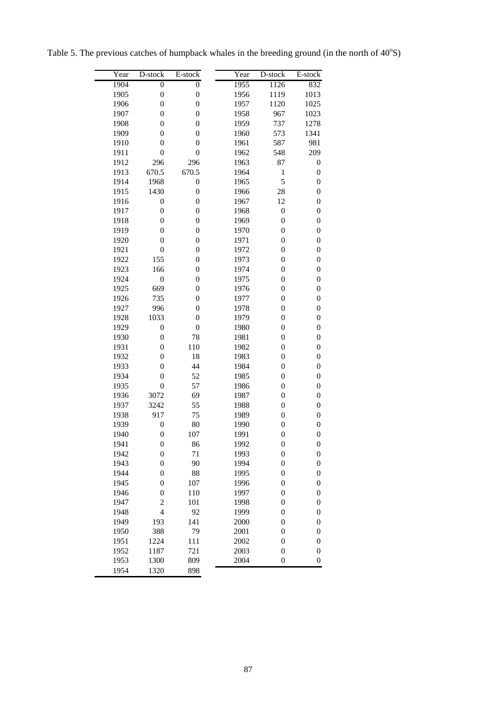| Table 5. The previous catches of humpback whales in the breeding ground (in the north of $40^{\circ}$ S) |  |  |  |  |
|----------------------------------------------------------------------------------------------------------|--|--|--|--|
|                                                                                                          |  |  |  |  |

| Year | D-stock          | E-stock          | Year | D-stock          | E-stock          |
|------|------------------|------------------|------|------------------|------------------|
| 1904 | $\overline{0}$   | $\overline{0}$   | 1955 | 1126             | 832              |
| 1905 | $\boldsymbol{0}$ | $\boldsymbol{0}$ | 1956 | 1119             | 1013             |
| 1906 | $\boldsymbol{0}$ | $\boldsymbol{0}$ | 1957 | 1120             | 1025             |
| 1907 | $\boldsymbol{0}$ | $\boldsymbol{0}$ | 1958 | 967              | 1023             |
| 1908 | $\boldsymbol{0}$ | $\boldsymbol{0}$ | 1959 | 737              | 1278             |
| 1909 | $\boldsymbol{0}$ | $\boldsymbol{0}$ | 1960 | 573              | 1341             |
| 1910 | $\boldsymbol{0}$ | $\boldsymbol{0}$ | 1961 | 587              | 981              |
| 1911 | $\boldsymbol{0}$ | $\boldsymbol{0}$ | 1962 | 548              | 209              |
| 1912 | 296              | 296              | 1963 | 87               | 0                |
| 1913 | 670.5            | 670.5            | 1964 | $\mathbf{1}$     | $\boldsymbol{0}$ |
| 1914 | 1968             | $\boldsymbol{0}$ | 1965 | 5                | $\boldsymbol{0}$ |
| 1915 | 1430             | $\boldsymbol{0}$ | 1966 | 28               | $\boldsymbol{0}$ |
| 1916 | $\boldsymbol{0}$ | $\boldsymbol{0}$ | 1967 | 12               | $\boldsymbol{0}$ |
| 1917 | $\boldsymbol{0}$ | $\boldsymbol{0}$ | 1968 | $\boldsymbol{0}$ | $\boldsymbol{0}$ |
| 1918 | $\boldsymbol{0}$ | $\boldsymbol{0}$ | 1969 | $\boldsymbol{0}$ | $\boldsymbol{0}$ |
| 1919 | $\boldsymbol{0}$ | $\boldsymbol{0}$ | 1970 | $\boldsymbol{0}$ | $\boldsymbol{0}$ |
| 1920 | $\boldsymbol{0}$ | $\boldsymbol{0}$ | 1971 | $\boldsymbol{0}$ | $\boldsymbol{0}$ |
| 1921 | $\boldsymbol{0}$ | $\boldsymbol{0}$ | 1972 | $\boldsymbol{0}$ | $\boldsymbol{0}$ |
| 1922 | 155              | $\boldsymbol{0}$ | 1973 | $\boldsymbol{0}$ | $\boldsymbol{0}$ |
| 1923 | 166              | $\boldsymbol{0}$ | 1974 | $\boldsymbol{0}$ | $\boldsymbol{0}$ |
| 1924 | $\boldsymbol{0}$ | $\boldsymbol{0}$ | 1975 | $\boldsymbol{0}$ | $\boldsymbol{0}$ |
| 1925 | 669              | $\boldsymbol{0}$ | 1976 | $\boldsymbol{0}$ | $\boldsymbol{0}$ |
| 1926 | 735              | $\boldsymbol{0}$ | 1977 | $\boldsymbol{0}$ | $\boldsymbol{0}$ |
| 1927 | 996              | $\boldsymbol{0}$ | 1978 | $\boldsymbol{0}$ | $\boldsymbol{0}$ |
| 1928 | 1033             | $\boldsymbol{0}$ | 1979 | $\boldsymbol{0}$ | $\boldsymbol{0}$ |
| 1929 | $\boldsymbol{0}$ | $\boldsymbol{0}$ | 1980 | $\boldsymbol{0}$ | $\boldsymbol{0}$ |
| 1930 | $\boldsymbol{0}$ | 78               | 1981 | $\boldsymbol{0}$ | $\boldsymbol{0}$ |
| 1931 | $\boldsymbol{0}$ | 110              | 1982 | $\boldsymbol{0}$ | $\boldsymbol{0}$ |
| 1932 | $\boldsymbol{0}$ | 18               | 1983 | $\boldsymbol{0}$ | $\boldsymbol{0}$ |
| 1933 | $\boldsymbol{0}$ | 44               | 1984 | $\boldsymbol{0}$ | $\boldsymbol{0}$ |
| 1934 | $\boldsymbol{0}$ | 52               | 1985 | $\boldsymbol{0}$ | $\boldsymbol{0}$ |
| 1935 | $\boldsymbol{0}$ | 57               | 1986 | $\boldsymbol{0}$ | $\boldsymbol{0}$ |
| 1936 | 3072             | 69               | 1987 | $\boldsymbol{0}$ | $\boldsymbol{0}$ |
| 1937 | 3242             | 55               | 1988 | $\boldsymbol{0}$ | $\boldsymbol{0}$ |
| 1938 | 917              | 75               | 1989 | $\boldsymbol{0}$ | $\boldsymbol{0}$ |
| 1939 | $\boldsymbol{0}$ | 80               | 1990 | $\boldsymbol{0}$ | $\boldsymbol{0}$ |
| 1940 | $\boldsymbol{0}$ | 107              | 1991 | $\boldsymbol{0}$ | $\boldsymbol{0}$ |
| 1941 | 0                | 86               | 1992 | 0                | 0                |
| 1942 | $\boldsymbol{0}$ | 71               | 1993 | $\boldsymbol{0}$ | 0                |
| 1943 | $\boldsymbol{0}$ | 90               | 1994 | $\boldsymbol{0}$ | $\boldsymbol{0}$ |
| 1944 | $\boldsymbol{0}$ | 88               | 1995 | $\boldsymbol{0}$ | 0                |
| 1945 | $\boldsymbol{0}$ | 107              | 1996 | $\boldsymbol{0}$ | 0                |
| 1946 | $\boldsymbol{0}$ | 110              | 1997 | $\boldsymbol{0}$ | 0                |
| 1947 | $\overline{c}$   | 101              | 1998 | $\boldsymbol{0}$ | $\boldsymbol{0}$ |
| 1948 | $\overline{4}$   | 92               | 1999 | $\boldsymbol{0}$ | $\boldsymbol{0}$ |
| 1949 | 193              | 141              | 2000 | $\boldsymbol{0}$ | $\boldsymbol{0}$ |
| 1950 | 388              | 79               | 2001 | $\boldsymbol{0}$ | $\boldsymbol{0}$ |
| 1951 | 1224             | 111              | 2002 | $\boldsymbol{0}$ | $\boldsymbol{0}$ |
| 1952 | 1187             | 721              | 2003 | $\boldsymbol{0}$ | $\boldsymbol{0}$ |
| 1953 | 1300             | 809              | 2004 | $\boldsymbol{0}$ | 0                |
| 1954 | 1320             | 898              |      |                  |                  |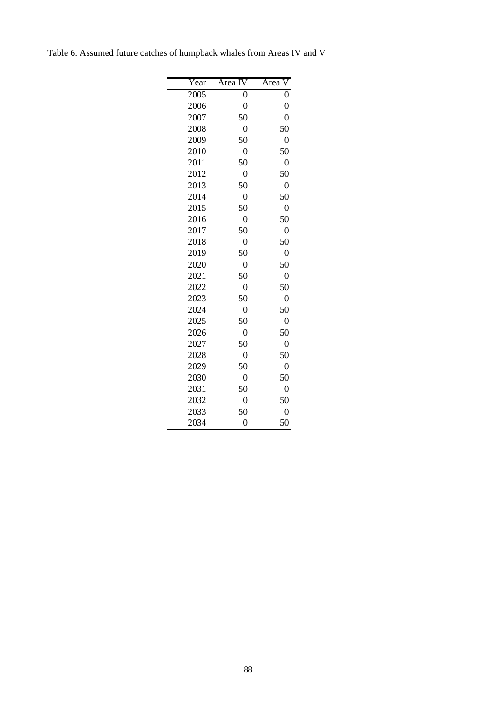| Year | Area IV          | $\overline{\rm V}$<br>Area |
|------|------------------|----------------------------|
| 2005 | $\overline{0}$   | $\overline{0}$             |
| 2006 | $\overline{0}$   | $\overline{0}$             |
| 2007 | 50               | $\overline{0}$             |
| 2008 | $\overline{0}$   | 50                         |
| 2009 | 50               | $\overline{0}$             |
| 2010 | $\overline{0}$   | 50                         |
| 2011 | 50               | $\overline{0}$             |
| 2012 | $\overline{0}$   | 50                         |
| 2013 | 50               | $\boldsymbol{0}$           |
| 2014 | $\overline{0}$   | 50                         |
| 2015 | 50               | $\overline{0}$             |
| 2016 | $\boldsymbol{0}$ | 50                         |
| 2017 | 50               | $\overline{0}$             |
| 2018 | $\overline{0}$   | 50                         |
| 2019 | 50               | $\overline{0}$             |
| 2020 | $\overline{0}$   | 50                         |
| 2021 | 50               | $\overline{0}$             |
| 2022 | $\overline{0}$   | 50                         |
| 2023 | 50               | $\overline{0}$             |
| 2024 | $\overline{0}$   | 50                         |
| 2025 | 50               | $\overline{0}$             |
| 2026 | $\overline{0}$   | 50                         |
| 2027 | 50               | $\overline{0}$             |
| 2028 | $\overline{0}$   | 50                         |
| 2029 | 50               | $\overline{0}$             |
| 2030 | $\overline{0}$   | 50                         |
| 2031 | 50               | $\overline{0}$             |
| 2032 | $\boldsymbol{0}$ | 50                         |
| 2033 | 50               | $\overline{0}$             |
| 2034 | $\overline{0}$   | 50                         |

Table 6. Assumed future catches of humpback whales from Areas IV and V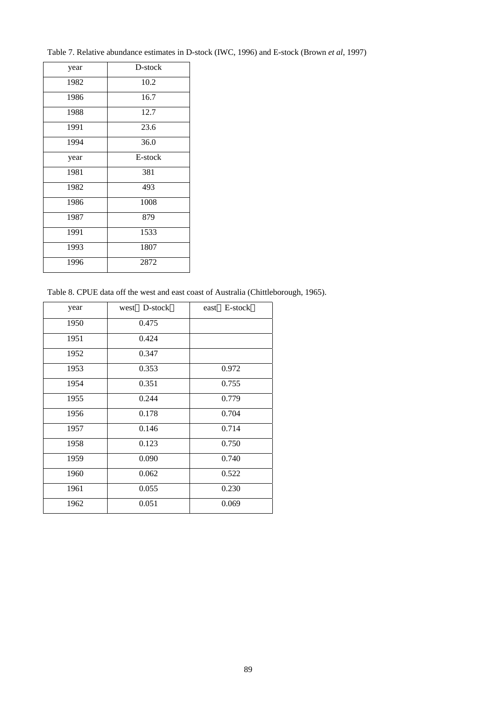Table 7. Relative abundance estimates in D-stock (IWC, 1996) and E-stock (Brown *et al*, 1997)

| year | D-stock |
|------|---------|
| 1982 | 10.2    |
| 1986 | 16.7    |
| 1988 | 12.7    |
| 1991 | 23.6    |
| 1994 | 36.0    |
| year | E-stock |
| 1981 | 381     |
| 1982 | 493     |
| 1986 | 1008    |
| 1987 | 879     |
| 1991 | 1533    |
| 1993 | 1807    |
| 1996 | 2872    |
|      |         |

Table 8. CPUE data off the west and east coast of Australia (Chittleborough, 1965).

| year | D-stock<br>west | E-stock<br>east |
|------|-----------------|-----------------|
| 1950 | 0.475           |                 |
| 1951 | 0.424           |                 |
| 1952 | 0.347           |                 |
| 1953 | 0.353           | 0.972           |
| 1954 | 0.351           | 0.755           |
| 1955 | 0.244           | 0.779           |
| 1956 | 0.178           | 0.704           |
| 1957 | 0.146           | 0.714           |
| 1958 | 0.123           | 0.750           |
| 1959 | 0.090           | 0.740           |
| 1960 | 0.062           | 0.522           |
| 1961 | 0.055           | 0.230           |
| 1962 | 0.051           | 0.069           |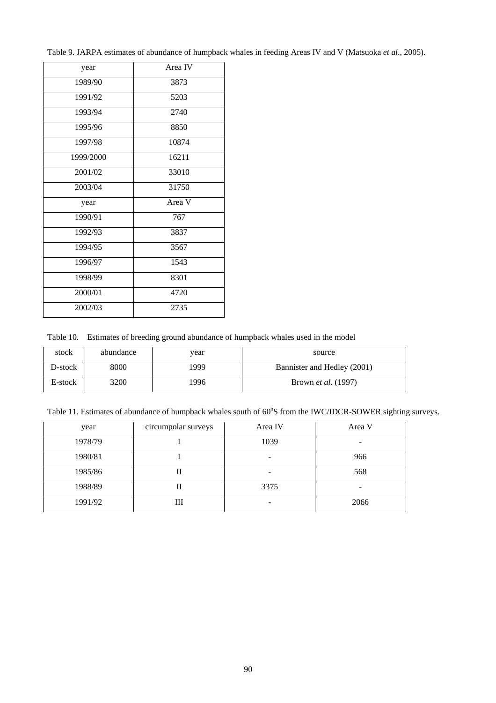Table 9. JARPA estimates of abundance of humpback whales in feeding Areas IV and V (Matsuoka *et al*., 2005).

| year      | Area IV |  |  |
|-----------|---------|--|--|
| 1989/90   | 3873    |  |  |
| 1991/92   | 5203    |  |  |
| 1993/94   | 2740    |  |  |
| 1995/96   | 8850    |  |  |
| 1997/98   | 10874   |  |  |
| 1999/2000 | 16211   |  |  |
| 2001/02   | 33010   |  |  |
| 2003/04   | 31750   |  |  |
| year      | Area V  |  |  |
| 1990/91   | 767     |  |  |
| 1992/93   | 3837    |  |  |
| 1994/95   | 3567    |  |  |
| 1996/97   | 1543    |  |  |
| 1998/99   | 8301    |  |  |
| 2000/01   | 4720    |  |  |
| 2002/03   | 2735    |  |  |

Table 10. Estimates of breeding ground abundance of humpback whales used in the model

| stock   | abundance   | vear | source                      |
|---------|-------------|------|-----------------------------|
| D-stock | 8000        | 1999 | Bannister and Hedley (2001) |
| E-stock | <b>3200</b> | '996 | Brown <i>et al.</i> (1997)  |

Table 11. Estimates of abundance of humpback whales south of 60°S from the IWC/IDCR-SOWER sighting surveys.

| year    | circumpolar surveys | Area IV | Area V |
|---------|---------------------|---------|--------|
| 1978/79 |                     | 1039    |        |
| 1980/81 |                     |         | 966    |
| 1985/86 | П                   |         | 568    |
| 1988/89 | п                   | 3375    |        |
| 1991/92 | Ш                   |         | 2066   |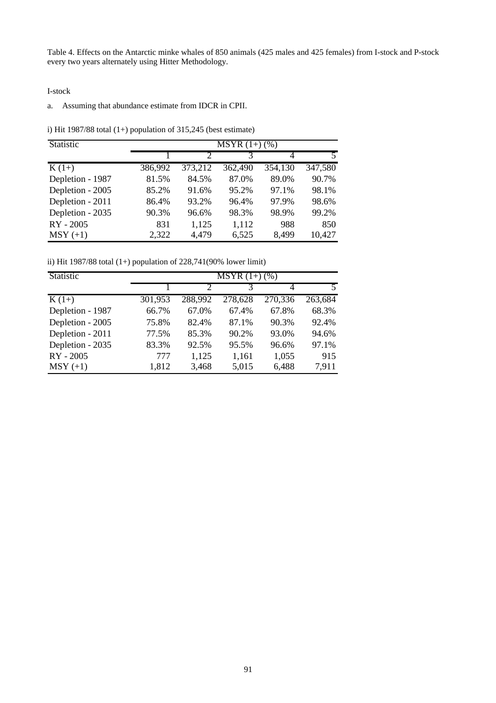Table 4. Effects on the Antarctic minke whales of 850 animals (425 males and 425 females) from I-stock and P-stock every two years alternately using Hitter Methodology.

I-stock

### a. Assuming that abundance estimate from IDCR in CPII.

i) Hit 1987/88 total  $(1+)$  population of 315,245 (best estimate)

| Statistic        | $\overline{\text{MSYR}(1+)}$ (%) |                             |         |         |         |  |
|------------------|----------------------------------|-----------------------------|---------|---------|---------|--|
|                  |                                  | $\mathcal{D}_{\mathcal{L}}$ | 3       | 4       | 5       |  |
| $K(1+)$          | 386,992                          | 373,212                     | 362,490 | 354,130 | 347,580 |  |
| Depletion - 1987 | 81.5%                            | 84.5%                       | 87.0%   | 89.0%   | 90.7%   |  |
| Depletion - 2005 | 85.2%                            | 91.6%                       | 95.2%   | 97.1%   | 98.1%   |  |
| Depletion - 2011 | 86.4%                            | 93.2%                       | 96.4%   | 97.9%   | 98.6%   |  |
| Depletion - 2035 | 90.3%                            | 96.6%                       | 98.3%   | 98.9%   | 99.2%   |  |
| RY - 2005        | 831                              | 1,125                       | 1,112   | 988     | 850     |  |
| $MSY (+1)$       | 2,322                            | 4,479                       | 6,525   | 8,499   | 10,427  |  |

ii) Hit 1987/88 total  $(1+)$  population of 228,741(90% lower limit)

| Statistic        | $\overline{\text{MSYR}(1+)}$ (%) |         |         |         |         |  |
|------------------|----------------------------------|---------|---------|---------|---------|--|
|                  |                                  |         |         |         | 5       |  |
| $K(1+)$          | 301,953                          | 288,992 | 278,628 | 270,336 | 263,684 |  |
| Depletion - 1987 | 66.7%                            | 67.0%   | 67.4%   | 67.8%   | 68.3%   |  |
| Depletion - 2005 | 75.8%                            | 82.4%   | 87.1%   | 90.3%   | 92.4%   |  |
| Depletion - 2011 | 77.5%                            | 85.3%   | 90.2%   | 93.0%   | 94.6%   |  |
| Depletion - 2035 | 83.3%                            | 92.5%   | 95.5%   | 96.6%   | 97.1%   |  |
| RY - 2005        | 777                              | 1,125   | 1,161   | 1,055   | 915     |  |
| $MSY (+1)$       | 1,812                            | 3,468   | 5,015   | 6,488   | 7,911   |  |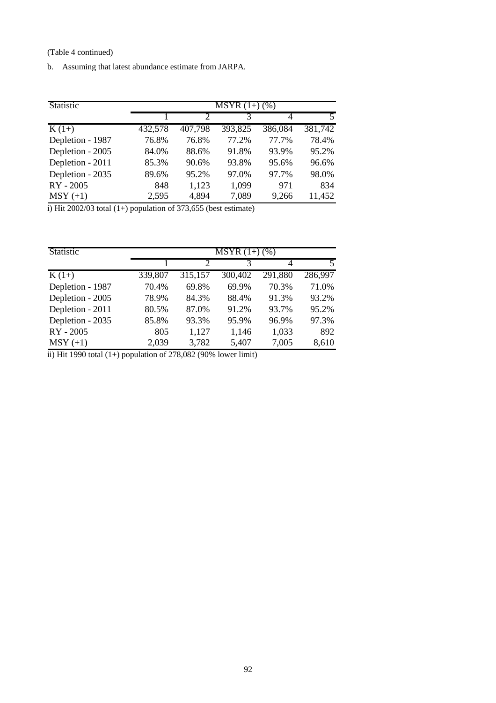(Table 4 continued)

b. Assuming that latest abundance estimate from JARPA.

| Statistic        |         | $MSYR(1+)$ (%) |         |         |         |
|------------------|---------|----------------|---------|---------|---------|
|                  |         | $\mathcal{D}$  | 3       | 4       |         |
| $K(1+)$          | 432,578 | 407,798        | 393,825 | 386,084 | 381,742 |
| Depletion - 1987 | 76.8%   | 76.8%          | 77.2%   | 77.7%   | 78.4%   |
| Depletion - 2005 | 84.0%   | 88.6%          | 91.8%   | 93.9%   | 95.2%   |
| Depletion - 2011 | 85.3%   | 90.6%          | 93.8%   | 95.6%   | 96.6%   |
| Depletion - 2035 | 89.6%   | 95.2%          | 97.0%   | 97.7%   | 98.0%   |
| RY - 2005        | 848     | 1,123          | 1,099   | 971     | 834     |
| $MSY (+1)$       | 2,595   | 4,894          | 7,089   | 9,266   | 11,452  |

i) Hit 2002/03 total  $(1+)$  population of 373,655 (best estimate)

| Statistic        | $MSYR(1+)$ (%) |                             |         |         |         |  |
|------------------|----------------|-----------------------------|---------|---------|---------|--|
|                  |                | $\mathcal{D}_{\mathcal{L}}$ | 3       | 4       |         |  |
| $K(1+)$          | 339,807        | 315,157                     | 300,402 | 291,880 | 286,997 |  |
| Depletion - 1987 | 70.4%          | 69.8%                       | 69.9%   | 70.3%   | 71.0%   |  |
| Depletion - 2005 | 78.9%          | 84.3%                       | 88.4%   | 91.3%   | 93.2%   |  |
| Depletion - 2011 | 80.5%          | 87.0%                       | 91.2%   | 93.7%   | 95.2%   |  |
| Depletion - 2035 | 85.8%          | 93.3%                       | 95.9%   | 96.9%   | 97.3%   |  |
| RY - 2005        | 805            | 1,127                       | 1,146   | 1,033   | 892     |  |
| $MSY (+1)$       | 2,039          | 3,782                       | 5,407   | 7,005   | 8,610   |  |

ii) Hit 1990 total (1+) population of 278,082 (90% lower limit)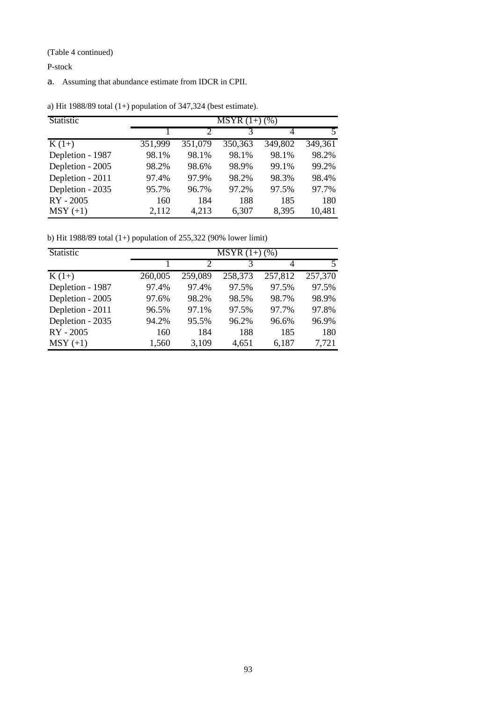(Table 4 continued)

P-stock

a. Assuming that abundance estimate from IDCR in CPII.

| Statistic        | $MSYR(1+)$ (%) |         |         |         |         |
|------------------|----------------|---------|---------|---------|---------|
|                  |                |         |         |         |         |
| $K(1+)$          | 351,999        | 351,079 | 350,363 | 349,802 | 349,361 |
| Depletion - 1987 | 98.1%          | 98.1%   | 98.1%   | 98.1%   | 98.2%   |
| Depletion - 2005 | 98.2%          | 98.6%   | 98.9%   | 99.1%   | 99.2%   |
| Depletion - 2011 | 97.4%          | 97.9%   | 98.2%   | 98.3%   | 98.4%   |
| Depletion - 2035 | 95.7%          | 96.7%   | 97.2%   | 97.5%   | 97.7%   |
| RY - 2005        | 160            | 184     | 188     | 185     | 180     |
| $MSY (+1)$       | 2,112          | 4,213   | 6,307   | 8,395   | 10,481  |

a) Hit 1988/89 total (1+) population of 347,324 (best estimate).

b) Hit 1988/89 total (1+) population of 255,322 (90% lower limit)

| Statistic        | $\overline{\text{MSYR}(1+)}$ (%) |         |         |         |         |  |
|------------------|----------------------------------|---------|---------|---------|---------|--|
|                  |                                  |         |         |         |         |  |
| $K(1+)$          | 260,005                          | 259,089 | 258,373 | 257,812 | 257,370 |  |
| Depletion - 1987 | 97.4%                            | 97.4%   | 97.5%   | 97.5%   | 97.5%   |  |
| Depletion - 2005 | 97.6%                            | 98.2%   | 98.5%   | 98.7%   | 98.9%   |  |
| Depletion - 2011 | 96.5%                            | 97.1%   | 97.5%   | 97.7%   | 97.8%   |  |
| Depletion - 2035 | 94.2%                            | 95.5%   | 96.2%   | 96.6%   | 96.9%   |  |
| RY - 2005        | 160                              | 184     | 188     | 185     | 180     |  |
| $MSY (+1)$       | 1,560                            | 3,109   | 4,651   | 6,187   | 7,721   |  |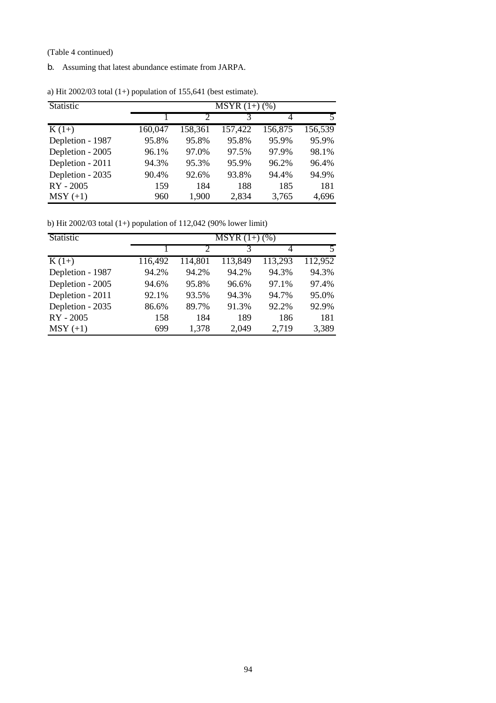(Table 4 continued)

b. Assuming that latest abundance estimate from JARPA.

| Statistic        | $MSYR(1+)$ (%) |         |         |         |         |  |  |
|------------------|----------------|---------|---------|---------|---------|--|--|
|                  |                |         |         | 4       |         |  |  |
| $K(1+)$          | 160,047        | 158,361 | 157,422 | 156,875 | 156,539 |  |  |
| Depletion - 1987 | 95.8%          | 95.8%   | 95.8%   | 95.9%   | 95.9%   |  |  |
| Depletion - 2005 | 96.1%          | 97.0%   | 97.5%   | 97.9%   | 98.1%   |  |  |
| Depletion - 2011 | 94.3%          | 95.3%   | 95.9%   | 96.2%   | 96.4%   |  |  |
| Depletion - 2035 | 90.4%          | 92.6%   | 93.8%   | 94.4%   | 94.9%   |  |  |
| RY - 2005        | 159            | 184     | 188     | 185     | 181     |  |  |
| $MSY (+1)$       | 960            | 1,900   | 2,834   | 3,765   | 4,696   |  |  |

a) Hit 2002/03 total (1+) population of 155,641 (best estimate).

b) Hit 2002/03 total (1+) population of 112,042 (90% lower limit)

| Statistic        | $MSYR(1+) (%)$ |         |         |         |         |  |
|------------------|----------------|---------|---------|---------|---------|--|
|                  |                |         | 3       | 4       |         |  |
| $K(1+)$          | 116,492        | 114,801 | 113,849 | 113,293 | 112,952 |  |
| Depletion - 1987 | 94.2%          | 94.2%   | 94.2%   | 94.3%   | 94.3%   |  |
| Depletion - 2005 | 94.6%          | 95.8%   | 96.6%   | 97.1%   | 97.4%   |  |
| Depletion - 2011 | 92.1%          | 93.5%   | 94.3%   | 94.7%   | 95.0%   |  |
| Depletion - 2035 | 86.6%          | 89.7%   | 91.3%   | 92.2%   | 92.9%   |  |
| RY - 2005        | 158            | 184     | 189     | 186     | 181     |  |
| $MSY (+1)$       | 699            | 1,378   | 2,049   | 2,719   | 3,389   |  |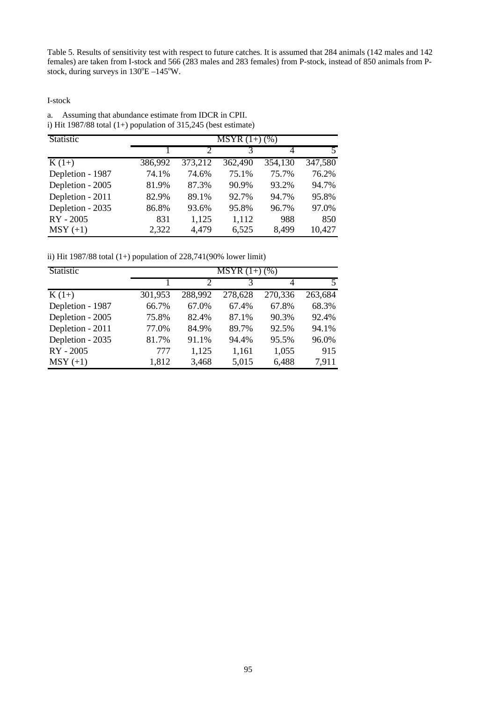Table 5. Results of sensitivity test with respect to future catches. It is assumed that 284 animals (142 males and 142 females) are taken from I-stock and 566 (283 males and 283 females) from P-stock, instead of 850 animals from Pstock, during surveys in  $130^{\circ}E - 145^{\circ}W$ .

I-stock

a. Assuming that abundance estimate from IDCR in CPII. i) Hit 1987/88 total  $(1+)$  population of 315,245 (best estimate)

| Statistic          | $\overline{\text{MSYR}(1+)}$ (%) |                |         |         |                         |  |
|--------------------|----------------------------------|----------------|---------|---------|-------------------------|--|
|                    |                                  | $\overline{2}$ | 3       | 4       | $\overline{\mathbf{5}}$ |  |
| $\overline{K(1+)}$ | 386,992                          | 373,212        | 362,490 | 354,130 | 347,580                 |  |
| Depletion - 1987   | 74.1%                            | 74.6%          | 75.1%   | 75.7%   | 76.2%                   |  |
| Depletion - 2005   | 81.9%                            | 87.3%          | 90.9%   | 93.2%   | 94.7%                   |  |
| Depletion - 2011   | 82.9%                            | 89.1%          | 92.7%   | 94.7%   | 95.8%                   |  |
| Depletion - 2035   | 86.8%                            | 93.6%          | 95.8%   | 96.7%   | 97.0%                   |  |
| RY - 2005          | 831                              | 1,125          | 1,112   | 988     | 850                     |  |
| $MSY (+1)$         | 2,322                            | 4,479          | 6,525   | 8,499   | 10,427                  |  |

ii) Hit 1987/88 total (1+) population of 228,741(90% lower limit)

| Statistic        | $\overline{\text{MSYR}(1+)}$ (%) |               |         |         |         |  |
|------------------|----------------------------------|---------------|---------|---------|---------|--|
|                  |                                  | $\mathcal{D}$ |         |         |         |  |
| $K(1+)$          | 301,953                          | 288,992       | 278,628 | 270,336 | 263,684 |  |
| Depletion - 1987 | 66.7%                            | 67.0%         | 67.4%   | 67.8%   | 68.3%   |  |
| Depletion - 2005 | 75.8%                            | 82.4%         | 87.1%   | 90.3%   | 92.4%   |  |
| Depletion - 2011 | 77.0%                            | 84.9%         | 89.7%   | 92.5%   | 94.1%   |  |
| Depletion - 2035 | 81.7%                            | 91.1%         | 94.4%   | 95.5%   | 96.0%   |  |
| RY - 2005        | 777                              | 1,125         | 1,161   | 1,055   | 915     |  |
| $MSY (+1)$       | 1,812                            | 3,468         | 5,015   | 6,488   | 7,911   |  |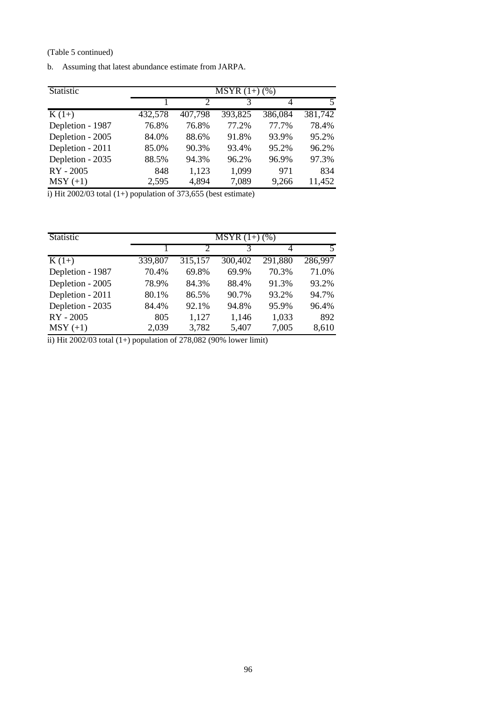(Table 5 continued)

| b. |  |  | Assuming that latest abundance estimate from JARPA. |  |  |  |
|----|--|--|-----------------------------------------------------|--|--|--|
|----|--|--|-----------------------------------------------------|--|--|--|

| Statistic        | $\overline{\text{MSYR}(1+)}$ (%) |         |         |         |         |
|------------------|----------------------------------|---------|---------|---------|---------|
|                  |                                  | っ       | 3       | 4       |         |
| $K(1+)$          | 432,578                          | 407,798 | 393,825 | 386,084 | 381,742 |
| Depletion - 1987 | 76.8%                            | 76.8%   | 77.2%   | 77.7%   | 78.4%   |
| Depletion - 2005 | 84.0%                            | 88.6%   | 91.8%   | 93.9%   | 95.2%   |
| Depletion - 2011 | 85.0%                            | 90.3%   | 93.4%   | 95.2%   | 96.2%   |
| Depletion - 2035 | 88.5%                            | 94.3%   | 96.2%   | 96.9%   | 97.3%   |
| RY - 2005        | 848                              | 1,123   | 1,099   | 971     | 834     |
| $MSY (+1)$       | 2,595                            | 4,894   | 7,089   | 9,266   | 11,452  |

i) Hit 2002/03 total (1+) population of 373,655 (best estimate)

| Statistic        | $\overline{\text{MSYR}(1+)}$ (%) |         |         |         |                          |  |
|------------------|----------------------------------|---------|---------|---------|--------------------------|--|
|                  |                                  |         | 3       |         | $\overline{\phantom{0}}$ |  |
| $K(1+)$          | 339,807                          | 315,157 | 300,402 | 291,880 | 286,997                  |  |
| Depletion - 1987 | 70.4%                            | 69.8%   | 69.9%   | 70.3%   | 71.0%                    |  |
| Depletion - 2005 | 78.9%                            | 84.3%   | 88.4%   | 91.3%   | 93.2%                    |  |
| Depletion - 2011 | 80.1%                            | 86.5%   | 90.7%   | 93.2%   | 94.7%                    |  |
| Depletion - 2035 | 84.4%                            | 92.1%   | 94.8%   | 95.9%   | 96.4%                    |  |
| RY - 2005        | 805                              | 1,127   | 1,146   | 1,033   | 892                      |  |
| $MSY (+1)$       | 2,039                            | 3,782   | 5,407   | 7,005   | 8,610                    |  |

ii) Hit 2002/03 total (1+) population of 278,082 (90% lower limit)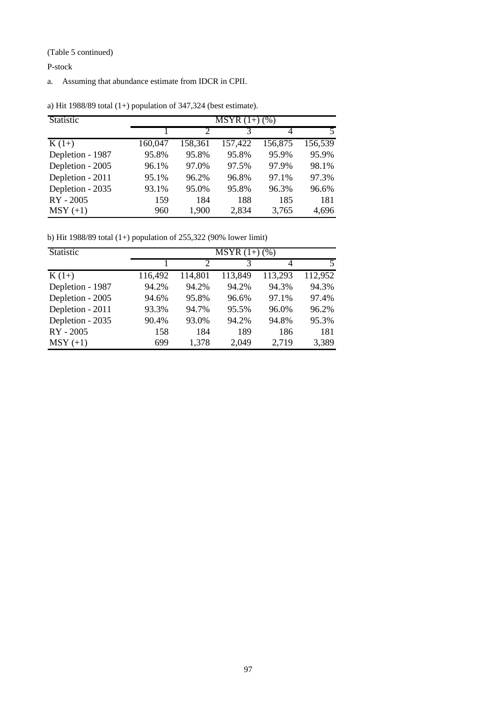(Table 5 continued)

P-stock

a. Assuming that abundance estimate from IDCR in CPII.

| Statistic        | $\overline{\text{MSYR}}(1+)$ (%) |         |         |         |          |
|------------------|----------------------------------|---------|---------|---------|----------|
|                  |                                  |         |         | 4       |          |
| $K(1+)$          | 160,047                          | 158,361 | 157,422 | 156,875 | 156, 539 |
| Depletion - 1987 | 95.8%                            | 95.8%   | 95.8%   | 95.9%   | 95.9%    |
| Depletion - 2005 | 96.1%                            | 97.0%   | 97.5%   | 97.9%   | 98.1%    |
| Depletion - 2011 | 95.1%                            | 96.2%   | 96.8%   | 97.1%   | 97.3%    |
| Depletion - 2035 | 93.1%                            | 95.0%   | 95.8%   | 96.3%   | 96.6%    |
| RY - 2005        | 159                              | 184     | 188     | 185     | 181      |
| $MSY (+1)$       | 960                              | 1,900   | 2,834   | 3,765   | 4,696    |

a) Hit 1988/89 total (1+) population of 347,324 (best estimate).

b) Hit 1988/89 total (1+) population of 255,322 (90% lower limit)

| Statistic        | $MSYR(1+)$ (%) |                             |         |         |         |  |
|------------------|----------------|-----------------------------|---------|---------|---------|--|
|                  |                | $\mathcal{D}_{\mathcal{L}}$ | 3       | 4       | 5       |  |
| $K(1+)$          | 116,492        | 114,801                     | 113,849 | 113,293 | 112,952 |  |
| Depletion - 1987 | 94.2%          | 94.2%                       | 94.2%   | 94.3%   | 94.3%   |  |
| Depletion - 2005 | 94.6%          | 95.8%                       | 96.6%   | 97.1%   | 97.4%   |  |
| Depletion - 2011 | 93.3%          | 94.7%                       | 95.5%   | 96.0%   | 96.2%   |  |
| Depletion - 2035 | 90.4%          | 93.0%                       | 94.2%   | 94.8%   | 95.3%   |  |
| RY - 2005        | 158            | 184                         | 189     | 186     | 181     |  |
| $MSY (+1)$       | 699            | 1,378                       | 2,049   | 2,719   | 3,389   |  |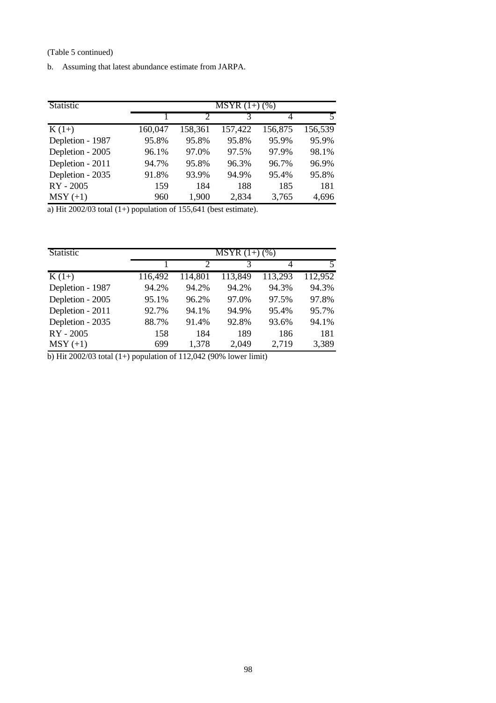(Table 5 continued)

b. Assuming that latest abundance estimate from JARPA.

| Statistic        | $MSYR(1+) (%)$ |         |         |         |         |  |
|------------------|----------------|---------|---------|---------|---------|--|
|                  |                | っ       |         | 4       |         |  |
| $K(1+)$          | 160,047        | 158,361 | 157,422 | 156,875 | 156,539 |  |
| Depletion - 1987 | 95.8%          | 95.8%   | 95.8%   | 95.9%   | 95.9%   |  |
| Depletion - 2005 | 96.1%          | 97.0%   | 97.5%   | 97.9%   | 98.1%   |  |
| Depletion - 2011 | 94.7%          | 95.8%   | 96.3%   | 96.7%   | 96.9%   |  |
| Depletion - 2035 | 91.8%          | 93.9%   | 94.9%   | 95.4%   | 95.8%   |  |
| RY - 2005        | 159            | 184     | 188     | 185     | 181     |  |
| $MSY (+1)$       | 960            | 1,900   | 2,834   | 3,765   | 4,696   |  |

a) Hit  $2002/03$  total  $(1+)$  population of 155,641 (best estimate).

| Statistic        | $MSYR(1+)$ (%) |                             |         |         |         |
|------------------|----------------|-----------------------------|---------|---------|---------|
|                  |                | $\mathcal{D}_{\mathcal{L}}$ | 3       | 4       |         |
| $K(1+)$          | 116,492        | 114,801                     | 113,849 | 113,293 | 112,952 |
| Depletion - 1987 | 94.2%          | 94.2%                       | 94.2%   | 94.3%   | 94.3%   |
| Depletion - 2005 | 95.1%          | 96.2%                       | 97.0%   | 97.5%   | 97.8%   |
| Depletion - 2011 | 92.7%          | 94.1%                       | 94.9%   | 95.4%   | 95.7%   |
| Depletion - 2035 | 88.7%          | 91.4%                       | 92.8%   | 93.6%   | 94.1%   |
| RY - 2005        | 158            | 184                         | 189     | 186     | 181     |
| $MSY (+1)$       | 699            | 1,378                       | 2,049   | 2,719   | 3,389   |

b) Hit 2002/03 total (1+) population of 112,042 (90% lower limit)